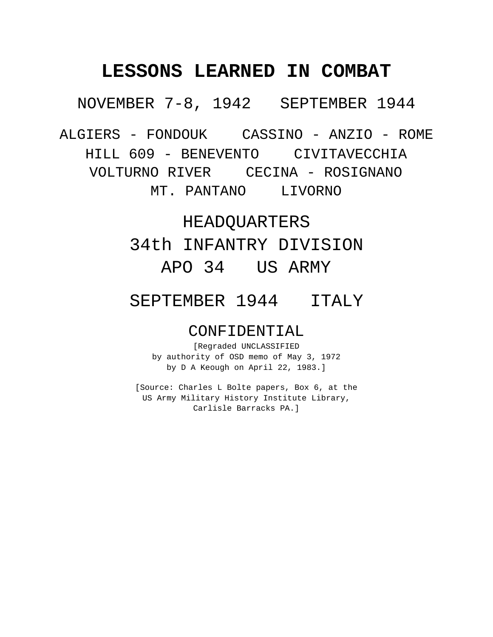NOVEMBER 7-8, 1942 SEPTEMBER 1944

ALGIERS - FONDOUK CASSINO - ANZIO - ROME

HILL 609 - BENEVENTO CIVITAVECCHIA

VOLTURNO RIVER CECINA - ROSIGNANO

MT. PANTANO LIVORNO

## HEADQUARTERS

34th INFANTRY DIVISION APO 34 US ARMY

# SEPTEMBER 1944 ITALY

## CONFIDENTIAL

[Regraded UNCLASSIFIED by authority of OSD memo of May 3, 1972 by D A Keough on April 22, 1983.]

[Source: Charles L Bolte papers, Box 6, at the US Army Military History Institute Library, Carlisle Barracks PA.]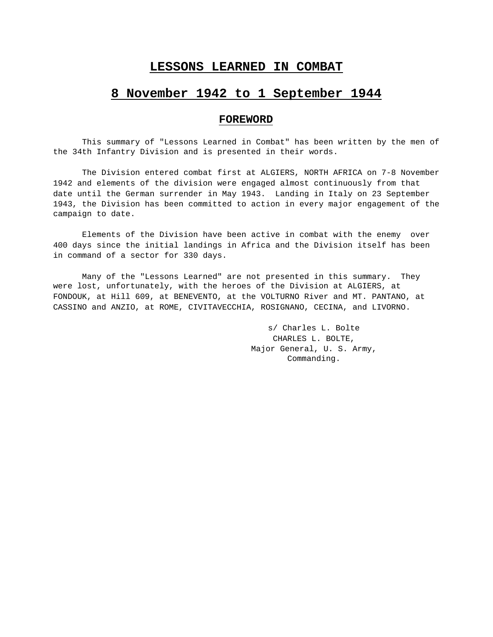## **8 November 1942 to 1 September 1944**

## **FOREWORD**

This summary of "Lessons Learned in Combat" has been written by the men of the 34th Infantry Division and is presented in their words.

The Division entered combat first at ALGIERS, NORTH AFRICA on 7-8 November 1942 and elements of the division were engaged almost continuously from that date until the German surrender in May 1943. Landing in Italy on 23 September 1943, the Division has been committed to action in every major engagement of the campaign to date.

Elements of the Division have been active in combat with the enemy over 400 days since the initial landings in Africa and the Division itself has been in command of a sector for 330 days.

Many of the "Lessons Learned" are not presented in this summary. They were lost, unfortunately, with the heroes of the Division at ALGIERS, at FONDOUK, at Hill 609, at BENEVENTO, at the VOLTURNO River and MT. PANTANO, at CASSINO and ANZIO, at ROME, CIVITAVECCHIA, ROSIGNANO, CECINA, and LIVORNO.

> s/ Charles L. Bolte CHARLES L. BOLTE, Major General, U. S. Army, Commanding.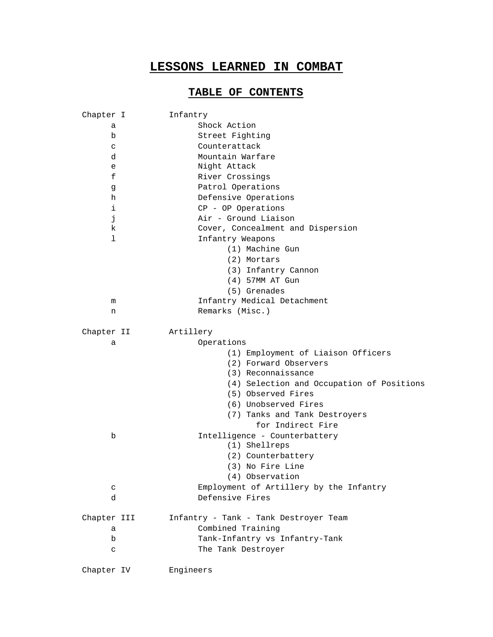## **TABLE OF CONTENTS**

| Chapter I   | Infantry                                  |
|-------------|-------------------------------------------|
| a           | Shock Action                              |
| b           | Street Fighting                           |
| C           | Counterattack                             |
| d           | Mountain Warfare                          |
| e           | Night Attack                              |
| f           | River Crossings                           |
| g           | Patrol Operations                         |
| h           | Defensive Operations                      |
| i           | CP - OP Operations                        |
| j           | Air - Ground Liaison                      |
| k.          | Cover, Concealment and Dispersion         |
| ı           | Infantry Weapons                          |
|             | (1) Machine Gun                           |
|             | (2) Mortars                               |
|             | (3) Infantry Cannon                       |
|             | (4) 57MM AT Gun                           |
|             | (5) Grenades                              |
| m           | Infantry Medical Detachment               |
| n           | Remarks (Misc.)                           |
|             |                                           |
| Chapter II  | Artillery                                 |
| а           | Operations                                |
|             | (1) Employment of Liaison Officers        |
|             | (2) Forward Observers                     |
|             | (3) Reconnaissance                        |
|             | (4) Selection and Occupation of Positions |
|             | (5) Observed Fires                        |
|             | (6) Unobserved Fires                      |
|             | (7) Tanks and Tank Destroyers             |
|             | for Indirect Fire                         |
| b           | Intelligence - Counterbattery             |
|             | (1) Shellreps                             |
|             | (2) Counterbattery                        |
|             | (3) No Fire Line                          |
|             | (4) Observation                           |
| C           | Employment of Artillery by the Infantry   |
| d           | Defensive Fires                           |
|             |                                           |
| Chapter III | Infantry - Tank - Tank Destroyer Team     |
| а           | Combined Training                         |
| b           | Tank-Infantry vs Infantry-Tank            |
| C           | The Tank Destroyer                        |
|             |                                           |
| Chapter IV  | Engineers                                 |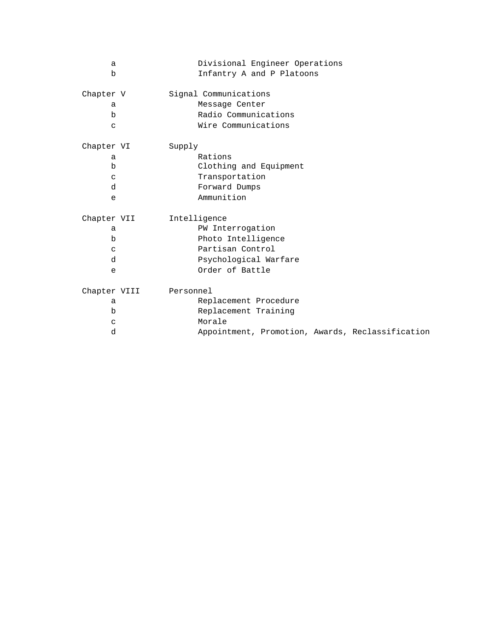| a            | Divisional Engineer Operations                   |
|--------------|--------------------------------------------------|
| b            | Infantry A and P Platoons                        |
| Chapter V    | Signal Communications                            |
| a            | Message Center                                   |
| $\mathbf b$  | Radio Communications                             |
| $\mathsf{C}$ | Wire Communications                              |
| Chapter VI   | Supply                                           |
| a            | Rations                                          |
| $\mathbf b$  | Clothing and Equipment                           |
| $\mathsf{C}$ | Transportation                                   |
| d            | Forward Dumps                                    |
| e            | Ammunition                                       |
| Chapter VII  | Intelligence                                     |
| a            | PW Interrogation                                 |
| $\mathbf b$  | Photo Intelligence                               |
| $\mathbf C$  | Partisan Control                                 |
| d            | Psychological Warfare                            |
| e            | Order of Battle                                  |
| Chapter VIII | Personnel                                        |
| a            | Replacement Procedure                            |
| b            | Replacement Training                             |
| $\mathbf C$  | Morale                                           |
| d            | Appointment, Promotion, Awards, Reclassification |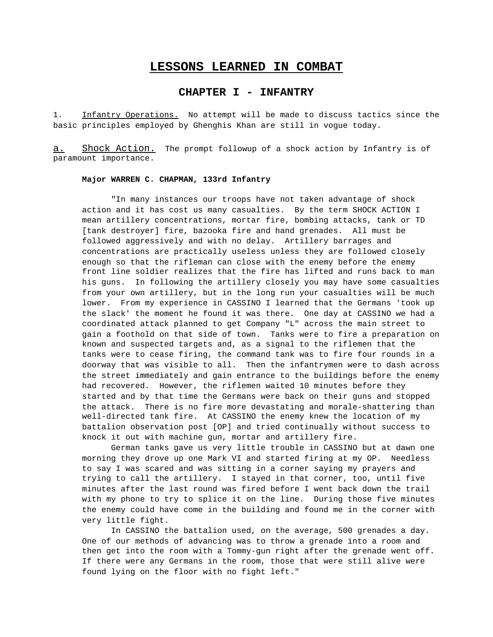## **CHAPTER I - INFANTRY**

1. Infantry Operations. No attempt will be made to discuss tactics since the basic principles employed by Ghenghis Khan are still in vogue today.

a. Shock Action. The prompt followup of a shock action by Infantry is of paramount importance.

#### **Major WARREN C. CHAPMAN, 133rd Infantry**

"In many instances our troops have not taken advantage of shock action and it has cost us many casualties. By the term SHOCK ACTION I mean artillery concentrations, mortar fire, bombing attacks, tank or TD [tank destroyer] fire, bazooka fire and hand grenades. All must be followed aggressively and with no delay. Artillery barrages and concentrations are practically useless unless they are followed closely enough so that the rifleman can close with the enemy before the enemy front line soldier realizes that the fire has lifted and runs back to man his guns. In following the artillery closely you may have some casualties from your own artillery, but in the long run your casualties will be much lower. From my experience in CASSINO I learned that the Germans 'took up the slack' the moment he found it was there. One day at CASSINO we had a coordinated attack planned to get Company "L" across the main street to gain a foothold on that side of town. Tanks were to fire a preparation on known and suspected targets and, as a signal to the riflemen that the tanks were to cease firing, the command tank was to fire four rounds in a doorway that was visible to all. Then the infantrymen were to dash across the street immediately and gain entrance to the buildings before the enemy had recovered. However, the riflemen waited 10 minutes before they started and by that time the Germans were back on their guns and stopped the attack. There is no fire more devastating and morale-shattering than well-directed tank fire. At CASSINO the enemy knew the location of my battalion observation post [OP] and tried continually without success to knock it out with machine gun, mortar and artillery fire.

German tanks gave us very little trouble in CASSINO but at dawn one morning they drove up one Mark VI and started firing at my OP. Needless to say I was scared and was sitting in a corner saying my prayers and trying to call the artillery. I stayed in that corner, too, until five minutes after the last round was fired before I went back down the trail with my phone to try to splice it on the line. During those five minutes the enemy could have come in the building and found me in the corner with very little fight.

In CASSINO the battalion used, on the average, 500 grenades a day. One of our methods of advancing was to throw a grenade into a room and then get into the room with a Tommy-gun right after the grenade went off. If there were any Germans in the room, those that were still alive were found lying on the floor with no fight left."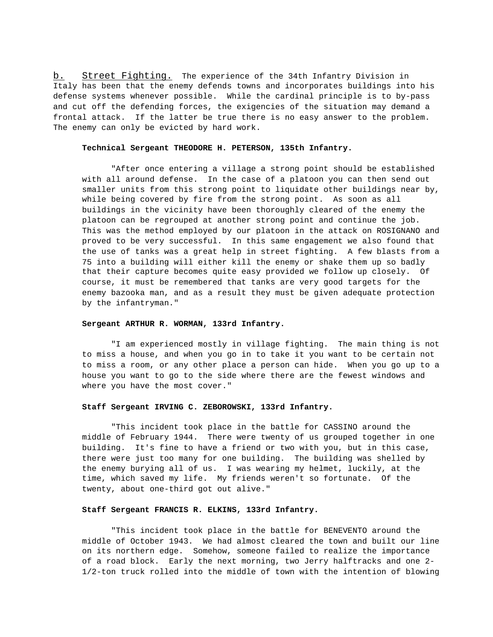b. Street Fighting. The experience of the 34th Infantry Division in Italy has been that the enemy defends towns and incorporates buildings into his defense systems whenever possible. While the cardinal principle is to by-pass and cut off the defending forces, the exigencies of the situation may demand a frontal attack. If the latter be true there is no easy answer to the problem. The enemy can only be evicted by hard work.

#### **Technical Sergeant THEODORE H. PETERSON, 135th Infantry.**

"After once entering a village a strong point should be established with all around defense. In the case of a platoon you can then send out smaller units from this strong point to liquidate other buildings near by, while being covered by fire from the strong point. As soon as all buildings in the vicinity have been thoroughly cleared of the enemy the platoon can be regrouped at another strong point and continue the job. This was the method employed by our platoon in the attack on ROSIGNANO and proved to be very successful. In this same engagement we also found that the use of tanks was a great help in street fighting. A few blasts from a 75 into a building will either kill the enemy or shake them up so badly that their capture becomes quite easy provided we follow up closely. Of course, it must be remembered that tanks are very good targets for the enemy bazooka man, and as a result they must be given adequate protection by the infantryman."

#### **Sergeant ARTHUR R. WORMAN, 133rd Infantry.**

"I am experienced mostly in village fighting. The main thing is not to miss a house, and when you go in to take it you want to be certain not to miss a room, or any other place a person can hide. When you go up to a house you want to go to the side where there are the fewest windows and where you have the most cover."

#### **Staff Sergeant IRVING C. ZEBOROWSKI, 133rd Infantry.**

"This incident took place in the battle for CASSINO around the middle of February 1944. There were twenty of us grouped together in one building. It's fine to have a friend or two with you, but in this case, there were just too many for one building. The building was shelled by the enemy burying all of us. I was wearing my helmet, luckily, at the time, which saved my life. My friends weren't so fortunate. Of the twenty, about one-third got out alive."

### **Staff Sergeant FRANCIS R. ELKINS, 133rd Infantry.**

"This incident took place in the battle for BENEVENTO around the middle of October 1943. We had almost cleared the town and built our line on its northern edge. Somehow, someone failed to realize the importance of a road block. Early the next morning, two Jerry halftracks and one 2- 1/2-ton truck rolled into the middle of town with the intention of blowing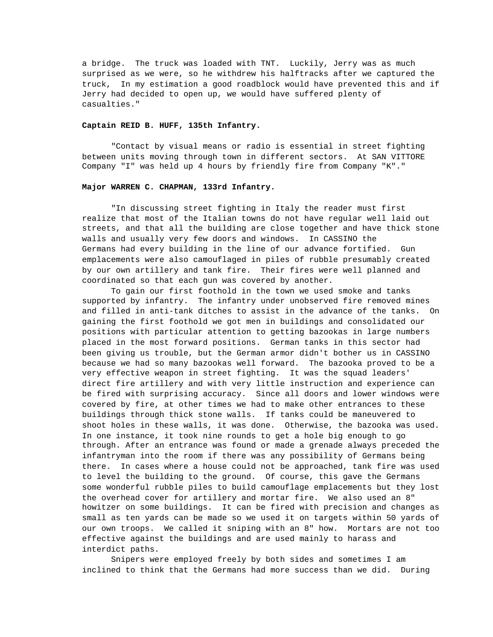a bridge. The truck was loaded with TNT. Luckily, Jerry was as much surprised as we were, so he withdrew his halftracks after we captured the truck, In my estimation a good roadblock would have prevented this and if Jerry had decided to open up, we would have suffered plenty of casualties."

#### **Captain REID B. HUFF, 135th Infantry.**

"Contact by visual means or radio is essential in street fighting between units moving through town in different sectors. At SAN VITTORE Company "I" was held up 4 hours by friendly fire from Company "K"."

#### **Major WARREN C. CHAPMAN, 133rd Infantry.**

"In discussing street fighting in Italy the reader must first realize that most of the Italian towns do not have regular well laid out streets, and that all the building are close together and have thick stone walls and usually very few doors and windows. In CASSINO the Germans had every building in the line of our advance fortified. Gun emplacements were also camouflaged in piles of rubble presumably created by our own artillery and tank fire. Their fires were well planned and coordinated so that each gun was covered by another.

To gain our first foothold in the town we used smoke and tanks supported by infantry. The infantry under unobserved fire removed mines and filled in anti-tank ditches to assist in the advance of the tanks. On gaining the first foothold we got men in buildings and consolidated our positions with particular attention to getting bazookas in large numbers placed in the most forward positions. German tanks in this sector had been giving us trouble, but the German armor didn't bother us in CASSINO because we had so many bazookas well forward. The bazooka proved to be a very effective weapon in street fighting. It was the squad leaders' direct fire artillery and with very little instruction and experience can be fired with surprising accuracy. Since all doors and lower windows were covered by fire, at other times we had to make other entrances to these buildings through thick stone walls. If tanks could be maneuvered to shoot holes in these walls, it was done. Otherwise, the bazooka was used. In one instance, it took nine rounds to get a hole big enough to go through. After an entrance was found or made a grenade always preceded the infantryman into the room if there was any possibility of Germans being there. In cases where a house could not be approached, tank fire was used to level the building to the ground. Of course, this gave the Germans some wonderful rubble piles to build camouflage emplacements but they lost the overhead cover for artillery and mortar fire. We also used an 8" howitzer on some buildings. It can be fired with precision and changes as small as ten yards can be made so we used it on targets within 50 yards of our own troops. We called it sniping with an 8" how. Mortars are not too effective against the buildings and are used mainly to harass and interdict paths.

Snipers were employed freely by both sides and sometimes I am inclined to think that the Germans had more success than we did. During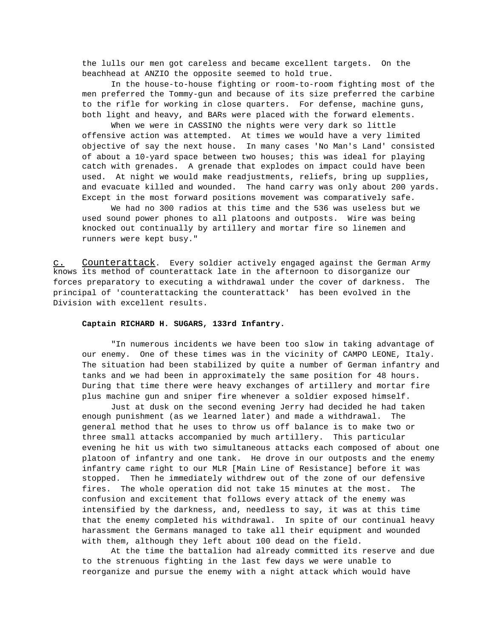the lulls our men got careless and became excellent targets. On the beachhead at ANZIO the opposite seemed to hold true.

In the house-to-house fighting or room-to-room fighting most of the men preferred the Tommy-gun and because of its size preferred the carbine to the rifle for working in close quarters. For defense, machine guns, both light and heavy, and BARs were placed with the forward elements.

When we were in CASSINO the nights were very dark so little offensive action was attempted. At times we would have a very limited objective of say the next house. In many cases 'No Man's Land' consisted of about a 10-yard space between two houses; this was ideal for playing catch with grenades. A grenade that explodes on impact could have been used. At night we would make readjustments, reliefs, bring up supplies, and evacuate killed and wounded. The hand carry was only about 200 yards. Except in the most forward positions movement was comparatively safe.

We had no 300 radios at this time and the 536 was useless but we used sound power phones to all platoons and outposts. Wire was being knocked out continually by artillery and mortar fire so linemen and runners were kept busy."

c. Counterattack . Every soldier actively engaged against the German Army knows its method of counterattack late in the afternoon to disorganize our forces preparatory to executing a withdrawal under the cover of darkness. The principal of 'counterattacking the counterattack' has been evolved in the Division with excellent results.

#### **Captain RICHARD H. SUGARS, 133rd Infantry.**

"In numerous incidents we have been too slow in taking advantage of our enemy. One of these times was in the vicinity of CAMPO LEONE, Italy. The situation had been stabilized by quite a number of German infantry and tanks and we had been in approximately the same position for 48 hours. During that time there were heavy exchanges of artillery and mortar fire plus machine gun and sniper fire whenever a soldier exposed himself.

Just at dusk on the second evening Jerry had decided he had taken enough punishment (as we learned later) and made a withdrawal. The general method that he uses to throw us off balance is to make two or three small attacks accompanied by much artillery. This particular evening he hit us with two simultaneous attacks each composed of about one platoon of infantry and one tank. He drove in our outposts and the enemy infantry came right to our MLR [Main Line of Resistance] before it was stopped. Then he immediately withdrew out of the zone of our defensive fires. The whole operation did not take 15 minutes at the most. The confusion and excitement that follows every attack of the enemy was intensified by the darkness, and, needless to say, it was at this time that the enemy completed his withdrawal. In spite of our continual heavy harassment the Germans managed to take all their equipment and wounded with them, although they left about 100 dead on the field.

At the time the battalion had already committed its reserve and due to the strenuous fighting in the last few days we were unable to reorganize and pursue the enemy with a night attack which would have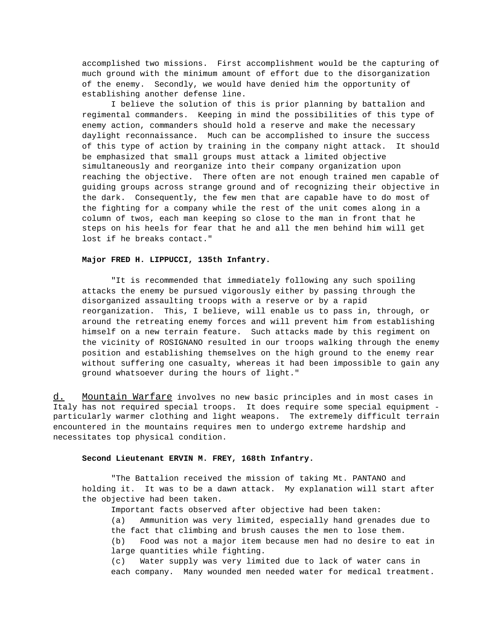accomplished two missions. First accomplishment would be the capturing of much ground with the minimum amount of effort due to the disorganization of the enemy. Secondly, we would have denied him the opportunity of establishing another defense line.

I believe the solution of this is prior planning by battalion and regimental commanders. Keeping in mind the possibilities of this type of enemy action, commanders should hold a reserve and make the necessary daylight reconnaissance. Much can be accomplished to insure the success of this type of action by training in the company night attack. It should be emphasized that small groups must attack a limited objective simultaneously and reorganize into their company organization upon reaching the objective. There often are not enough trained men capable of guiding groups across strange ground and of recognizing their objective in the dark. Consequently, the few men that are capable have to do most of the fighting for a company while the rest of the unit comes along in a column of twos, each man keeping so close to the man in front that he steps on his heels for fear that he and all the men behind him will get lost if he breaks contact."

#### **Major FRED H. LIPPUCCI, 135th Infantry.**

"It is recommended that immediately following any such spoiling attacks the enemy be pursued vigorously either by passing through the disorganized assaulting troops with a reserve or by a rapid reorganization. This, I believe, will enable us to pass in, through, or around the retreating enemy forces and will prevent him from establishing himself on a new terrain feature. Such attacks made by this regiment on the vicinity of ROSIGNANO resulted in our troops walking through the enemy position and establishing themselves on the high ground to the enemy rear without suffering one casualty, whereas it had been impossible to gain any ground whatsoever during the hours of light."

d. Mountain Warfare involves no new basic principles and in most cases in Italy has not required special troops. It does require some special equipment particularly warmer clothing and light weapons. The extremely difficult terrain encountered in the mountains requires men to undergo extreme hardship and necessitates top physical condition.

#### **Second Lieutenant ERVIN M. FREY, 168th Infantry.**

"The Battalion received the mission of taking Mt. PANTANO and holding it. It was to be a dawn attack. My explanation will start after the objective had been taken.

Important facts observed after objective had been taken:

(a) Ammunition was very limited, especially hand grenades due to the fact that climbing and brush causes the men to lose them. (b) Food was not a major item because men had no desire to eat in large quantities while fighting.

(c) Water supply was very limited due to lack of water cans in each company. Many wounded men needed water for medical treatment.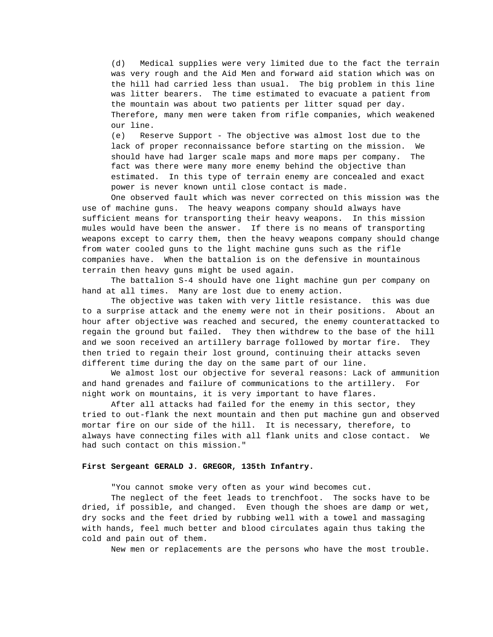(d) Medical supplies were very limited due to the fact the terrain was very rough and the Aid Men and forward aid station which was on the hill had carried less than usual. The big problem in this line was litter bearers. The time estimated to evacuate a patient from the mountain was about two patients per litter squad per day. Therefore, many men were taken from rifle companies, which weakened our line.

(e) Reserve Support - The objective was almost lost due to the lack of proper reconnaissance before starting on the mission. We should have had larger scale maps and more maps per company. The fact was there were many more enemy behind the objective than estimated. In this type of terrain enemy are concealed and exact power is never known until close contact is made.

One observed fault which was never corrected on this mission was the use of machine guns. The heavy weapons company should always have sufficient means for transporting their heavy weapons. In this mission mules would have been the answer. If there is no means of transporting weapons except to carry them, then the heavy weapons company should change from water cooled guns to the light machine guns such as the rifle companies have. When the battalion is on the defensive in mountainous terrain then heavy guns might be used again.

The battalion S-4 should have one light machine gun per company on hand at all times. Many are lost due to enemy action.

The objective was taken with very little resistance. this was due to a surprise attack and the enemy were not in their positions. About an hour after objective was reached and secured, the enemy counterattacked to regain the ground but failed. They then withdrew to the base of the hill and we soon received an artillery barrage followed by mortar fire. They then tried to regain their lost ground, continuing their attacks seven different time during the day on the same part of our line.

We almost lost our objective for several reasons: Lack of ammunition and hand grenades and failure of communications to the artillery. For night work on mountains, it is very important to have flares.

After all attacks had failed for the enemy in this sector, they tried to out-flank the next mountain and then put machine gun and observed mortar fire on our side of the hill. It is necessary, therefore, to always have connecting files with all flank units and close contact. We had such contact on this mission."

### **First Sergeant GERALD J. GREGOR, 135th Infantry.**

"You cannot smoke very often as your wind becomes cut.

The neglect of the feet leads to trenchfoot. The socks have to be dried, if possible, and changed. Even though the shoes are damp or wet, dry socks and the feet dried by rubbing well with a towel and massaging with hands, feel much better and blood circulates again thus taking the cold and pain out of them.

New men or replacements are the persons who have the most trouble.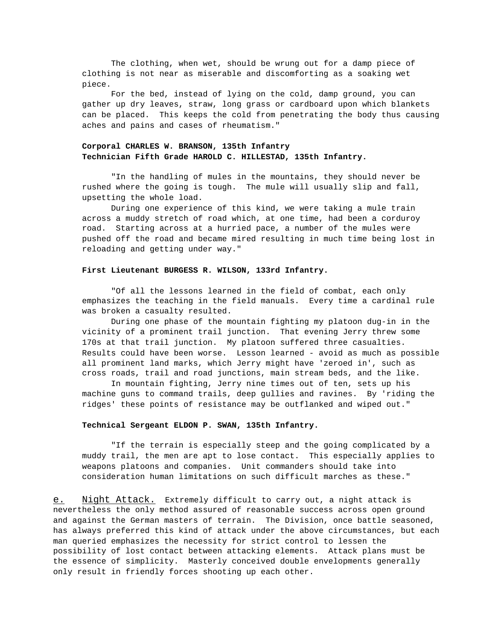The clothing, when wet, should be wrung out for a damp piece of clothing is not near as miserable and discomforting as a soaking wet piece.

For the bed, instead of lying on the cold, damp ground, you can gather up dry leaves, straw, long grass or cardboard upon which blankets can be placed. This keeps the cold from penetrating the body thus causing aches and pains and cases of rheumatism."

## **Corporal CHARLES W. BRANSON, 135th Infantry Technician Fifth Grade HAROLD C. HILLESTAD, 135th Infantry.**

"In the handling of mules in the mountains, they should never be rushed where the going is tough. The mule will usually slip and fall, upsetting the whole load.

During one experience of this kind, we were taking a mule train across a muddy stretch of road which, at one time, had been a corduroy road. Starting across at a hurried pace, a number of the mules were pushed off the road and became mired resulting in much time being lost in reloading and getting under way."

#### **First Lieutenant BURGESS R. WILSON, 133rd Infantry.**

"Of all the lessons learned in the field of combat, each only emphasizes the teaching in the field manuals. Every time a cardinal rule was broken a casualty resulted.

During one phase of the mountain fighting my platoon dug-in in the vicinity of a prominent trail junction. That evening Jerry threw some 170s at that trail junction. My platoon suffered three casualties. Results could have been worse. Lesson learned - avoid as much as possible all prominent land marks, which Jerry might have 'zeroed in', such as cross roads, trail and road junctions, main stream beds, and the like.

In mountain fighting, Jerry nine times out of ten, sets up his machine guns to command trails, deep gullies and ravines. By 'riding the ridges' these points of resistance may be outflanked and wiped out."

#### **Technical Sergeant ELDON P. SWAN, 135th Infantry.**

"If the terrain is especially steep and the going complicated by a muddy trail, the men are apt to lose contact. This especially applies to weapons platoons and companies. Unit commanders should take into consideration human limitations on such difficult marches as these."

e. Night Attack. Extremely difficult to carry out, a night attack is nevertheless the only method assured of reasonable success across open ground and against the German masters of terrain. The Division, once battle seasoned, has always preferred this kind of attack under the above circumstances, but each man queried emphasizes the necessity for strict control to lessen the possibility of lost contact between attacking elements. Attack plans must be the essence of simplicity. Masterly conceived double envelopments generally only result in friendly forces shooting up each other.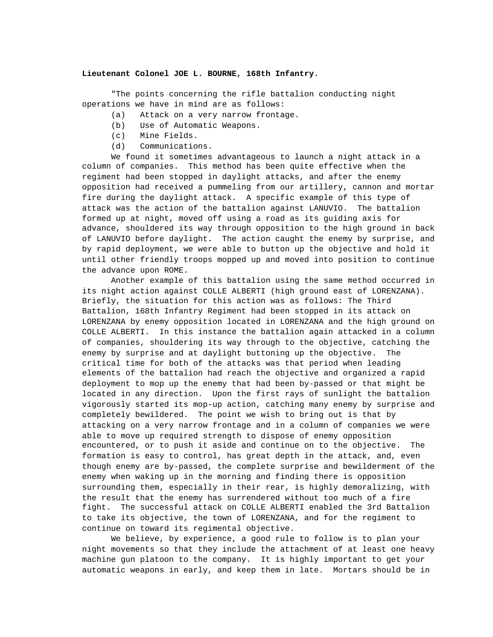#### **Lieutenant Colonel JOE L. BOURNE, 168th Infantry.**

"The points concerning the rifle battalion conducting night operations we have in mind are as follows:

- (a) Attack on a very narrow frontage.
- (b) Use of Automatic Weapons.
- (c) Mine Fields.
- (d) Communications.

We found it sometimes advantageous to launch a night attack in a column of companies. This method has been quite effective when the regiment had been stopped in daylight attacks, and after the enemy opposition had received a pummeling from our artillery, cannon and mortar fire during the daylight attack. A specific example of this type of attack was the action of the battalion against LANUVIO. The battalion formed up at night, moved off using a road as its guiding axis for advance, shouldered its way through opposition to the high ground in back of LANUVIO before daylight. The action caught the enemy by surprise, and by rapid deployment, we were able to button up the objective and hold it until other friendly troops mopped up and moved into position to continue the advance upon ROME.

Another example of this battalion using the same method occurred in its night action against COLLE ALBERTI (high ground east of LORENZANA). Briefly, the situation for this action was as follows: The Third Battalion, 168th Infantry Regiment had been stopped in its attack on LORENZANA by enemy opposition located in LORENZANA and the high ground on COLLE ALBERTI. In this instance the battalion again attacked in a column of companies, shouldering its way through to the objective, catching the enemy by surprise and at daylight buttoning up the objective. The critical time for both of the attacks was that period when leading elements of the battalion had reach the objective and organized a rapid deployment to mop up the enemy that had been by-passed or that might be located in any direction. Upon the first rays of sunlight the battalion vigorously started its mop-up action, catching many enemy by surprise and completely bewildered. The point we wish to bring out is that by attacking on a very narrow frontage and in a column of companies we were able to move up required strength to dispose of enemy opposition encountered, or to push it aside and continue on to the objective. The formation is easy to control, has great depth in the attack, and, even though enemy are by-passed, the complete surprise and bewilderment of the enemy when waking up in the morning and finding there is opposition surrounding them, especially in their rear, is highly demoralizing, with the result that the enemy has surrendered without too much of a fire fight. The successful attack on COLLE ALBERTI enabled the 3rd Battalion to take its objective, the town of LORENZANA, and for the regiment to continue on toward its regimental objective.

We believe, by experience, a good rule to follow is to plan your night movements so that they include the attachment of at least one heavy machine gun platoon to the company. It is highly important to get your automatic weapons in early, and keep them in late. Mortars should be in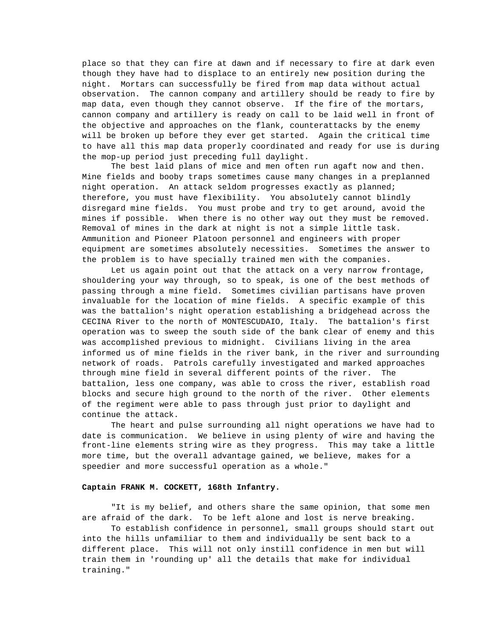place so that they can fire at dawn and if necessary to fire at dark even though they have had to displace to an entirely new position during the night. Mortars can successfully be fired from map data without actual observation. The cannon company and artillery should be ready to fire by map data, even though they cannot observe. If the fire of the mortars, cannon company and artillery is ready on call to be laid well in front of the objective and approaches on the flank, counterattacks by the enemy will be broken up before they ever get started. Again the critical time to have all this map data properly coordinated and ready for use is during the mop-up period just preceding full daylight.

The best laid plans of mice and men often run agaft now and then. Mine fields and booby traps sometimes cause many changes in a preplanned night operation. An attack seldom progresses exactly as planned; therefore, you must have flexibility. You absolutely cannot blindly disregard mine fields. You must probe and try to get around, avoid the mines if possible. When there is no other way out they must be removed. Removal of mines in the dark at night is not a simple little task. Ammunition and Pioneer Platoon personnel and engineers with proper equipment are sometimes absolutely necessities. Sometimes the answer to the problem is to have specially trained men with the companies.

Let us again point out that the attack on a very narrow frontage, shouldering your way through, so to speak, is one of the best methods of passing through a mine field. Sometimes civilian partisans have proven invaluable for the location of mine fields. A specific example of this was the battalion's night operation establishing a bridgehead across the CECINA River to the north of MONTESCUDAIO, Italy. The battalion's first operation was to sweep the south side of the bank clear of enemy and this was accomplished previous to midnight. Civilians living in the area informed us of mine fields in the river bank, in the river and surrounding network of roads. Patrols carefully investigated and marked approaches through mine field in several different points of the river. The battalion, less one company, was able to cross the river, establish road blocks and secure high ground to the north of the river. Other elements of the regiment were able to pass through just prior to daylight and continue the attack.

The heart and pulse surrounding all night operations we have had to date is communication. We believe in using plenty of wire and having the front-line elements string wire as they progress. This may take a little more time, but the overall advantage gained, we believe, makes for a speedier and more successful operation as a whole."

#### **Captain FRANK M. COCKETT, 168th Infantry.**

"It is my belief, and others share the same opinion, that some men are afraid of the dark. To be left alone and lost is nerve breaking.

To establish confidence in personnel, small groups should start out into the hills unfamiliar to them and individually be sent back to a different place. This will not only instill confidence in men but will train them in 'rounding up' all the details that make for individual training."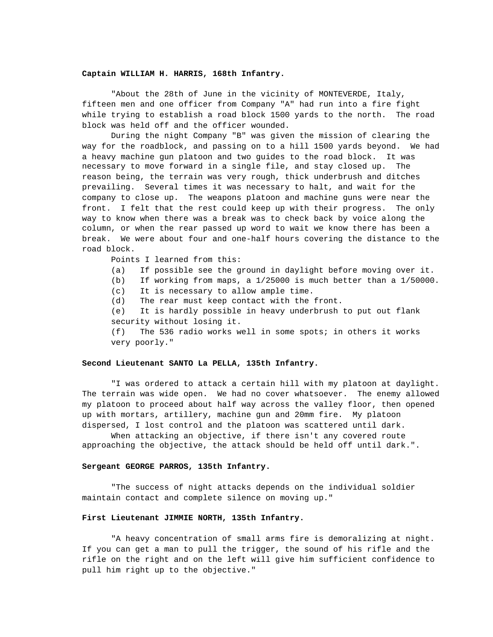#### **Captain WILLIAM H. HARRIS, 168th Infantry.**

"About the 28th of June in the vicinity of MONTEVERDE, Italy, fifteen men and one officer from Company "A" had run into a fire fight while trying to establish a road block 1500 yards to the north. The road block was held off and the officer wounded.

During the night Company "B" was given the mission of clearing the way for the roadblock, and passing on to a hill 1500 yards beyond. We had a heavy machine gun platoon and two guides to the road block. It was necessary to move forward in a single file, and stay closed up. The reason being, the terrain was very rough, thick underbrush and ditches prevailing. Several times it was necessary to halt, and wait for the company to close up. The weapons platoon and machine guns were near the front. I felt that the rest could keep up with their progress. The only way to know when there was a break was to check back by voice along the column, or when the rear passed up word to wait we know there has been a break. We were about four and one-half hours covering the distance to the road block.

Points I learned from this:

(a) If possible see the ground in daylight before moving over it.

(b) If working from maps, a 1/25000 is much better than a 1/50000.

(c) It is necessary to allow ample time.

(d) The rear must keep contact with the front.

(e) It is hardly possible in heavy underbrush to put out flank security without losing it.

(f) The 536 radio works well in some spots; in others it works very poorly."

#### **Second Lieutenant SANTO La PELLA, 135th Infantry.**

"I was ordered to attack a certain hill with my platoon at daylight. The terrain was wide open. We had no cover whatsoever. The enemy allowed my platoon to proceed about half way across the valley floor, then opened up with mortars, artillery, machine gun and 20mm fire. My platoon dispersed, I lost control and the platoon was scattered until dark.

When attacking an objective, if there isn't any covered route approaching the objective, the attack should be held off until dark.".

#### **Sergeant GEORGE PARROS, 135th Infantry.**

"The success of night attacks depends on the individual soldier maintain contact and complete silence on moving up."

#### **First Lieutenant JIMMIE NORTH, 135th Infantry.**

"A heavy concentration of small arms fire is demoralizing at night. If you can get a man to pull the trigger, the sound of his rifle and the rifle on the right and on the left will give him sufficient confidence to pull him right up to the objective."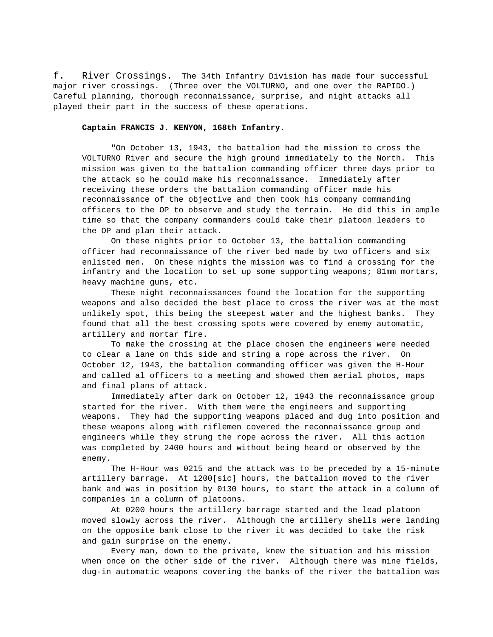f. River Crossings. The 34th Infantry Division has made four successful major river crossings. (Three over the VOLTURNO, and one over the RAPIDO.) Careful planning, thorough reconnaissance, surprise, and night attacks all played their part in the success of these operations.

#### **Captain FRANCIS J. KENYON, 168th Infantry.**

"On October 13, 1943, the battalion had the mission to cross the VOLTURNO River and secure the high ground immediately to the North. This mission was given to the battalion commanding officer three days prior to the attack so he could make his reconnaissance. Immediately after receiving these orders the battalion commanding officer made his reconnaissance of the objective and then took his company commanding officers to the OP to observe and study the terrain. He did this in ample time so that the company commanders could take their platoon leaders to the OP and plan their attack.

On these nights prior to October 13, the battalion commanding officer had reconnaissance of the river bed made by two officers and six enlisted men. On these nights the mission was to find a crossing for the infantry and the location to set up some supporting weapons; 81mm mortars, heavy machine guns, etc.

These night reconnaissances found the location for the supporting weapons and also decided the best place to cross the river was at the most unlikely spot, this being the steepest water and the highest banks. They found that all the best crossing spots were covered by enemy automatic, artillery and mortar fire.

To make the crossing at the place chosen the engineers were needed to clear a lane on this side and string a rope across the river. On October 12, 1943, the battalion commanding officer was given the H-Hour and called al officers to a meeting and showed them aerial photos, maps and final plans of attack.

Immediately after dark on October 12, 1943 the reconnaissance group started for the river. With them were the engineers and supporting weapons. They had the supporting weapons placed and dug into position and these weapons along with riflemen covered the reconnaissance group and engineers while they strung the rope across the river. All this action was completed by 2400 hours and without being heard or observed by the enemy.

The H-Hour was 0215 and the attack was to be preceded by a 15-minute artillery barrage. At 1200[sic] hours, the battalion moved to the river bank and was in position by 0130 hours, to start the attack in a column of companies in a column of platoons.

At 0200 hours the artillery barrage started and the lead platoon moved slowly across the river. Although the artillery shells were landing on the opposite bank close to the river it was decided to take the risk and gain surprise on the enemy.

Every man, down to the private, knew the situation and his mission when once on the other side of the river. Although there was mine fields, dug-in automatic weapons covering the banks of the river the battalion was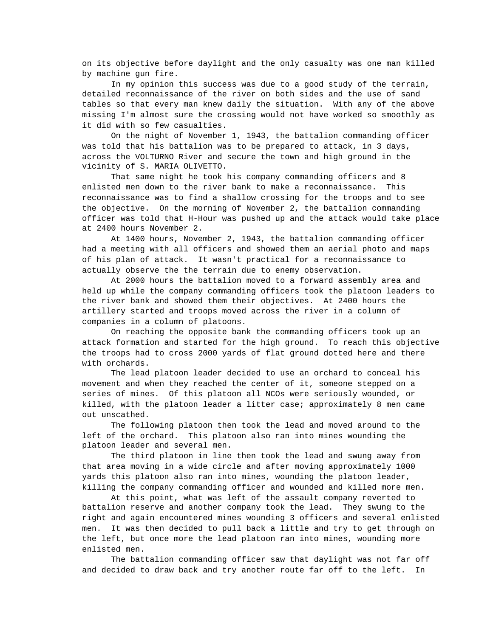on its objective before daylight and the only casualty was one man killed by machine gun fire.

In my opinion this success was due to a good study of the terrain, detailed reconnaissance of the river on both sides and the use of sand tables so that every man knew daily the situation. With any of the above missing I'm almost sure the crossing would not have worked so smoothly as it did with so few casualties.

On the night of November 1, 1943, the battalion commanding officer was told that his battalion was to be prepared to attack, in 3 days, across the VOLTURNO River and secure the town and high ground in the vicinity of S. MARIA OLIVETTO.

That same night he took his company commanding officers and 8 enlisted men down to the river bank to make a reconnaissance. This reconnaissance was to find a shallow crossing for the troops and to see the objective. On the morning of November 2, the battalion commanding officer was told that H-Hour was pushed up and the attack would take place at 2400 hours November 2.

At 1400 hours, November 2, 1943, the battalion commanding officer had a meeting with all officers and showed them an aerial photo and maps of his plan of attack. It wasn't practical for a reconnaissance to actually observe the the terrain due to enemy observation.

At 2000 hours the battalion moved to a forward assembly area and held up while the company commanding officers took the platoon leaders to the river bank and showed them their objectives. At 2400 hours the artillery started and troops moved across the river in a column of companies in a column of platoons.

On reaching the opposite bank the commanding officers took up an attack formation and started for the high ground. To reach this objective the troops had to cross 2000 yards of flat ground dotted here and there with orchards.

The lead platoon leader decided to use an orchard to conceal his movement and when they reached the center of it, someone stepped on a series of mines. Of this platoon all NCOs were seriously wounded, or killed, with the platoon leader a litter case; approximately 8 men came out unscathed.

The following platoon then took the lead and moved around to the left of the orchard. This platoon also ran into mines wounding the platoon leader and several men.

The third platoon in line then took the lead and swung away from that area moving in a wide circle and after moving approximately 1000 yards this platoon also ran into mines, wounding the platoon leader, killing the company commanding officer and wounded and killed more men.

At this point, what was left of the assault company reverted to battalion reserve and another company took the lead. They swung to the right and again encountered mines wounding 3 officers and several enlisted men. It was then decided to pull back a little and try to get through on the left, but once more the lead platoon ran into mines, wounding more enlisted men.

The battalion commanding officer saw that daylight was not far off and decided to draw back and try another route far off to the left. In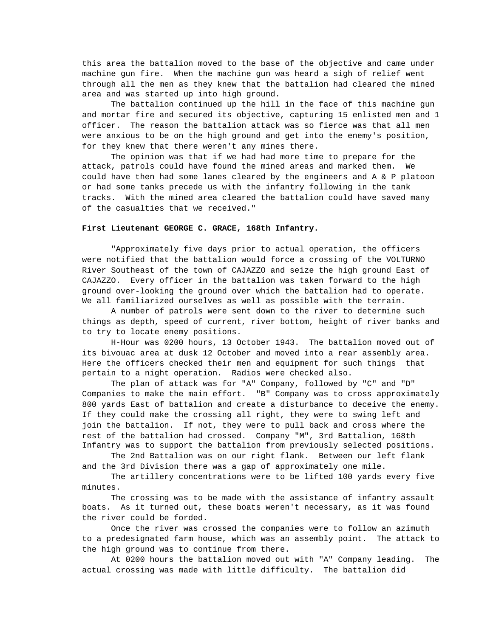this area the battalion moved to the base of the objective and came under machine gun fire. When the machine gun was heard a sigh of relief went through all the men as they knew that the battalion had cleared the mined area and was started up into high ground.

The battalion continued up the hill in the face of this machine gun and mortar fire and secured its objective, capturing 15 enlisted men and 1 officer. The reason the battalion attack was so fierce was that all men were anxious to be on the high ground and get into the enemy's position, for they knew that there weren't any mines there.

The opinion was that if we had had more time to prepare for the attack, patrols could have found the mined areas and marked them. We could have then had some lanes cleared by the engineers and A & P platoon or had some tanks precede us with the infantry following in the tank tracks. With the mined area cleared the battalion could have saved many of the casualties that we received."

#### **First Lieutenant GEORGE C. GRACE, 168th Infantry.**

"Approximately five days prior to actual operation, the officers were notified that the battalion would force a crossing of the VOLTURNO River Southeast of the town of CAJAZZO and seize the high ground East of CAJAZZO. Every officer in the battalion was taken forward to the high ground over-looking the ground over which the battalion had to operate. We all familiarized ourselves as well as possible with the terrain.

A number of patrols were sent down to the river to determine such things as depth, speed of current, river bottom, height of river banks and to try to locate enemy positions.

H-Hour was 0200 hours, 13 October 1943. The battalion moved out of its bivouac area at dusk 12 October and moved into a rear assembly area. Here the officers checked their men and equipment for such things that pertain to a night operation. Radios were checked also.

The plan of attack was for "A" Company, followed by "C" and "D" Companies to make the main effort. "B" Company was to cross approximately 800 yards East of battalion and create a disturbance to deceive the enemy. If they could make the crossing all right, they were to swing left and join the battalion. If not, they were to pull back and cross where the rest of the battalion had crossed. Company "M", 3rd Battalion, 168th Infantry was to support the battalion from previously selected positions.

The 2nd Battalion was on our right flank. Between our left flank and the 3rd Division there was a gap of approximately one mile.

The artillery concentrations were to be lifted 100 yards every five minutes.

The crossing was to be made with the assistance of infantry assault boats. As it turned out, these boats weren't necessary, as it was found the river could be forded.

Once the river was crossed the companies were to follow an azimuth to a predesignated farm house, which was an assembly point. The attack to the high ground was to continue from there.

At 0200 hours the battalion moved out with "A" Company leading. The actual crossing was made with little difficulty. The battalion did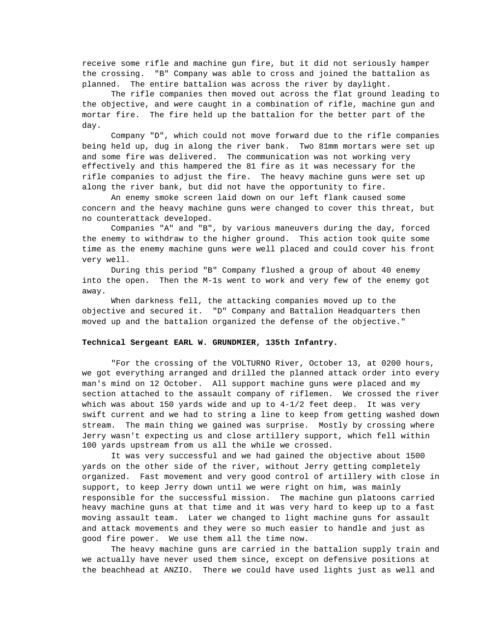receive some rifle and machine gun fire, but it did not seriously hamper the crossing. "B" Company was able to cross and joined the battalion as planned. The entire battalion was across the river by daylight.

The rifle companies then moved out across the flat ground leading to the objective, and were caught in a combination of rifle, machine gun and mortar fire. The fire held up the battalion for the better part of the day.

Company "D", which could not move forward due to the rifle companies being held up, dug in along the river bank. Two 81mm mortars were set up and some fire was delivered. The communication was not working very effectively and this hampered the 81 fire as it was necessary for the rifle companies to adjust the fire. The heavy machine guns were set up along the river bank, but did not have the opportunity to fire.

An enemy smoke screen laid down on our left flank caused some concern and the heavy machine guns were changed to cover this threat, but no counterattack developed.

Companies "A" and "B", by various maneuvers during the day, forced the enemy to withdraw to the higher ground. This action took quite some time as the enemy machine guns were well placed and could cover his front very well.

During this period "B" Company flushed a group of about 40 enemy into the open. Then the M-1s went to work and very few of the enemy got away.

When darkness fell, the attacking companies moved up to the objective and secured it. "D" Company and Battalion Headquarters then moved up and the battalion organized the defense of the objective."

#### **Technical Sergeant EARL W. GRUNDMIER, 135th Infantry.**

"For the crossing of the VOLTURNO River, October 13, at 0200 hours, we got everything arranged and drilled the planned attack order into every man's mind on 12 October. All support machine guns were placed and my section attached to the assault company of riflemen. We crossed the river which was about 150 yards wide and up to  $4-1/2$  feet deep. It was very swift current and we had to string a line to keep from getting washed down stream. The main thing we gained was surprise. Mostly by crossing where Jerry wasn't expecting us and close artillery support, which fell within 100 yards upstream from us all the while we crossed.

It was very successful and we had gained the objective about 1500 yards on the other side of the river, without Jerry getting completely organized. Fast movement and very good control of artillery with close in support, to keep Jerry down until we were right on him, was mainly responsible for the successful mission. The machine gun platoons carried heavy machine guns at that time and it was very hard to keep up to a fast moving assault team. Later we changed to light machine guns for assault and attack movements and they were so much easier to handle and just as good fire power. We use them all the time now.

The heavy machine guns are carried in the battalion supply train and we actually have never used them since, except on defensive positions at the beachhead at ANZIO. There we could have used lights just as well and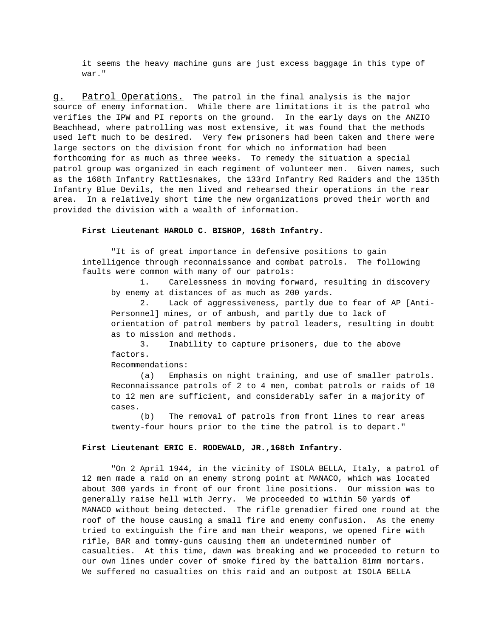it seems the heavy machine guns are just excess baggage in this type of war."

g. Patrol Operations. The patrol in the final analysis is the major source of enemy information. While there are limitations it is the patrol who verifies the IPW and PI reports on the ground. In the early days on the ANZIO Beachhead, where patrolling was most extensive, it was found that the methods used left much to be desired. Very few prisoners had been taken and there were large sectors on the division front for which no information had been forthcoming for as much as three weeks. To remedy the situation a special patrol group was organized in each regiment of volunteer men. Given names, such as the 168th Infantry Rattlesnakes, the 133rd Infantry Red Raiders and the 135th Infantry Blue Devils, the men lived and rehearsed their operations in the rear area. In a relatively short time the new organizations proved their worth and provided the division with a wealth of information.

#### **First Lieutenant HAROLD C. BISHOP, 168th Infantry.**

"It is of great importance in defensive positions to gain intelligence through reconnaissance and combat patrols. The following faults were common with many of our patrols:

1. Carelessness in moving forward, resulting in discovery by enemy at distances of as much as 200 yards.

2. Lack of aggressiveness, partly due to fear of AP [Anti-Personnel] mines, or of ambush, and partly due to lack of orientation of patrol members by patrol leaders, resulting in doubt as to mission and methods.

3. Inability to capture prisoners, due to the above factors.

Recommendations:

(a) Emphasis on night training, and use of smaller patrols. Reconnaissance patrols of 2 to 4 men, combat patrols or raids of 10 to 12 men are sufficient, and considerably safer in a majority of cases.

(b) The removal of patrols from front lines to rear areas twenty-four hours prior to the time the patrol is to depart."

#### **First Lieutenant ERIC E. RODEWALD, JR.,168th Infantry.**

"On 2 April 1944, in the vicinity of ISOLA BELLA, Italy, a patrol of 12 men made a raid on an enemy strong point at MANACO, which was located about 300 yards in front of our front line positions. Our mission was to generally raise hell with Jerry. We proceeded to within 50 yards of MANACO without being detected. The rifle grenadier fired one round at the roof of the house causing a small fire and enemy confusion. As the enemy tried to extinguish the fire and man their weapons, we opened fire with rifle, BAR and tommy-guns causing them an undetermined number of casualties. At this time, dawn was breaking and we proceeded to return to our own lines under cover of smoke fired by the battalion 81mm mortars. We suffered no casualties on this raid and an outpost at ISOLA BELLA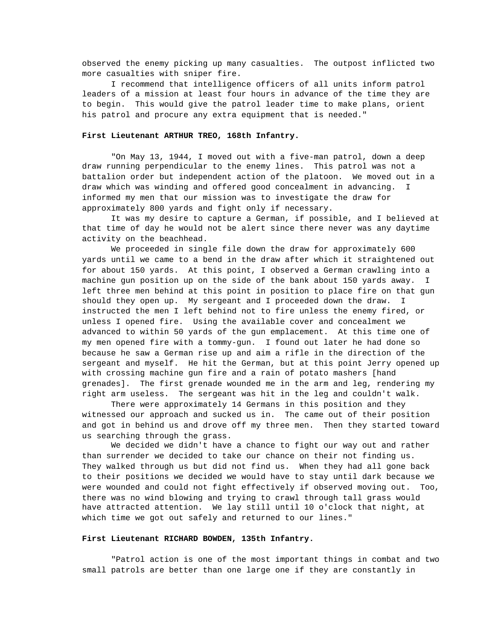observed the enemy picking up many casualties. The outpost inflicted two more casualties with sniper fire.

I recommend that intelligence officers of all units inform patrol leaders of a mission at least four hours in advance of the time they are to begin. This would give the patrol leader time to make plans, orient his patrol and procure any extra equipment that is needed."

#### **First Lieutenant ARTHUR TREO, 168th Infantry.**

"On May 13, 1944, I moved out with a five-man patrol, down a deep draw running perpendicular to the enemy lines. This patrol was not a battalion order but independent action of the platoon. We moved out in a draw which was winding and offered good concealment in advancing. I informed my men that our mission was to investigate the draw for approximately 800 yards and fight only if necessary.

It was my desire to capture a German, if possible, and I believed at that time of day he would not be alert since there never was any daytime activity on the beachhead.

We proceeded in single file down the draw for approximately 600 yards until we came to a bend in the draw after which it straightened out for about 150 yards. At this point, I observed a German crawling into a machine gun position up on the side of the bank about 150 yards away. I left three men behind at this point in position to place fire on that gun should they open up. My sergeant and I proceeded down the draw. I instructed the men I left behind not to fire unless the enemy fired, or unless I opened fire. Using the available cover and concealment we advanced to within 50 yards of the gun emplacement. At this time one of my men opened fire with a tommy-gun. I found out later he had done so because he saw a German rise up and aim a rifle in the direction of the sergeant and myself. He hit the German, but at this point Jerry opened up with crossing machine gun fire and a rain of potato mashers [hand grenades]. The first grenade wounded me in the arm and leg, rendering my right arm useless. The sergeant was hit in the leg and couldn't walk.

There were approximately 14 Germans in this position and they witnessed our approach and sucked us in. The came out of their position and got in behind us and drove off my three men. Then they started toward us searching through the grass.

We decided we didn't have a chance to fight our way out and rather than surrender we decided to take our chance on their not finding us. They walked through us but did not find us. When they had all gone back to their positions we decided we would have to stay until dark because we were wounded and could not fight effectively if observed moving out. Too, there was no wind blowing and trying to crawl through tall grass would have attracted attention. We lay still until 10 o'clock that night, at which time we got out safely and returned to our lines."

#### **First Lieutenant RICHARD BOWDEN, 135th Infantry.**

"Patrol action is one of the most important things in combat and two small patrols are better than one large one if they are constantly in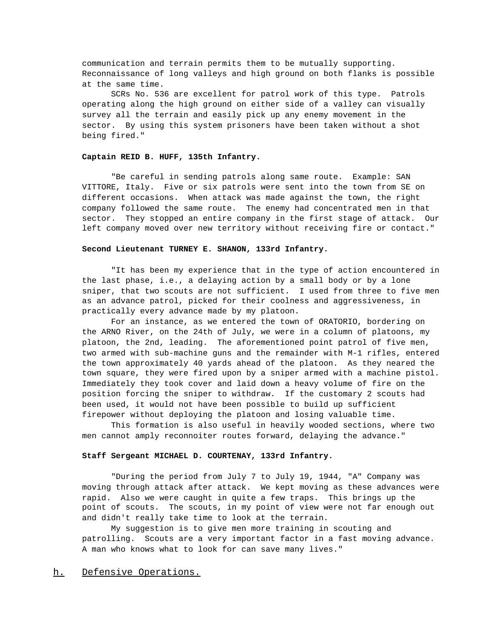communication and terrain permits them to be mutually supporting. Reconnaissance of long valleys and high ground on both flanks is possible at the same time.

SCRs No. 536 are excellent for patrol work of this type. Patrols operating along the high ground on either side of a valley can visually survey all the terrain and easily pick up any enemy movement in the sector. By using this system prisoners have been taken without a shot being fired."

#### **Captain REID B. HUFF, 135th Infantry.**

"Be careful in sending patrols along same route. Example: SAN VITTORE, Italy. Five or six patrols were sent into the town from SE on different occasions. When attack was made against the town, the right company followed the same route. The enemy had concentrated men in that sector. They stopped an entire company in the first stage of attack. Our left company moved over new territory without receiving fire or contact."

#### **Second Lieutenant TURNEY E. SHANON, 133rd Infantry.**

"It has been my experience that in the type of action encountered in the last phase, i.e., a delaying action by a small body or by a lone sniper, that two scouts are not sufficient. I used from three to five men as an advance patrol, picked for their coolness and aggressiveness, in practically every advance made by my platoon.

For an instance, as we entered the town of ORATORIO, bordering on the ARNO River, on the 24th of July, we were in a column of platoons, my platoon, the 2nd, leading. The aforementioned point patrol of five men, two armed with sub-machine guns and the remainder with M-1 rifles, entered the town approximately 40 yards ahead of the platoon. As they neared the town square, they were fired upon by a sniper armed with a machine pistol. Immediately they took cover and laid down a heavy volume of fire on the position forcing the sniper to withdraw. If the customary 2 scouts had been used, it would not have been possible to build up sufficient firepower without deploying the platoon and losing valuable time.

This formation is also useful in heavily wooded sections, where two men cannot amply reconnoiter routes forward, delaying the advance."

#### **Staff Sergeant MICHAEL D. COURTENAY, 133rd Infantry.**

"During the period from July 7 to July 19, 1944, "A" Company was moving through attack after attack. We kept moving as these advances were rapid. Also we were caught in quite a few traps. This brings up the point of scouts. The scouts, in my point of view were not far enough out and didn't really take time to look at the terrain.

My suggestion is to give men more training in scouting and patrolling. Scouts are a very important factor in a fast moving advance. A man who knows what to look for can save many lives."

### h. Defensive Operations.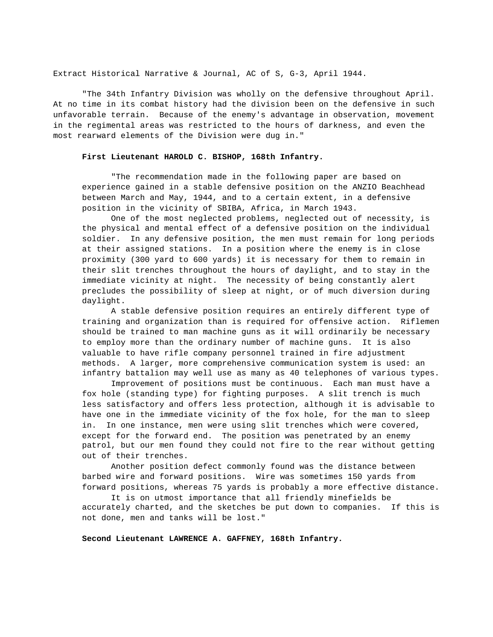Extract Historical Narrative & Journal, AC of S, G-3, April 1944.

"The 34th Infantry Division was wholly on the defensive throughout April. At no time in its combat history had the division been on the defensive in such unfavorable terrain. Because of the enemy's advantage in observation, movement in the regimental areas was restricted to the hours of darkness, and even the most rearward elements of the Division were dug in."

#### **First Lieutenant HAROLD C. BISHOP, 168th Infantry.**

"The recommendation made in the following paper are based on experience gained in a stable defensive position on the ANZIO Beachhead between March and May, 1944, and to a certain extent, in a defensive position in the vicinity of SBIBA, Africa, in March 1943.

One of the most neglected problems, neglected out of necessity, is the physical and mental effect of a defensive position on the individual soldier. In any defensive position, the men must remain for long periods at their assigned stations. In a position where the enemy is in close proximity (300 yard to 600 yards) it is necessary for them to remain in their slit trenches throughout the hours of daylight, and to stay in the immediate vicinity at night. The necessity of being constantly alert precludes the possibility of sleep at night, or of much diversion during daylight.

A stable defensive position requires an entirely different type of training and organization than is required for offensive action. Riflemen should be trained to man machine guns as it will ordinarily be necessary to employ more than the ordinary number of machine guns. It is also valuable to have rifle company personnel trained in fire adjustment methods. A larger, more comprehensive communication system is used: an infantry battalion may well use as many as 40 telephones of various types.

Improvement of positions must be continuous. Each man must have a fox hole (standing type) for fighting purposes. A slit trench is much less satisfactory and offers less protection, although it is advisable to have one in the immediate vicinity of the fox hole, for the man to sleep in. In one instance, men were using slit trenches which were covered, except for the forward end. The position was penetrated by an enemy patrol, but our men found they could not fire to the rear without getting out of their trenches.

Another position defect commonly found was the distance between barbed wire and forward positions. Wire was sometimes 150 yards from forward positions, whereas 75 yards is probably a more effective distance.

It is on utmost importance that all friendly minefields be accurately charted, and the sketches be put down to companies. If this is not done, men and tanks will be lost."

**Second Lieutenant LAWRENCE A. GAFFNEY, 168th Infantry.**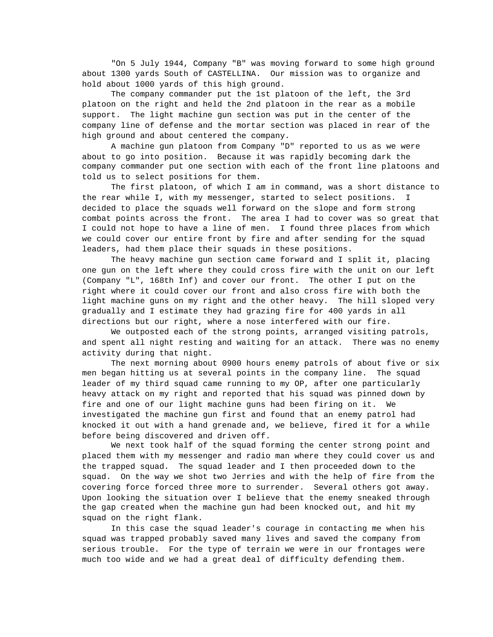"On 5 July 1944, Company "B" was moving forward to some high ground about 1300 yards South of CASTELLINA. Our mission was to organize and hold about 1000 yards of this high ground.

The company commander put the 1st platoon of the left, the 3rd platoon on the right and held the 2nd platoon in the rear as a mobile support. The light machine gun section was put in the center of the company line of defense and the mortar section was placed in rear of the high ground and about centered the company.

A machine gun platoon from Company "D" reported to us as we were about to go into position. Because it was rapidly becoming dark the company commander put one section with each of the front line platoons and told us to select positions for them.

The first platoon, of which I am in command, was a short distance to the rear while I, with my messenger, started to select positions. I decided to place the squads well forward on the slope and form strong combat points across the front. The area I had to cover was so great that I could not hope to have a line of men. I found three places from which we could cover our entire front by fire and after sending for the squad leaders, had them place their squads in these positions.

The heavy machine gun section came forward and I split it, placing one gun on the left where they could cross fire with the unit on our left (Company "L", 168th Inf) and cover our front. The other I put on the right where it could cover our front and also cross fire with both the light machine guns on my right and the other heavy. The hill sloped very gradually and I estimate they had grazing fire for 400 yards in all directions but our right, where a nose interfered with our fire.

We outposted each of the strong points, arranged visiting patrols, and spent all night resting and waiting for an attack. There was no enemy activity during that night.

The next morning about 0900 hours enemy patrols of about five or six men began hitting us at several points in the company line. The squad leader of my third squad came running to my OP, after one particularly heavy attack on my right and reported that his squad was pinned down by fire and one of our light machine guns had been firing on it. We investigated the machine gun first and found that an enemy patrol had knocked it out with a hand grenade and, we believe, fired it for a while before being discovered and driven off.

We next took half of the squad forming the center strong point and placed them with my messenger and radio man where they could cover us and the trapped squad. The squad leader and I then proceeded down to the squad. On the way we shot two Jerries and with the help of fire from the covering force forced three more to surrender. Several others got away. Upon looking the situation over I believe that the enemy sneaked through the gap created when the machine gun had been knocked out, and hit my squad on the right flank.

In this case the squad leader's courage in contacting me when his squad was trapped probably saved many lives and saved the company from serious trouble. For the type of terrain we were in our frontages were much too wide and we had a great deal of difficulty defending them.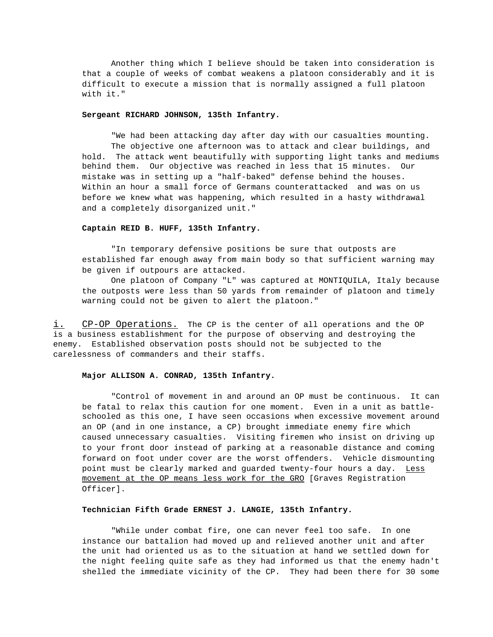Another thing which I believe should be taken into consideration is that a couple of weeks of combat weakens a platoon considerably and it is difficult to execute a mission that is normally assigned a full platoon with it."

#### **Sergeant RICHARD JOHNSON, 135th Infantry.**

"We had been attacking day after day with our casualties mounting. The objective one afternoon was to attack and clear buildings, and hold. The attack went beautifully with supporting light tanks and mediums behind them. Our objective was reached in less that 15 minutes. Our mistake was in setting up a "half-baked" defense behind the houses. Within an hour a small force of Germans counterattacked and was on us before we knew what was happening, which resulted in a hasty withdrawal and a completely disorganized unit."

#### **Captain REID B. HUFF, 135th Infantry.**

"In temporary defensive positions be sure that outposts are established far enough away from main body so that sufficient warning may be given if outpours are attacked.

One platoon of Company "L" was captured at MONTIQUILA, Italy because the outposts were less than 50 yards from remainder of platoon and timely warning could not be given to alert the platoon."

i. CP-OP Operations. The CP is the center of all operations and the OP is a business establishment for the purpose of observing and destroying the enemy. Established observation posts should not be subjected to the carelessness of commanders and their staffs.

#### **Major ALLISON A. CONRAD, 135th Infantry.**

"Control of movement in and around an OP must be continuous. It can be fatal to relax this caution for one moment. Even in a unit as battleschooled as this one, I have seen occasions when excessive movement around an OP (and in one instance, a CP) brought immediate enemy fire which caused unnecessary casualties. Visiting firemen who insist on driving up to your front door instead of parking at a reasonable distance and coming forward on foot under cover are the worst offenders. Vehicle dismounting point must be clearly marked and guarded twenty-four hours a day. Less movement at the OP means less work for the GRO [Graves Registration Officer].

#### **Technician Fifth Grade ERNEST J. LANGIE, 135th Infantry.**

"While under combat fire, one can never feel too safe. In one instance our battalion had moved up and relieved another unit and after the unit had oriented us as to the situation at hand we settled down for the night feeling quite safe as they had informed us that the enemy hadn't shelled the immediate vicinity of the CP. They had been there for 30 some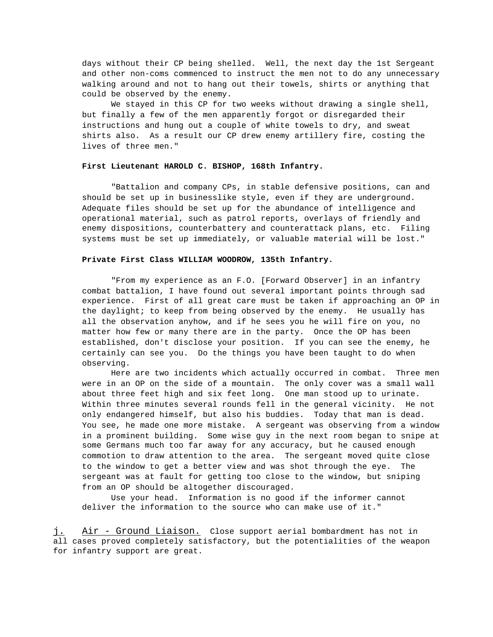days without their CP being shelled. Well, the next day the 1st Sergeant and other non-coms commenced to instruct the men not to do any unnecessary walking around and not to hang out their towels, shirts or anything that could be observed by the enemy.

We stayed in this CP for two weeks without drawing a single shell, but finally a few of the men apparently forgot or disregarded their instructions and hung out a couple of white towels to dry, and sweat shirts also. As a result our CP drew enemy artillery fire, costing the lives of three men."

#### **First Lieutenant HAROLD C. BISHOP, 168th Infantry.**

"Battalion and company CPs, in stable defensive positions, can and should be set up in businesslike style, even if they are underground. Adequate files should be set up for the abundance of intelligence and operational material, such as patrol reports, overlays of friendly and enemy dispositions, counterbattery and counterattack plans, etc. Filing systems must be set up immediately, or valuable material will be lost."

#### **Private First Class WILLIAM WOODROW, 135th Infantry.**

"From my experience as an F.O. [Forward Observer] in an infantry combat battalion, I have found out several important points through sad experience. First of all great care must be taken if approaching an OP in the daylight; to keep from being observed by the enemy. He usually has all the observation anyhow, and if he sees you he will fire on you, no matter how few or many there are in the party. Once the OP has been established, don't disclose your position. If you can see the enemy, he certainly can see you. Do the things you have been taught to do when observing.

Here are two incidents which actually occurred in combat. Three men were in an OP on the side of a mountain. The only cover was a small wall about three feet high and six feet long. One man stood up to urinate. Within three minutes several rounds fell in the general vicinity. He not only endangered himself, but also his buddies. Today that man is dead. You see, he made one more mistake. A sergeant was observing from a window in a prominent building. Some wise guy in the next room began to snipe at some Germans much too far away for any accuracy, but he caused enough commotion to draw attention to the area. The sergeant moved quite close to the window to get a better view and was shot through the eye. The sergeant was at fault for getting too close to the window, but sniping from an OP should be altogether discouraged.

Use your head. Information is no good if the informer cannot deliver the information to the source who can make use of it."

j. Air - Ground Liaison. Close support aerial bombardment has not in all cases proved completely satisfactory, but the potentialities of the weapon for infantry support are great.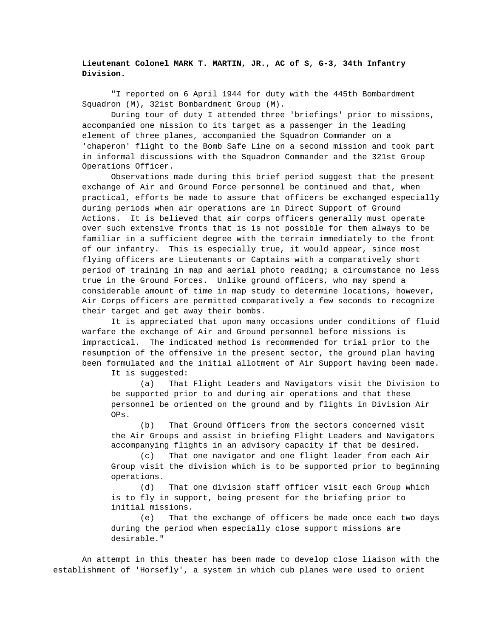## **Lieutenant Colonel MARK T. MARTIN, JR., AC of S, G-3, 34th Infantry Division.**

"I reported on 6 April 1944 for duty with the 445th Bombardment Squadron (M), 321st Bombardment Group (M).

During tour of duty I attended three 'briefings' prior to missions, accompanied one mission to its target as a passenger in the leading element of three planes, accompanied the Squadron Commander on a 'chaperon' flight to the Bomb Safe Line on a second mission and took part in informal discussions with the Squadron Commander and the 321st Group Operations Officer.

Observations made during this brief period suggest that the present exchange of Air and Ground Force personnel be continued and that, when practical, efforts be made to assure that officers be exchanged especially during periods when air operations are in Direct Support of Ground Actions. It is believed that air corps officers generally must operate over such extensive fronts that is is not possible for them always to be familiar in a sufficient degree with the terrain immediately to the front of our infantry. This is especially true, it would appear, since most flying officers are Lieutenants or Captains with a comparatively short period of training in map and aerial photo reading; a circumstance no less true in the Ground Forces. Unlike ground officers, who may spend a considerable amount of time in map study to determine locations, however, Air Corps officers are permitted comparatively a few seconds to recognize their target and get away their bombs.

It is appreciated that upon many occasions under conditions of fluid warfare the exchange of Air and Ground personnel before missions is impractical. The indicated method is recommended for trial prior to the resumption of the offensive in the present sector, the ground plan having been formulated and the initial allotment of Air Support having been made.

It is suggested:

(a) That Flight Leaders and Navigators visit the Division to be supported prior to and during air operations and that these personnel be oriented on the ground and by flights in Division Air OPs.

(b) That Ground Officers from the sectors concerned visit the Air Groups and assist in briefing Flight Leaders and Navigators accompanying flights in an advisory capacity if that be desired.

(c) That one navigator and one flight leader from each Air Group visit the division which is to be supported prior to beginning operations.

(d) That one division staff officer visit each Group which is to fly in support, being present for the briefing prior to initial missions.

(e) That the exchange of officers be made once each two days during the period when especially close support missions are desirable."

An attempt in this theater has been made to develop close liaison with the establishment of 'Horsefly', a system in which cub planes were used to orient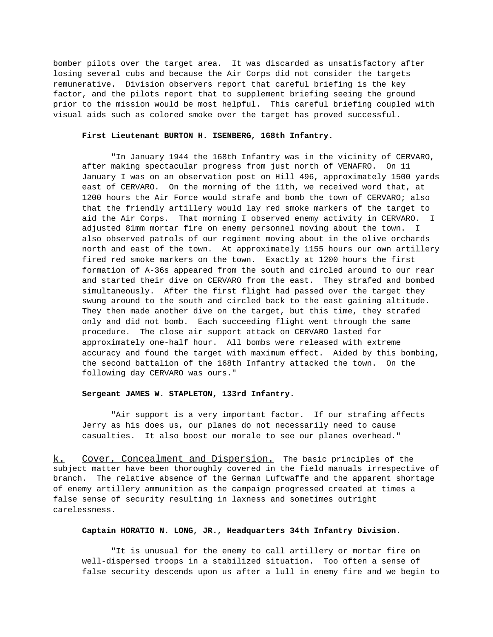bomber pilots over the target area. It was discarded as unsatisfactory after losing several cubs and because the Air Corps did not consider the targets remunerative. Division observers report that careful briefing is the key factor, and the pilots report that to supplement briefing seeing the ground prior to the mission would be most helpful. This careful briefing coupled with visual aids such as colored smoke over the target has proved successful.

#### **First Lieutenant BURTON H. ISENBERG, 168th Infantry.**

"In January 1944 the 168th Infantry was in the vicinity of CERVARO, after making spectacular progress from just north of VENAFRO. On 11 January I was on an observation post on Hill 496, approximately 1500 yards east of CERVARO. On the morning of the 11th, we received word that, at 1200 hours the Air Force would strafe and bomb the town of CERVARO; also that the friendly artillery would lay red smoke markers of the target to aid the Air Corps. That morning I observed enemy activity in CERVARO. I adjusted 81mm mortar fire on enemy personnel moving about the town. also observed patrols of our regiment moving about in the olive orchards north and east of the town. At approximately 1155 hours our own artillery fired red smoke markers on the town. Exactly at 1200 hours the first formation of A-36s appeared from the south and circled around to our rear and started their dive on CERVARO from the east. They strafed and bombed simultaneously. After the first flight had passed over the target they swung around to the south and circled back to the east gaining altitude. They then made another dive on the target, but this time, they strafed only and did not bomb. Each succeeding flight went through the same procedure. The close air support attack on CERVARO lasted for approximately one-half hour. All bombs were released with extreme accuracy and found the target with maximum effect. Aided by this bombing, the second battalion of the 168th Infantry attacked the town. On the following day CERVARO was ours."

#### **Sergeant JAMES W. STAPLETON, 133rd Infantry.**

"Air support is a very important factor. If our strafing affects Jerry as his does us, our planes do not necessarily need to cause casualties. It also boost our morale to see our planes overhead."

k. Cover, Concealment and Dispersion. The basic principles of the subject matter have been thoroughly covered in the field manuals irrespective of branch. The relative absence of the German Luftwaffe and the apparent shortage of enemy artillery ammunition as the campaign progressed created at times a false sense of security resulting in laxness and sometimes outright carelessness.

#### **Captain HORATIO N. LONG, JR., Headquarters 34th Infantry Division.**

"It is unusual for the enemy to call artillery or mortar fire on well-dispersed troops in a stabilized situation. Too often a sense of false security descends upon us after a lull in enemy fire and we begin to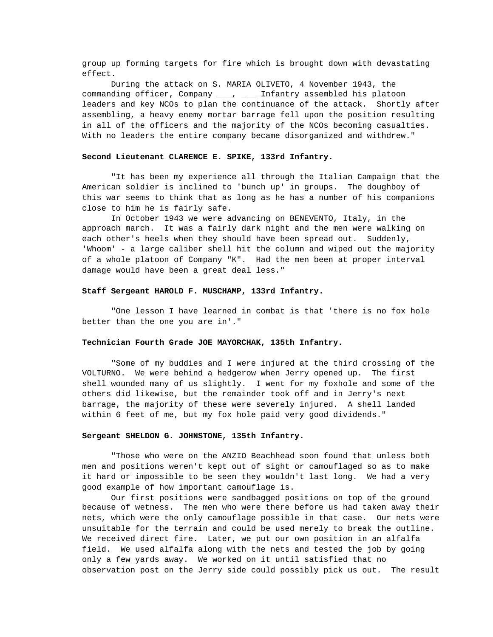group up forming targets for fire which is brought down with devastating effect.

During the attack on S. MARIA OLIVETO, 4 November 1943, the commanding officer, Company \_\_\_, \_\_\_ Infantry assembled his platoon leaders and key NCOs to plan the continuance of the attack. Shortly after assembling, a heavy enemy mortar barrage fell upon the position resulting in all of the officers and the majority of the NCOs becoming casualties. With no leaders the entire company became disorganized and withdrew."

#### **Second Lieutenant CLARENCE E. SPIKE, 133rd Infantry.**

"It has been my experience all through the Italian Campaign that the American soldier is inclined to 'bunch up' in groups. The doughboy of this war seems to think that as long as he has a number of his companions close to him he is fairly safe.

In October 1943 we were advancing on BENEVENTO, Italy, in the approach march. It was a fairly dark night and the men were walking on each other's heels when they should have been spread out. Suddenly, 'Whoom' - a large caliber shell hit the column and wiped out the majority of a whole platoon of Company "K". Had the men been at proper interval damage would have been a great deal less."

#### **Staff Sergeant HAROLD F. MUSCHAMP, 133rd Infantry.**

"One lesson I have learned in combat is that 'there is no fox hole better than the one you are in'."

### **Technician Fourth Grade JOE MAYORCHAK, 135th Infantry.**

"Some of my buddies and I were injured at the third crossing of the VOLTURNO. We were behind a hedgerow when Jerry opened up. The first shell wounded many of us slightly. I went for my foxhole and some of the others did likewise, but the remainder took off and in Jerry's next barrage, the majority of these were severely injured. A shell landed within 6 feet of me, but my fox hole paid very good dividends."

#### **Sergeant SHELDON G. JOHNSTONE, 135th Infantry.**

"Those who were on the ANZIO Beachhead soon found that unless both men and positions weren't kept out of sight or camouflaged so as to make it hard or impossible to be seen they wouldn't last long. We had a very good example of how important camouflage is.

Our first positions were sandbagged positions on top of the ground because of wetness. The men who were there before us had taken away their nets, which were the only camouflage possible in that case. Our nets were unsuitable for the terrain and could be used merely to break the outline. We received direct fire. Later, we put our own position in an alfalfa field. We used alfalfa along with the nets and tested the job by going only a few yards away. We worked on it until satisfied that no observation post on the Jerry side could possibly pick us out. The result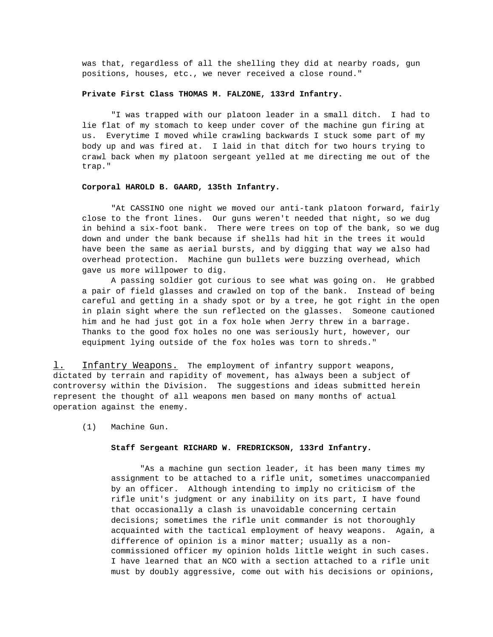was that, regardless of all the shelling they did at nearby roads, gun positions, houses, etc., we never received a close round."

#### **Private First Class THOMAS M. FALZONE, 133rd Infantry.**

"I was trapped with our platoon leader in a small ditch. I had to lie flat of my stomach to keep under cover of the machine gun firing at us. Everytime I moved while crawling backwards I stuck some part of my body up and was fired at. I laid in that ditch for two hours trying to crawl back when my platoon sergeant yelled at me directing me out of the trap."

#### **Corporal HAROLD B. GAARD, 135th Infantry.**

"At CASSINO one night we moved our anti-tank platoon forward, fairly close to the front lines. Our guns weren't needed that night, so we dug in behind a six-foot bank. There were trees on top of the bank, so we dug down and under the bank because if shells had hit in the trees it would have been the same as aerial bursts, and by digging that way we also had overhead protection. Machine gun bullets were buzzing overhead, which gave us more willpower to dig.

A passing soldier got curious to see what was going on. He grabbed a pair of field glasses and crawled on top of the bank. Instead of being careful and getting in a shady spot or by a tree, he got right in the open in plain sight where the sun reflected on the glasses. Someone cautioned him and he had just got in a fox hole when Jerry threw in a barrage. Thanks to the good fox holes no one was seriously hurt, however, our equipment lying outside of the fox holes was torn to shreds."

1. Infantry Weapons. The employment of infantry support weapons, dictated by terrain and rapidity of movement, has always been a subject of controversy within the Division. The suggestions and ideas submitted herein represent the thought of all weapons men based on many months of actual operation against the enemy.

(1) Machine Gun.

#### **Staff Sergeant RICHARD W. FREDRICKSON, 133rd Infantry.**

"As a machine gun section leader, it has been many times my assignment to be attached to a rifle unit, sometimes unaccompanied by an officer. Although intending to imply no criticism of the rifle unit's judgment or any inability on its part, I have found that occasionally a clash is unavoidable concerning certain decisions; sometimes the rifle unit commander is not thoroughly acquainted with the tactical employment of heavy weapons. Again, a difference of opinion is a minor matter; usually as a noncommissioned officer my opinion holds little weight in such cases. I have learned that an NCO with a section attached to a rifle unit must by doubly aggressive, come out with his decisions or opinions,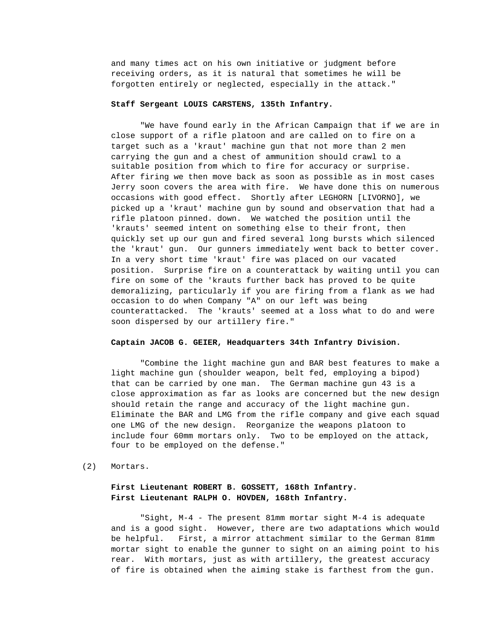and many times act on his own initiative or judgment before receiving orders, as it is natural that sometimes he will be forgotten entirely or neglected, especially in the attack."

#### **Staff Sergeant LOUIS CARSTENS, 135th Infantry.**

"We have found early in the African Campaign that if we are in close support of a rifle platoon and are called on to fire on a target such as a 'kraut' machine gun that not more than 2 men carrying the gun and a chest of ammunition should crawl to a suitable position from which to fire for accuracy or surprise. After firing we then move back as soon as possible as in most cases Jerry soon covers the area with fire. We have done this on numerous occasions with good effect. Shortly after LEGHORN [LIVORNO], we picked up a 'kraut' machine gun by sound and observation that had a rifle platoon pinned. down. We watched the position until the 'krauts' seemed intent on something else to their front, then quickly set up our gun and fired several long bursts which silenced the 'kraut' gun. Our gunners immediately went back to better cover. In a very short time 'kraut' fire was placed on our vacated position. Surprise fire on a counterattack by waiting until you can fire on some of the 'krauts further back has proved to be quite demoralizing, particularly if you are firing from a flank as we had occasion to do when Company "A" on our left was being counterattacked. The 'krauts' seemed at a loss what to do and were soon dispersed by our artillery fire."

#### **Captain JACOB G. GEIER, Headquarters 34th Infantry Division.**

"Combine the light machine gun and BAR best features to make a light machine gun (shoulder weapon, belt fed, employing a bipod) that can be carried by one man. The German machine gun 43 is a close approximation as far as looks are concerned but the new design should retain the range and accuracy of the light machine gun. Eliminate the BAR and LMG from the rifle company and give each squad one LMG of the new design. Reorganize the weapons platoon to include four 60mm mortars only. Two to be employed on the attack, four to be employed on the defense."

#### (2) Mortars.

## **First Lieutenant ROBERT B. GOSSETT, 168th Infantry. First Lieutenant RALPH O. HOVDEN, 168th Infantry.**

"Sight, M-4 - The present 81mm mortar sight M-4 is adequate and is a good sight. However, there are two adaptations which would be helpful. First, a mirror attachment similar to the German 81mm mortar sight to enable the gunner to sight on an aiming point to his rear. With mortars, just as with artillery, the greatest accuracy of fire is obtained when the aiming stake is farthest from the gun.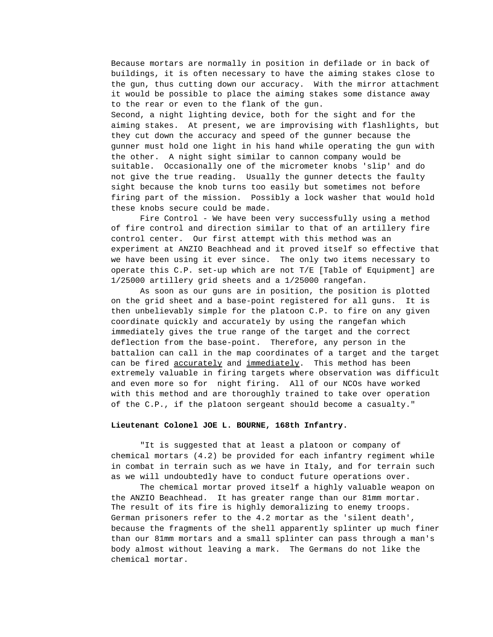Because mortars are normally in position in defilade or in back of buildings, it is often necessary to have the aiming stakes close to the gun, thus cutting down our accuracy. With the mirror attachment it would be possible to place the aiming stakes some distance away to the rear or even to the flank of the gun. Second, a night lighting device, both for the sight and for the aiming stakes. At present, we are improvising with flashlights, but they cut down the accuracy and speed of the gunner because the gunner must hold one light in his hand while operating the gun with the other. A night sight similar to cannon company would be suitable. Occasionally one of the micrometer knobs 'slip' and do not give the true reading. Usually the gunner detects the faulty sight because the knob turns too easily but sometimes not before firing part of the mission. Possibly a lock washer that would hold these knobs secure could be made.

Fire Control - We have been very successfully using a method of fire control and direction similar to that of an artillery fire control center. Our first attempt with this method was an experiment at ANZIO Beachhead and it proved itself so effective that we have been using it ever since. The only two items necessary to operate this C.P. set-up which are not T/E [Table of Equipment] are 1/25000 artillery grid sheets and a 1/25000 rangefan.

As soon as our guns are in position, the position is plotted on the grid sheet and a base-point registered for all guns. It is then unbelievably simple for the platoon C.P. to fire on any given coordinate quickly and accurately by using the rangefan which immediately gives the true range of the target and the correct deflection from the base-point. Therefore, any person in the battalion can call in the map coordinates of a target and the target can be fired accurately and immediately. This method has been extremely valuable in firing targets where observation was difficult and even more so for night firing. All of our NCOs have worked with this method and are thoroughly trained to take over operation of the C.P., if the platoon sergeant should become a casualty."

#### **Lieutenant Colonel JOE L. BOURNE, 168th Infantry.**

"It is suggested that at least a platoon or company of chemical mortars (4.2) be provided for each infantry regiment while in combat in terrain such as we have in Italy, and for terrain such as we will undoubtedly have to conduct future operations over.

The chemical mortar proved itself a highly valuable weapon on the ANZIO Beachhead. It has greater range than our 81mm mortar. The result of its fire is highly demoralizing to enemy troops. German prisoners refer to the 4.2 mortar as the 'silent death', because the fragments of the shell apparently splinter up much finer than our 81mm mortars and a small splinter can pass through a man's body almost without leaving a mark. The Germans do not like the chemical mortar.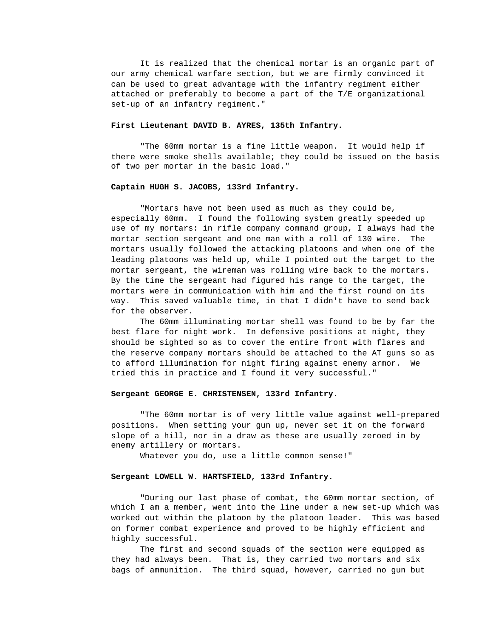It is realized that the chemical mortar is an organic part of our army chemical warfare section, but we are firmly convinced it can be used to great advantage with the infantry regiment either attached or preferably to become a part of the T/E organizational set-up of an infantry regiment."

#### **First Lieutenant DAVID B. AYRES, 135th Infantry.**

"The 60mm mortar is a fine little weapon. It would help if there were smoke shells available; they could be issued on the basis of two per mortar in the basic load."

### **Captain HUGH S. JACOBS, 133rd Infantry.**

"Mortars have not been used as much as they could be, especially 60mm. I found the following system greatly speeded up use of my mortars: in rifle company command group, I always had the mortar section sergeant and one man with a roll of 130 wire. The mortars usually followed the attacking platoons and when one of the leading platoons was held up, while I pointed out the target to the mortar sergeant, the wireman was rolling wire back to the mortars. By the time the sergeant had figured his range to the target, the mortars were in communication with him and the first round on its way. This saved valuable time, in that I didn't have to send back for the observer.

The 60mm illuminating mortar shell was found to be by far the best flare for night work. In defensive positions at night, they should be sighted so as to cover the entire front with flares and the reserve company mortars should be attached to the AT guns so as to afford illumination for night firing against enemy armor. We tried this in practice and I found it very successful."

#### **Sergeant GEORGE E. CHRISTENSEN, 133rd Infantry.**

"The 60mm mortar is of very little value against well-prepared positions. When setting your gun up, never set it on the forward slope of a hill, nor in a draw as these are usually zeroed in by enemy artillery or mortars.

Whatever you do, use a little common sense!"

#### **Sergeant LOWELL W. HARTSFIELD, 133rd Infantry.**

"During our last phase of combat, the 60mm mortar section, of which I am a member, went into the line under a new set-up which was worked out within the platoon by the platoon leader. This was based on former combat experience and proved to be highly efficient and highly successful.

The first and second squads of the section were equipped as they had always been. That is, they carried two mortars and six bags of ammunition. The third squad, however, carried no gun but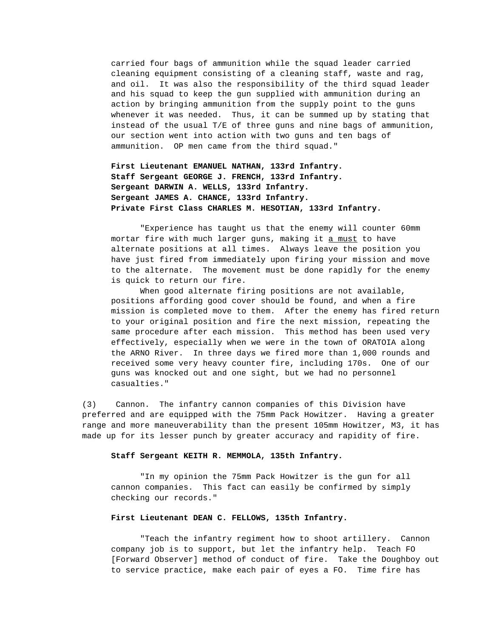carried four bags of ammunition while the squad leader carried cleaning equipment consisting of a cleaning staff, waste and rag, and oil. It was also the responsibility of the third squad leader and his squad to keep the gun supplied with ammunition during an action by bringing ammunition from the supply point to the guns whenever it was needed. Thus, it can be summed up by stating that instead of the usual T/E of three guns and nine bags of ammunition, our section went into action with two guns and ten bags of ammunition. OP men came from the third squad."

**First Lieutenant EMANUEL NATHAN, 133rd Infantry. Staff Sergeant GEORGE J. FRENCH, 133rd Infantry. Sergeant DARWIN A. WELLS, 133rd Infantry. Sergeant JAMES A. CHANCE, 133rd Infantry. Private First Class CHARLES M. HESOTIAN, 133rd Infantry.**

"Experience has taught us that the enemy will counter 60mm mortar fire with much larger guns, making it a must to have alternate positions at all times. Always leave the position you have just fired from immediately upon firing your mission and move to the alternate. The movement must be done rapidly for the enemy is quick to return our fire.

When good alternate firing positions are not available, positions affording good cover should be found, and when a fire mission is completed move to them. After the enemy has fired return to your original position and fire the next mission, repeating the same procedure after each mission. This method has been used very effectively, especially when we were in the town of ORATOIA along the ARNO River. In three days we fired more than 1,000 rounds and received some very heavy counter fire, including 170s. One of our guns was knocked out and one sight, but we had no personnel casualties."

(3) Cannon. The infantry cannon companies of this Division have preferred and are equipped with the 75mm Pack Howitzer. Having a greater range and more maneuverability than the present 105mm Howitzer, M3, it has made up for its lesser punch by greater accuracy and rapidity of fire.

#### **Staff Sergeant KEITH R. MEMMOLA, 135th Infantry.**

"In my opinion the 75mm Pack Howitzer is the gun for all cannon companies. This fact can easily be confirmed by simply checking our records."

#### **First Lieutenant DEAN C. FELLOWS, 135th Infantry.**

"Teach the infantry regiment how to shoot artillery. Cannon company job is to support, but let the infantry help. Teach FO [Forward Observer] method of conduct of fire. Take the Doughboy out to service practice, make each pair of eyes a FO. Time fire has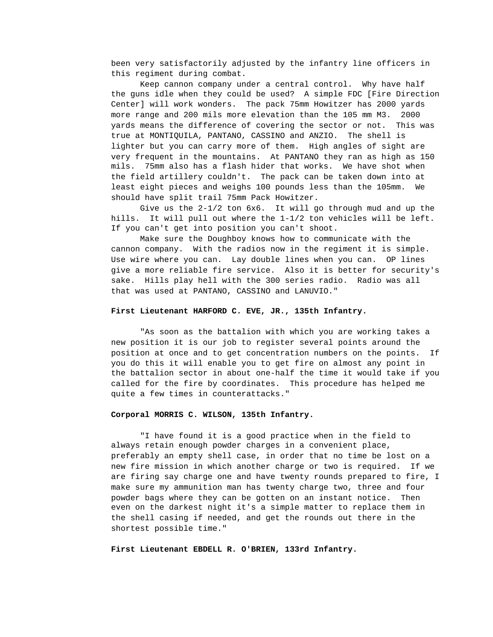been very satisfactorily adjusted by the infantry line officers in this regiment during combat.

Keep cannon company under a central control. Why have half the guns idle when they could be used? A simple FDC [Fire Direction Center] will work wonders. The pack 75mm Howitzer has 2000 yards more range and 200 mils more elevation than the 105 mm M3. 2000 yards means the difference of covering the sector or not. This was true at MONTIQUILA, PANTANO, CASSINO and ANZIO. The shell is lighter but you can carry more of them. High angles of sight are very frequent in the mountains. At PANTANO they ran as high as 150 mils. 75mm also has a flash hider that works. We have shot when the field artillery couldn't. The pack can be taken down into at least eight pieces and weighs 100 pounds less than the 105mm. We should have split trail 75mm Pack Howitzer.

Give us the 2-1/2 ton 6x6. It will go through mud and up the hills. It will pull out where the 1-1/2 ton vehicles will be left. If you can't get into position you can't shoot.

Make sure the Doughboy knows how to communicate with the cannon company. With the radios now in the regiment it is simple. Use wire where you can. Lay double lines when you can. OP lines give a more reliable fire service. Also it is better for security's sake. Hills play hell with the 300 series radio. Radio was all that was used at PANTANO, CASSINO and LANUVIO."

#### **First Lieutenant HARFORD C. EVE, JR., 135th Infantry.**

"As soon as the battalion with which you are working takes a new position it is our job to register several points around the position at once and to get concentration numbers on the points. If you do this it will enable you to get fire on almost any point in the battalion sector in about one-half the time it would take if you called for the fire by coordinates. This procedure has helped me quite a few times in counterattacks."

#### **Corporal MORRIS C. WILSON, 135th Infantry.**

"I have found it is a good practice when in the field to always retain enough powder charges in a convenient place, preferably an empty shell case, in order that no time be lost on a new fire mission in which another charge or two is required. If we are firing say charge one and have twenty rounds prepared to fire, I make sure my ammunition man has twenty charge two, three and four powder bags where they can be gotten on an instant notice. Then even on the darkest night it's a simple matter to replace them in the shell casing if needed, and get the rounds out there in the shortest possible time."

**First Lieutenant EBDELL R. O'BRIEN, 133rd Infantry.**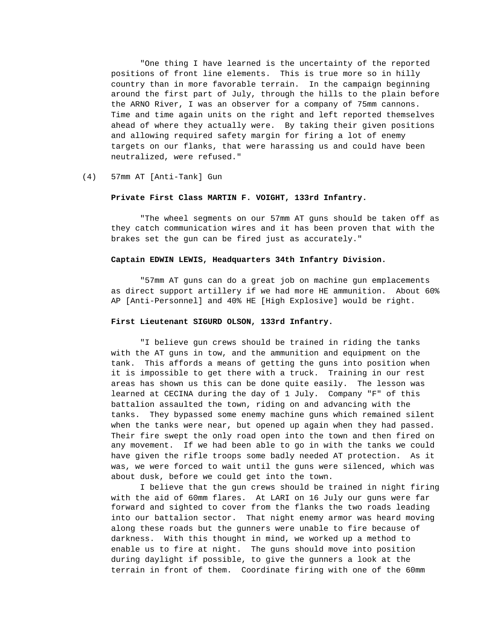"One thing I have learned is the uncertainty of the reported positions of front line elements. This is true more so in hilly country than in more favorable terrain. In the campaign beginning around the first part of July, through the hills to the plain before the ARNO River, I was an observer for a company of 75mm cannons. Time and time again units on the right and left reported themselves ahead of where they actually were. By taking their given positions and allowing required safety margin for firing a lot of enemy targets on our flanks, that were harassing us and could have been neutralized, were refused."

#### (4) 57mm AT [Anti-Tank] Gun

#### **Private First Class MARTIN F. VOIGHT, 133rd Infantry.**

"The wheel segments on our 57mm AT guns should be taken off as they catch communication wires and it has been proven that with the brakes set the gun can be fired just as accurately."

#### **Captain EDWIN LEWIS, Headquarters 34th Infantry Division.**

"57mm AT guns can do a great job on machine gun emplacements as direct support artillery if we had more HE ammunition. About 60% AP [Anti-Personnel] and 40% HE [High Explosive] would be right.

#### **First Lieutenant SIGURD OLSON, 133rd Infantry.**

"I believe gun crews should be trained in riding the tanks with the AT guns in tow, and the ammunition and equipment on the tank. This affords a means of getting the guns into position when it is impossible to get there with a truck. Training in our rest areas has shown us this can be done quite easily. The lesson was learned at CECINA during the day of 1 July. Company "F" of this battalion assaulted the town, riding on and advancing with the tanks. They bypassed some enemy machine guns which remained silent when the tanks were near, but opened up again when they had passed. Their fire swept the only road open into the town and then fired on any movement. If we had been able to go in with the tanks we could have given the rifle troops some badly needed AT protection. As it was, we were forced to wait until the guns were silenced, which was about dusk, before we could get into the town.

I believe that the gun crews should be trained in night firing with the aid of 60mm flares. At LARI on 16 July our guns were far forward and sighted to cover from the flanks the two roads leading into our battalion sector. That night enemy armor was heard moving along these roads but the gunners were unable to fire because of darkness. With this thought in mind, we worked up a method to enable us to fire at night. The guns should move into position during daylight if possible, to give the gunners a look at the terrain in front of them. Coordinate firing with one of the 60mm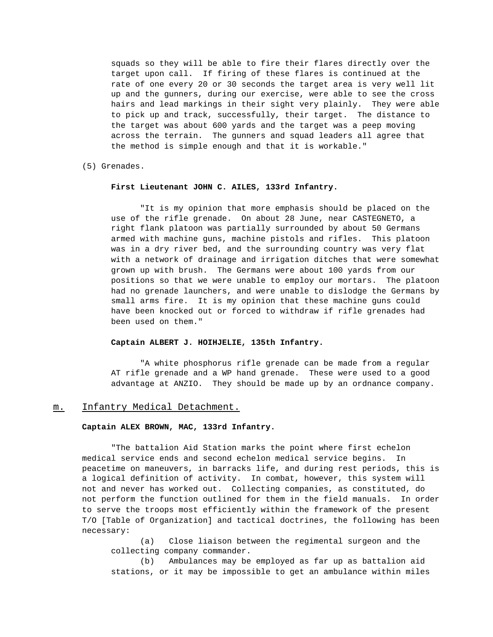squads so they will be able to fire their flares directly over the target upon call. If firing of these flares is continued at the rate of one every 20 or 30 seconds the target area is very well lit up and the gunners, during our exercise, were able to see the cross hairs and lead markings in their sight very plainly. They were able to pick up and track, successfully, their target. The distance to the target was about 600 yards and the target was a peep moving across the terrain. The gunners and squad leaders all agree that the method is simple enough and that it is workable."

(5) Grenades.

#### **First Lieutenant JOHN C. AILES, 133rd Infantry.**

"It is my opinion that more emphasis should be placed on the use of the rifle grenade. On about 28 June, near CASTEGNETO, a right flank platoon was partially surrounded by about 50 Germans armed with machine guns, machine pistols and rifles. This platoon was in a dry river bed, and the surrounding country was very flat with a network of drainage and irrigation ditches that were somewhat grown up with brush. The Germans were about 100 yards from our positions so that we were unable to employ our mortars. The platoon had no grenade launchers, and were unable to dislodge the Germans by small arms fire. It is my opinion that these machine guns could have been knocked out or forced to withdraw if rifle grenades had been used on them."

#### **Captain ALBERT J. HOIHJELIE, 135th Infantry.**

"A white phosphorus rifle grenade can be made from a regular AT rifle grenade and a WP hand grenade. These were used to a good advantage at ANZIO. They should be made up by an ordnance company.

#### m. Infantry Medical Detachment.

#### **Captain ALEX BROWN, MAC, 133rd Infantry.**

"The battalion Aid Station marks the point where first echelon medical service ends and second echelon medical service begins. In peacetime on maneuvers, in barracks life, and during rest periods, this is a logical definition of activity. In combat, however, this system will not and never has worked out. Collecting companies, as constituted, do not perform the function outlined for them in the field manuals. In order to serve the troops most efficiently within the framework of the present T/O [Table of Organization] and tactical doctrines, the following has been necessary:

(a) Close liaison between the regimental surgeon and the collecting company commander.

(b) Ambulances may be employed as far up as battalion aid stations, or it may be impossible to get an ambulance within miles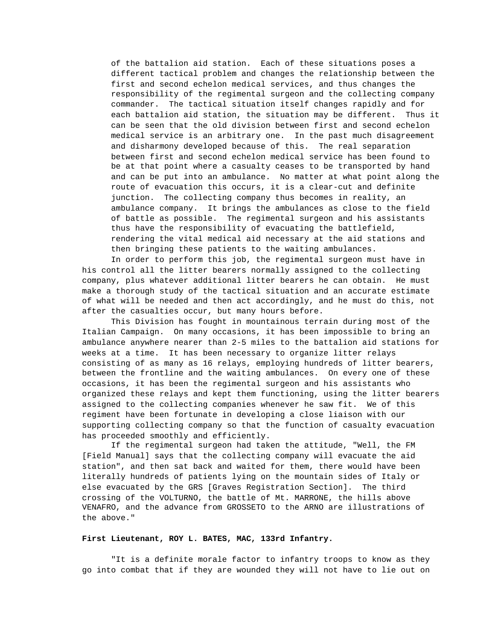of the battalion aid station. Each of these situations poses a different tactical problem and changes the relationship between the first and second echelon medical services, and thus changes the responsibility of the regimental surgeon and the collecting company commander. The tactical situation itself changes rapidly and for each battalion aid station, the situation may be different. Thus it can be seen that the old division between first and second echelon medical service is an arbitrary one. In the past much disagreement and disharmony developed because of this. The real separation between first and second echelon medical service has been found to be at that point where a casualty ceases to be transported by hand and can be put into an ambulance. No matter at what point along the route of evacuation this occurs, it is a clear-cut and definite junction. The collecting company thus becomes in reality, an ambulance company. It brings the ambulances as close to the field of battle as possible. The regimental surgeon and his assistants thus have the responsibility of evacuating the battlefield, rendering the vital medical aid necessary at the aid stations and then bringing these patients to the waiting ambulances.

In order to perform this job, the regimental surgeon must have in his control all the litter bearers normally assigned to the collecting company, plus whatever additional litter bearers he can obtain. He must make a thorough study of the tactical situation and an accurate estimate of what will be needed and then act accordingly, and he must do this, not after the casualties occur, but many hours before.

This Division has fought in mountainous terrain during most of the Italian Campaign. On many occasions, it has been impossible to bring an ambulance anywhere nearer than 2-5 miles to the battalion aid stations for weeks at a time. It has been necessary to organize litter relays consisting of as many as 16 relays, employing hundreds of litter bearers, between the frontline and the waiting ambulances. On every one of these occasions, it has been the regimental surgeon and his assistants who organized these relays and kept them functioning, using the litter bearers assigned to the collecting companies whenever he saw fit. We of this regiment have been fortunate in developing a close liaison with our supporting collecting company so that the function of casualty evacuation has proceeded smoothly and efficiently.

If the regimental surgeon had taken the attitude, "Well, the FM [Field Manual] says that the collecting company will evacuate the aid station", and then sat back and waited for them, there would have been literally hundreds of patients lying on the mountain sides of Italy or else evacuated by the GRS [Graves Registration Section]. The third crossing of the VOLTURNO, the battle of Mt. MARRONE, the hills above VENAFRO, and the advance from GROSSETO to the ARNO are illustrations of the above."

## **First Lieutenant, ROY L. BATES, MAC, 133rd Infantry.**

"It is a definite morale factor to infantry troops to know as they go into combat that if they are wounded they will not have to lie out on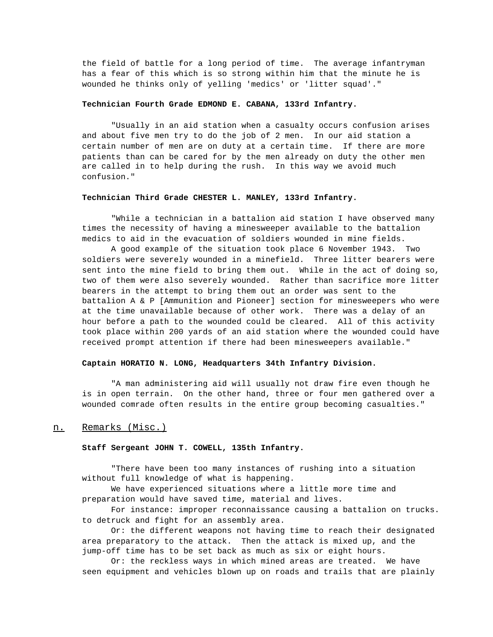the field of battle for a long period of time. The average infantryman has a fear of this which is so strong within him that the minute he is wounded he thinks only of yelling 'medics' or 'litter squad'."

## **Technician Fourth Grade EDMOND E. CABANA, 133rd Infantry.**

"Usually in an aid station when a casualty occurs confusion arises and about five men try to do the job of 2 men. In our aid station a certain number of men are on duty at a certain time. If there are more patients than can be cared for by the men already on duty the other men are called in to help during the rush. In this way we avoid much confusion."

### **Technician Third Grade CHESTER L. MANLEY, 133rd Infantry.**

"While a technician in a battalion aid station I have observed many times the necessity of having a minesweeper available to the battalion medics to aid in the evacuation of soldiers wounded in mine fields.

A good example of the situation took place 6 November 1943. Two soldiers were severely wounded in a minefield. Three litter bearers were sent into the mine field to bring them out. While in the act of doing so, two of them were also severely wounded. Rather than sacrifice more litter bearers in the attempt to bring them out an order was sent to the battalion A & P [Ammunition and Pioneer] section for minesweepers who were at the time unavailable because of other work. There was a delay of an hour before a path to the wounded could be cleared. All of this activity took place within 200 yards of an aid station where the wounded could have received prompt attention if there had been minesweepers available."

## **Captain HORATIO N. LONG, Headquarters 34th Infantry Division.**

"A man administering aid will usually not draw fire even though he is in open terrain. On the other hand, three or four men gathered over a wounded comrade often results in the entire group becoming casualties."

## n. Remarks (Misc.)

### **Staff Sergeant JOHN T. COWELL, 135th Infantry.**

"There have been too many instances of rushing into a situation without full knowledge of what is happening.

We have experienced situations where a little more time and preparation would have saved time, material and lives.

For instance: improper reconnaissance causing a battalion on trucks. to detruck and fight for an assembly area.

Or: the different weapons not having time to reach their designated area preparatory to the attack. Then the attack is mixed up, and the jump-off time has to be set back as much as six or eight hours.

Or: the reckless ways in which mined areas are treated. We have seen equipment and vehicles blown up on roads and trails that are plainly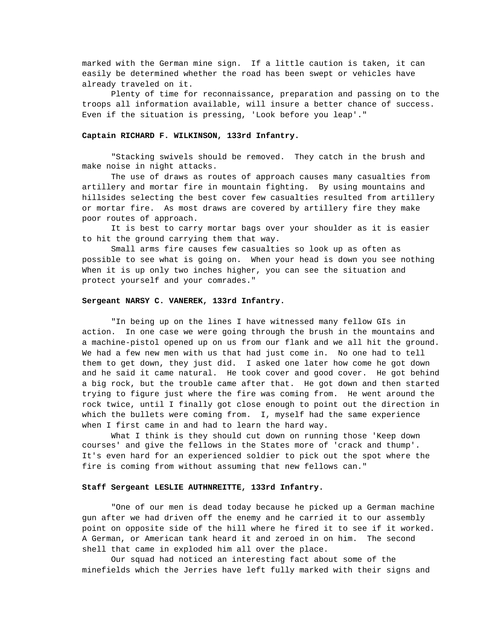marked with the German mine sign. If a little caution is taken, it can easily be determined whether the road has been swept or vehicles have already traveled on it.

Plenty of time for reconnaissance, preparation and passing on to the troops all information available, will insure a better chance of success. Even if the situation is pressing, 'Look before you leap'."

### **Captain RICHARD F. WILKINSON, 133rd Infantry.**

"Stacking swivels should be removed. They catch in the brush and make noise in night attacks.

The use of draws as routes of approach causes many casualties from artillery and mortar fire in mountain fighting. By using mountains and hillsides selecting the best cover few casualties resulted from artillery or mortar fire. As most draws are covered by artillery fire they make poor routes of approach.

It is best to carry mortar bags over your shoulder as it is easier to hit the ground carrying them that way.

Small arms fire causes few casualties so look up as often as possible to see what is going on. When your head is down you see nothing When it is up only two inches higher, you can see the situation and protect yourself and your comrades."

### **Sergeant NARSY C. VANEREK, 133rd Infantry.**

"In being up on the lines I have witnessed many fellow GIs in action. In one case we were going through the brush in the mountains and a machine-pistol opened up on us from our flank and we all hit the ground. We had a few new men with us that had just come in. No one had to tell them to get down, they just did. I asked one later how come he got down and he said it came natural. He took cover and good cover. He got behind a big rock, but the trouble came after that. He got down and then started trying to figure just where the fire was coming from. He went around the rock twice, until I finally got close enough to point out the direction in which the bullets were coming from. I, myself had the same experience when I first came in and had to learn the hard way.

What I think is they should cut down on running those 'Keep down courses' and give the fellows in the States more of 'crack and thump'. It's even hard for an experienced soldier to pick out the spot where the fire is coming from without assuming that new fellows can."

## **Staff Sergeant LESLIE AUTHNREITTE, 133rd Infantry.**

"One of our men is dead today because he picked up a German machine gun after we had driven off the enemy and he carried it to our assembly point on opposite side of the hill where he fired it to see if it worked. A German, or American tank heard it and zeroed in on him. The second shell that came in exploded him all over the place.

Our squad had noticed an interesting fact about some of the minefields which the Jerries have left fully marked with their signs and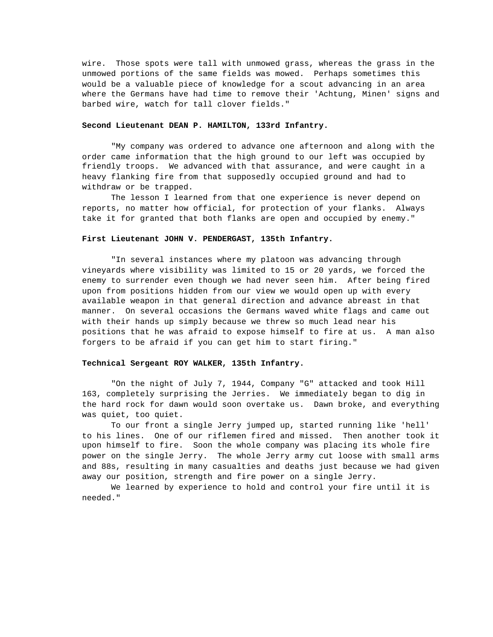wire. Those spots were tall with unmowed grass, whereas the grass in the unmowed portions of the same fields was mowed. Perhaps sometimes this would be a valuable piece of knowledge for a scout advancing in an area where the Germans have had time to remove their 'Achtung, Minen' signs and barbed wire, watch for tall clover fields."

### **Second Lieutenant DEAN P. HAMILTON, 133rd Infantry.**

"My company was ordered to advance one afternoon and along with the order came information that the high ground to our left was occupied by friendly troops. We advanced with that assurance, and were caught in a heavy flanking fire from that supposedly occupied ground and had to withdraw or be trapped.

The lesson I learned from that one experience is never depend on reports, no matter how official, for protection of your flanks. Always take it for granted that both flanks are open and occupied by enemy."

## **First Lieutenant JOHN V. PENDERGAST, 135th Infantry.**

"In several instances where my platoon was advancing through vineyards where visibility was limited to 15 or 20 yards, we forced the enemy to surrender even though we had never seen him. After being fired upon from positions hidden from our view we would open up with every available weapon in that general direction and advance abreast in that manner. On several occasions the Germans waved white flags and came out with their hands up simply because we threw so much lead near his positions that he was afraid to expose himself to fire at us. A man also forgers to be afraid if you can get him to start firing."

### **Technical Sergeant ROY WALKER, 135th Infantry.**

"On the night of July 7, 1944, Company "G" attacked and took Hill 163, completely surprising the Jerries. We immediately began to dig in the hard rock for dawn would soon overtake us. Dawn broke, and everything was quiet, too quiet.

To our front a single Jerry jumped up, started running like 'hell' to his lines. One of our riflemen fired and missed. Then another took it upon himself to fire. Soon the whole company was placing its whole fire power on the single Jerry. The whole Jerry army cut loose with small arms and 88s, resulting in many casualties and deaths just because we had given away our position, strength and fire power on a single Jerry.

We learned by experience to hold and control your fire until it is needed."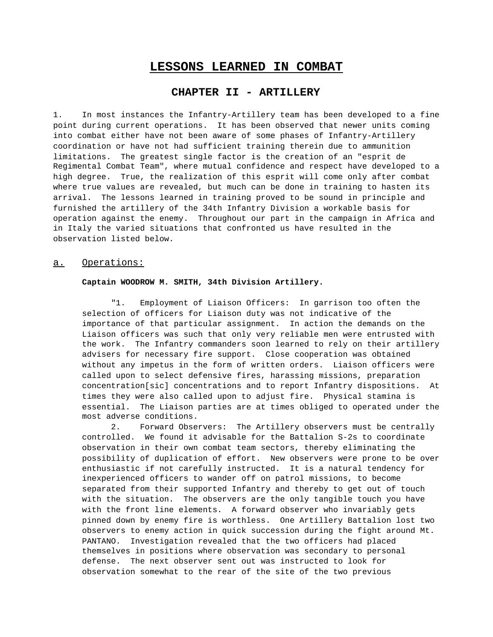# **LESSONS LEARNED IN COMBAT**

# **CHAPTER II - ARTILLERY**

1. In most instances the Infantry-Artillery team has been developed to a fine point during current operations. It has been observed that newer units coming into combat either have not been aware of some phases of Infantry-Artillery coordination or have not had sufficient training therein due to ammunition limitations. The greatest single factor is the creation of an "esprit de Regimental Combat Team", where mutual confidence and respect have developed to a high degree. True, the realization of this esprit will come only after combat where true values are revealed, but much can be done in training to hasten its arrival. The lessons learned in training proved to be sound in principle and furnished the artillery of the 34th Infantry Division a workable basis for operation against the enemy. Throughout our part in the campaign in Africa and in Italy the varied situations that confronted us have resulted in the observation listed below.

## a. Operations:

### **Captain WOODROW M. SMITH, 34th Division Artillery.**

"1. Employment of Liaison Officers: In garrison too often the selection of officers for Liaison duty was not indicative of the importance of that particular assignment. In action the demands on the Liaison officers was such that only very reliable men were entrusted with the work. The Infantry commanders soon learned to rely on their artillery advisers for necessary fire support. Close cooperation was obtained without any impetus in the form of written orders. Liaison officers were called upon to select defensive fires, harassing missions, preparation concentration[sic] concentrations and to report Infantry dispositions. At times they were also called upon to adjust fire. Physical stamina is essential. The Liaison parties are at times obliged to operated under the most adverse conditions.

2. Forward Observers: The Artillery observers must be centrally controlled. We found it advisable for the Battalion S-2s to coordinate observation in their own combat team sectors, thereby eliminating the possibility of duplication of effort. New observers were prone to be over enthusiastic if not carefully instructed. It is a natural tendency for inexperienced officers to wander off on patrol missions, to become separated from their supported Infantry and thereby to get out of touch with the situation. The observers are the only tangible touch you have with the front line elements. A forward observer who invariably gets pinned down by enemy fire is worthless. One Artillery Battalion lost two observers to enemy action in quick succession during the fight around Mt. PANTANO. Investigation revealed that the two officers had placed themselves in positions where observation was secondary to personal defense. The next observer sent out was instructed to look for observation somewhat to the rear of the site of the two previous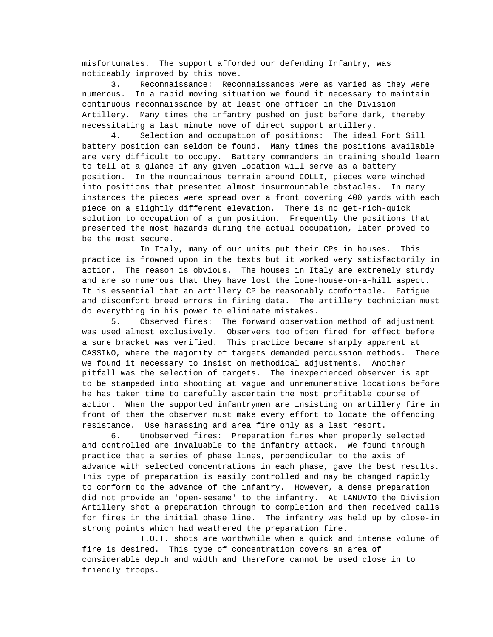misfortunates. The support afforded our defending Infantry, was noticeably improved by this move.

3. Reconnaissance: Reconnaissances were as varied as they were numerous. In a rapid moving situation we found it necessary to maintain continuous reconnaissance by at least one officer in the Division Artillery. Many times the infantry pushed on just before dark, thereby necessitating a last minute move of direct support artillery.

4. Selection and occupation of positions: The ideal Fort Sill battery position can seldom be found. Many times the positions available are very difficult to occupy. Battery commanders in training should learn to tell at a glance if any given location will serve as a battery position. In the mountainous terrain around COLLI, pieces were winched into positions that presented almost insurmountable obstacles. In many instances the pieces were spread over a front covering 400 yards with each piece on a slightly different elevation. There is no get-rich-quick solution to occupation of a gun position. Frequently the positions that presented the most hazards during the actual occupation, later proved to be the most secure.

In Italy, many of our units put their CPs in houses. This practice is frowned upon in the texts but it worked very satisfactorily in action. The reason is obvious. The houses in Italy are extremely sturdy and are so numerous that they have lost the lone-house-on-a-hill aspect. It is essential that an artillery CP be reasonably comfortable. Fatigue and discomfort breed errors in firing data. The artillery technician must do everything in his power to eliminate mistakes.

5. Observed fires: The forward observation method of adjustment was used almost exclusively. Observers too often fired for effect before a sure bracket was verified. This practice became sharply apparent at CASSINO, where the majority of targets demanded percussion methods. There we found it necessary to insist on methodical adjustments. Another pitfall was the selection of targets. The inexperienced observer is apt to be stampeded into shooting at vague and unremunerative locations before he has taken time to carefully ascertain the most profitable course of action. When the supported infantrymen are insisting on artillery fire in front of them the observer must make every effort to locate the offending resistance. Use harassing and area fire only as a last resort.

6. Unobserved fires: Preparation fires when properly selected and controlled are invaluable to the infantry attack. We found through practice that a series of phase lines, perpendicular to the axis of advance with selected concentrations in each phase, gave the best results. This type of preparation is easily controlled and may be changed rapidly to conform to the advance of the infantry. However, a dense preparation did not provide an 'open-sesame' to the infantry. At LANUVIO the Division Artillery shot a preparation through to completion and then received calls for fires in the initial phase line. The infantry was held up by close-in strong points which had weathered the preparation fire.

T.O.T. shots are worthwhile when a quick and intense volume of fire is desired. This type of concentration covers an area of considerable depth and width and therefore cannot be used close in to friendly troops.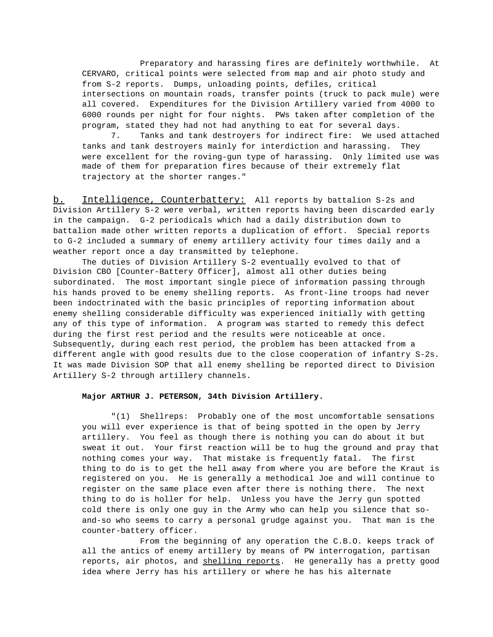Preparatory and harassing fires are definitely worthwhile. At CERVARO, critical points were selected from map and air photo study and from S-2 reports. Dumps, unloading points, defiles, critical intersections on mountain roads, transfer points (truck to pack mule) were all covered. Expenditures for the Division Artillery varied from 4000 to 6000 rounds per night for four nights. PWs taken after completion of the program, stated they had not had anything to eat for several days.

7. Tanks and tank destroyers for indirect fire: We used attached tanks and tank destroyers mainly for interdiction and harassing. They were excellent for the roving-gun type of harassing. Only limited use was made of them for preparation fires because of their extremely flat trajectory at the shorter ranges."

b. Intelligence, Counterbattery: All reports by battalion S-2s and Division Artillery S-2 were verbal, written reports having been discarded early in the campaign. G-2 periodicals which had a daily distribution down to battalion made other written reports a duplication of effort. Special reports to G-2 included a summary of enemy artillery activity four times daily and a weather report once a day transmitted by telephone.

The duties of Division Artillery S-2 eventually evolved to that of Division CBO [Counter-Battery Officer], almost all other duties being subordinated. The most important single piece of information passing through his hands proved to be enemy shelling reports. As front-line troops had never been indoctrinated with the basic principles of reporting information about enemy shelling considerable difficulty was experienced initially with getting any of this type of information. A program was started to remedy this defect during the first rest period and the results were noticeable at once. Subsequently, during each rest period, the problem has been attacked from a different angle with good results due to the close cooperation of infantry S-2s. It was made Division SOP that all enemy shelling be reported direct to Division Artillery S-2 through artillery channels.

### **Major ARTHUR J. PETERSON, 34th Division Artillery.**

"(1) Shellreps: Probably one of the most uncomfortable sensations you will ever experience is that of being spotted in the open by Jerry artillery. You feel as though there is nothing you can do about it but sweat it out. Your first reaction will be to hug the ground and pray that nothing comes your way. That mistake is frequently fatal. The first thing to do is to get the hell away from where you are before the Kraut is registered on you. He is generally a methodical Joe and will continue to register on the same place even after there is nothing there. The next thing to do is holler for help. Unless you have the Jerry gun spotted cold there is only one guy in the Army who can help you silence that soand-so who seems to carry a personal grudge against you. That man is the counter-battery officer.

From the beginning of any operation the C.B.O. keeps track of all the antics of enemy artillery by means of PW interrogation, partisan reports, air photos, and shelling reports. He generally has a pretty good idea where Jerry has his artillery or where he has his alternate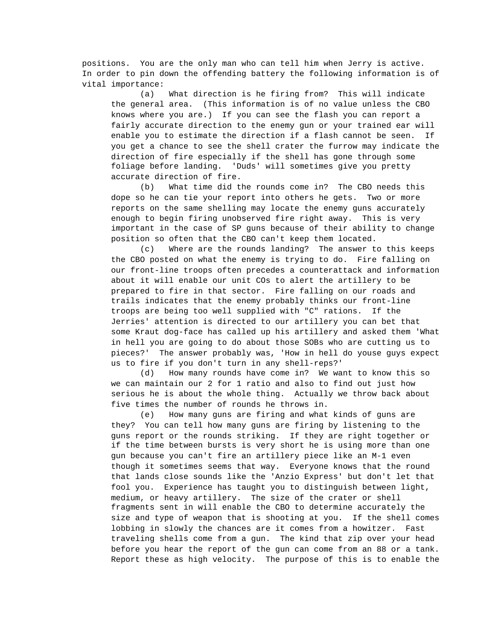positions. You are the only man who can tell him when Jerry is active. In order to pin down the offending battery the following information is of vital importance:

(a) What direction is he firing from? This will indicate the general area. (This information is of no value unless the CBO knows where you are.) If you can see the flash you can report a fairly accurate direction to the enemy gun or your trained ear will enable you to estimate the direction if a flash cannot be seen. If you get a chance to see the shell crater the furrow may indicate the direction of fire especially if the shell has gone through some foliage before landing. 'Duds' will sometimes give you pretty accurate direction of fire.

(b) What time did the rounds come in? The CBO needs this dope so he can tie your report into others he gets. Two or more reports on the same shelling may locate the enemy guns accurately enough to begin firing unobserved fire right away. This is very important in the case of SP guns because of their ability to change position so often that the CBO can't keep them located.

(c) Where are the rounds landing? The answer to this keeps the CBO posted on what the enemy is trying to do. Fire falling on our front-line troops often precedes a counterattack and information about it will enable our unit COs to alert the artillery to be prepared to fire in that sector. Fire falling on our roads and trails indicates that the enemy probably thinks our front-line troops are being too well supplied with "C" rations. If the Jerries' attention is directed to our artillery you can bet that some Kraut dog-face has called up his artillery and asked them 'What in hell you are going to do about those SOBs who are cutting us to pieces?' The answer probably was, 'How in hell do youse guys expect us to fire if you don't turn in any shell-reps?'

(d) How many rounds have come in? We want to know this so we can maintain our 2 for 1 ratio and also to find out just how serious he is about the whole thing. Actually we throw back about five times the number of rounds he throws in.

(e) How many guns are firing and what kinds of guns are they? You can tell how many guns are firing by listening to the guns report or the rounds striking. If they are right together or if the time between bursts is very short he is using more than one gun because you can't fire an artillery piece like an M-1 even though it sometimes seems that way. Everyone knows that the round that lands close sounds like the 'Anzio Express' but don't let that fool you. Experience has taught you to distinguish between light, medium, or heavy artillery. The size of the crater or shell fragments sent in will enable the CBO to determine accurately the size and type of weapon that is shooting at you. If the shell comes lobbing in slowly the chances are it comes from a howitzer. Fast traveling shells come from a gun. The kind that zip over your head before you hear the report of the gun can come from an 88 or a tank. Report these as high velocity. The purpose of this is to enable the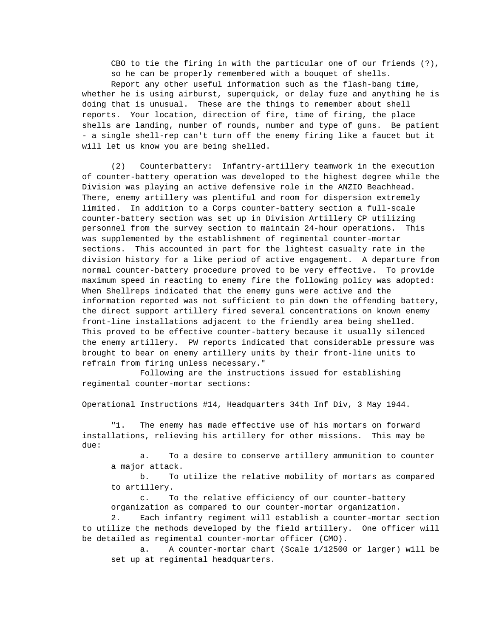CBO to tie the firing in with the particular one of our friends (?), so he can be properly remembered with a bouquet of shells. Report any other useful information such as the flash-bang time, whether he is using airburst, superquick, or delay fuze and anything he is doing that is unusual. These are the things to remember about shell reports. Your location, direction of fire, time of firing, the place shells are landing, number of rounds, number and type of guns. Be patient - a single shell-rep can't turn off the enemy firing like a faucet but it will let us know you are being shelled.

(2) Counterbattery: Infantry-artillery teamwork in the execution of counter-battery operation was developed to the highest degree while the Division was playing an active defensive role in the ANZIO Beachhead. There, enemy artillery was plentiful and room for dispersion extremely limited. In addition to a Corps counter-battery section a full-scale counter-battery section was set up in Division Artillery CP utilizing personnel from the survey section to maintain 24-hour operations. This was supplemented by the establishment of regimental counter-mortar sections. This accounted in part for the lightest casualty rate in the division history for a like period of active engagement. A departure from normal counter-battery procedure proved to be very effective. To provide maximum speed in reacting to enemy fire the following policy was adopted: When Shellreps indicated that the enemy guns were active and the information reported was not sufficient to pin down the offending battery, the direct support artillery fired several concentrations on known enemy front-line installations adjacent to the friendly area being shelled. This proved to be effective counter-battery because it usually silenced the enemy artillery. PW reports indicated that considerable pressure was brought to bear on enemy artillery units by their front-line units to refrain from firing unless necessary."

Following are the instructions issued for establishing regimental counter-mortar sections:

Operational Instructions #14, Headquarters 34th Inf Div, 3 May 1944.

"1. The enemy has made effective use of his mortars on forward installations, relieving his artillery for other missions. This may be due:

a. To a desire to conserve artillery ammunition to counter a major attack.

b. To utilize the relative mobility of mortars as compared to artillery.

c. To the relative efficiency of our counter-battery organization as compared to our counter-mortar organization.

2. Each infantry regiment will establish a counter-mortar section to utilize the methods developed by the field artillery. One officer will be detailed as regimental counter-mortar officer (CMO).

a. A counter-mortar chart (Scale 1/12500 or larger) will be set up at regimental headquarters.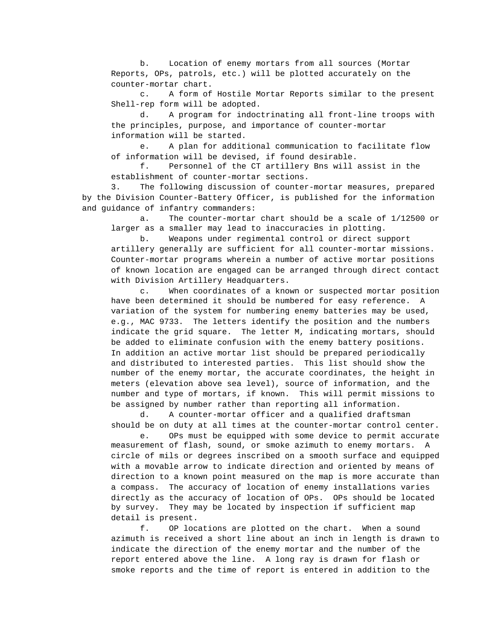b. Location of enemy mortars from all sources (Mortar Reports, OPs, patrols, etc.) will be plotted accurately on the counter-mortar chart.

c. A form of Hostile Mortar Reports similar to the present Shell-rep form will be adopted.

d. A program for indoctrinating all front-line troops with the principles, purpose, and importance of counter-mortar information will be started.

e. A plan for additional communication to facilitate flow of information will be devised, if found desirable.

f. Personnel of the CT artillery Bns will assist in the establishment of counter-mortar sections.

3. The following discussion of counter-mortar measures, prepared by the Division Counter-Battery Officer, is published for the information and guidance of infantry commanders:

a. The counter-mortar chart should be a scale of 1/12500 or larger as a smaller may lead to inaccuracies in plotting.

b. Weapons under regimental control or direct support artillery generally are sufficient for all counter-mortar missions. Counter-mortar programs wherein a number of active mortar positions of known location are engaged can be arranged through direct contact with Division Artillery Headquarters.

c. When coordinates of a known or suspected mortar position have been determined it should be numbered for easy reference. A variation of the system for numbering enemy batteries may be used, e.g., MAC 9733. The letters identify the position and the numbers indicate the grid square. The letter M, indicating mortars, should be added to eliminate confusion with the enemy battery positions. In addition an active mortar list should be prepared periodically and distributed to interested parties. This list should show the number of the enemy mortar, the accurate coordinates, the height in meters (elevation above sea level), source of information, and the number and type of mortars, if known. This will permit missions to be assigned by number rather than reporting all information.

d. A counter-mortar officer and a qualified draftsman should be on duty at all times at the counter-mortar control center.

e. OPs must be equipped with some device to permit accurate measurement of flash, sound, or smoke azimuth to enemy mortars. A circle of mils or degrees inscribed on a smooth surface and equipped with a movable arrow to indicate direction and oriented by means of direction to a known point measured on the map is more accurate than a compass. The accuracy of location of enemy installations varies directly as the accuracy of location of OPs. OPs should be located by survey. They may be located by inspection if sufficient map detail is present.

f. OP locations are plotted on the chart. When a sound azimuth is received a short line about an inch in length is drawn to indicate the direction of the enemy mortar and the number of the report entered above the line. A long ray is drawn for flash or smoke reports and the time of report is entered in addition to the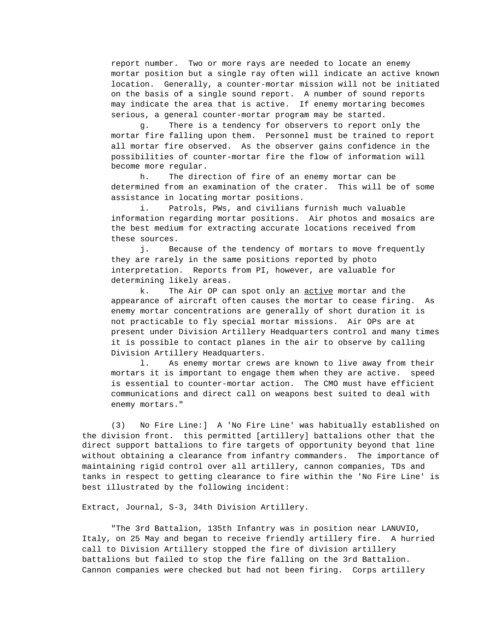report number. Two or more rays are needed to locate an enemy mortar position but a single ray often will indicate an active known location. Generally, a counter-mortar mission will not be initiated on the basis of a single sound report. A number of sound reports may indicate the area that is active. If enemy mortaring becomes serious, a general counter-mortar program may be started.

g. There is a tendency for observers to report only the mortar fire falling upon them. Personnel must be trained to report all mortar fire observed. As the observer gains confidence in the possibilities of counter-mortar fire the flow of information will become more regular.

h. The direction of fire of an enemy mortar can be determined from an examination of the crater. This will be of some assistance in locating mortar positions.

i. Patrols, PWs, and civilians furnish much valuable information regarding mortar positions. Air photos and mosaics are the best medium for extracting accurate locations received from these sources.

j. Because of the tendency of mortars to move frequently they are rarely in the same positions reported by photo interpretation. Reports from PI, however, are valuable for determining likely areas.

k. The Air OP can spot only an active mortar and the appearance of aircraft often causes the mortar to cease firing. As enemy mortar concentrations are generally of short duration it is not practicable to fly special mortar missions. Air OPs are at present under Division Artillery Headquarters control and many times it is possible to contact planes in the air to observe by calling Division Artillery Headquarters.

l. As enemy mortar crews are known to live away from their mortars it is important to engage them when they are active. speed is essential to counter-mortar action. The CMO must have efficient communications and direct call on weapons best suited to deal with enemy mortars."

(3) No Fire Line:] A 'No Fire Line' was habitually established on the division front. this permitted [artillery] battalions other that the direct support battalions to fire targets of opportunity beyond that line without obtaining a clearance from infantry commanders. The importance of maintaining rigid control over all artillery, cannon companies, TDs and tanks in respect to getting clearance to fire within the 'No Fire Line' is best illustrated by the following incident:

Extract, Journal, S-3, 34th Division Artillery.

"The 3rd Battalion, 135th Infantry was in position near LANUVIO, Italy, on 25 May and began to receive friendly artillery fire. A hurried call to Division Artillery stopped the fire of division artillery battalions but failed to stop the fire falling on the 3rd Battalion. Cannon companies were checked but had not been firing. Corps artillery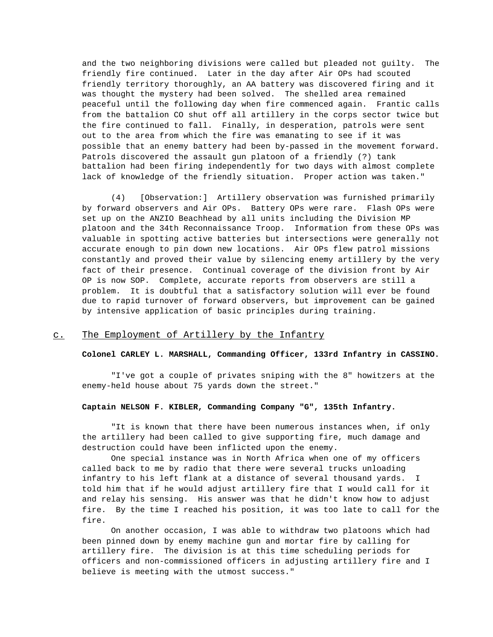and the two neighboring divisions were called but pleaded not guilty. The friendly fire continued. Later in the day after Air OPs had scouted friendly territory thoroughly, an AA battery was discovered firing and it was thought the mystery had been solved. The shelled area remained peaceful until the following day when fire commenced again. Frantic calls from the battalion CO shut off all artillery in the corps sector twice but the fire continued to fall. Finally, in desperation, patrols were sent out to the area from which the fire was emanating to see if it was possible that an enemy battery had been by-passed in the movement forward. Patrols discovered the assault gun platoon of a friendly (?) tank battalion had been firing independently for two days with almost complete lack of knowledge of the friendly situation. Proper action was taken."

(4) [Observation:] Artillery observation was furnished primarily by forward observers and Air OPs. Battery OPs were rare. Flash OPs were set up on the ANZIO Beachhead by all units including the Division MP platoon and the 34th Reconnaissance Troop. Information from these OPs was valuable in spotting active batteries but intersections were generally not accurate enough to pin down new locations. Air OPs flew patrol missions constantly and proved their value by silencing enemy artillery by the very fact of their presence. Continual coverage of the division front by Air OP is now SOP. Complete, accurate reports from observers are still a problem. It is doubtful that a satisfactory solution will ever be found due to rapid turnover of forward observers, but improvement can be gained by intensive application of basic principles during training.

# c. The Employment of Artillery by the Infantry

## **Colonel CARLEY L. MARSHALL, Commanding Officer, 133rd Infantry in CASSINO.**

"I've got a couple of privates sniping with the 8" howitzers at the enemy-held house about 75 yards down the street."

### **Captain NELSON F. KIBLER, Commanding Company "G", 135th Infantry.**

"It is known that there have been numerous instances when, if only the artillery had been called to give supporting fire, much damage and destruction could have been inflicted upon the enemy.

One special instance was in North Africa when one of my officers called back to me by radio that there were several trucks unloading infantry to his left flank at a distance of several thousand yards. I told him that if he would adjust artillery fire that I would call for it and relay his sensing. His answer was that he didn't know how to adjust fire. By the time I reached his position, it was too late to call for the fire.

On another occasion, I was able to withdraw two platoons which had been pinned down by enemy machine gun and mortar fire by calling for artillery fire. The division is at this time scheduling periods for officers and non-commissioned officers in adjusting artillery fire and I believe is meeting with the utmost success."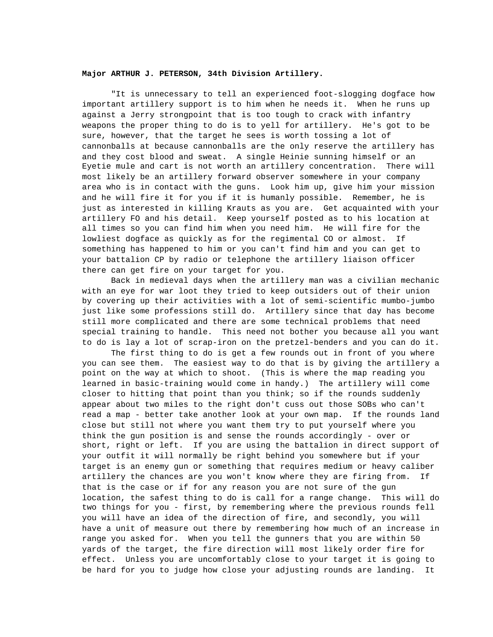### **Major ARTHUR J. PETERSON, 34th Division Artillery.**

"It is unnecessary to tell an experienced foot-slogging dogface how important artillery support is to him when he needs it. When he runs up against a Jerry strongpoint that is too tough to crack with infantry weapons the proper thing to do is to yell for artillery. He's got to be sure, however, that the target he sees is worth tossing a lot of cannonballs at because cannonballs are the only reserve the artillery has and they cost blood and sweat. A single Heinie sunning himself or an Eyetie mule and cart is not worth an artillery concentration. There will most likely be an artillery forward observer somewhere in your company area who is in contact with the guns. Look him up, give him your mission and he will fire it for you if it is humanly possible. Remember, he is just as interested in killing Krauts as you are. Get acquainted with your artillery FO and his detail. Keep yourself posted as to his location at all times so you can find him when you need him. He will fire for the lowliest dogface as quickly as for the regimental CO or almost. If something has happened to him or you can't find him and you can get to your battalion CP by radio or telephone the artillery liaison officer there can get fire on your target for you.

Back in medieval days when the artillery man was a civilian mechanic with an eye for war loot they tried to keep outsiders out of their union by covering up their activities with a lot of semi-scientific mumbo-jumbo just like some professions still do. Artillery since that day has become still more complicated and there are some technical problems that need special training to handle. This need not bother you because all you want to do is lay a lot of scrap-iron on the pretzel-benders and you can do it.

The first thing to do is get a few rounds out in front of you where you can see them. The easiest way to do that is by giving the artillery a point on the way at which to shoot. (This is where the map reading you learned in basic-training would come in handy.) The artillery will come closer to hitting that point than you think; so if the rounds suddenly appear about two miles to the right don't cuss out those SOBs who can't read a map - better take another look at your own map. If the rounds land close but still not where you want them try to put yourself where you think the gun position is and sense the rounds accordingly - over or short, right or left. If you are using the battalion in direct support of your outfit it will normally be right behind you somewhere but if your target is an enemy gun or something that requires medium or heavy caliber artillery the chances are you won't know where they are firing from. If that is the case or if for any reason you are not sure of the gun location, the safest thing to do is call for a range change. This will do two things for you - first, by remembering where the previous rounds fell you will have an idea of the direction of fire, and secondly, you will have a unit of measure out there by remembering how much of an increase in range you asked for. When you tell the gunners that you are within 50 yards of the target, the fire direction will most likely order fire for effect. Unless you are uncomfortably close to your target it is going to be hard for you to judge how close your adjusting rounds are landing. It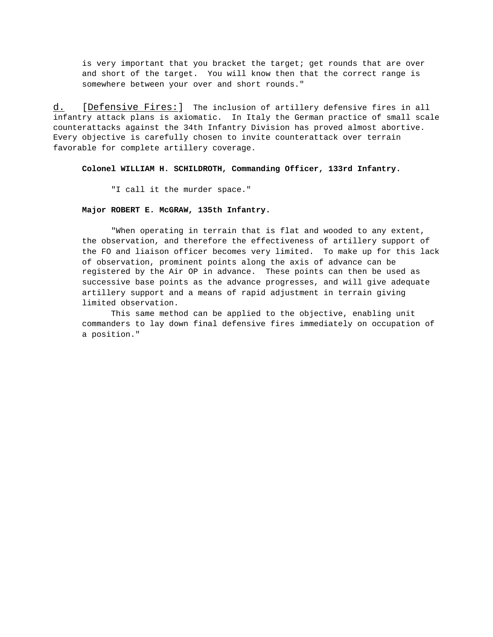is very important that you bracket the target; get rounds that are over and short of the target. You will know then that the correct range is somewhere between your over and short rounds."

d. [ Defensive Fires: ] The inclusion of artillery defensive fires in all infantry attack plans is axiomatic. In Italy the German practice of small scale counterattacks against the 34th Infantry Division has proved almost abortive. Every objective is carefully chosen to invite counterattack over terrain favorable for complete artillery coverage.

**Colonel WILLIAM H. SCHILDROTH, Commanding Officer, 133rd Infantry.**

"I call it the murder space."

#### **Major ROBERT E. McGRAW, 135th Infantry.**

"When operating in terrain that is flat and wooded to any extent, the observation, and therefore the effectiveness of artillery support of the FO and liaison officer becomes very limited. To make up for this lack of observation, prominent points along the axis of advance can be registered by the Air OP in advance. These points can then be used as successive base points as the advance progresses, and will give adequate artillery support and a means of rapid adjustment in terrain giving limited observation.

This same method can be applied to the objective, enabling unit commanders to lay down final defensive fires immediately on occupation of a position."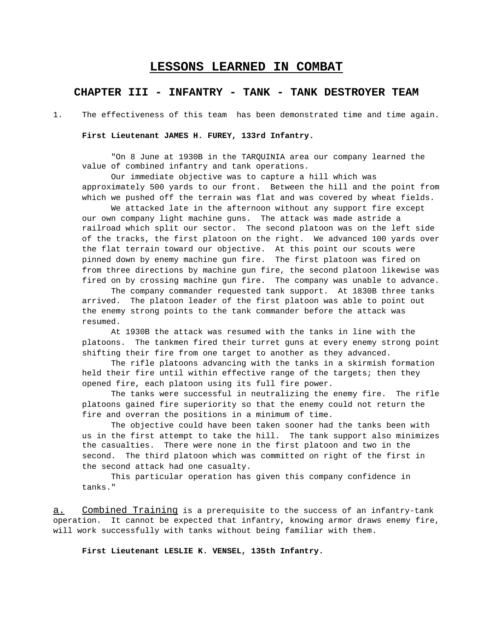# **LESSONS LEARNED IN COMBAT**

# **CHAPTER III - INFANTRY - TANK - TANK DESTROYER TEAM**

1. The effectiveness of this team has been demonstrated time and time again.

### **First Lieutenant JAMES H. FUREY, 133rd Infantry.**

"On 8 June at 1930B in the TARQUINIA area our company learned the value of combined infantry and tank operations.

Our immediate objective was to capture a hill which was approximately 500 yards to our front. Between the hill and the point from which we pushed off the terrain was flat and was covered by wheat fields.

We attacked late in the afternoon without any support fire except our own company light machine guns. The attack was made astride a railroad which split our sector. The second platoon was on the left side of the tracks, the first platoon on the right. We advanced 100 yards over the flat terrain toward our objective. At this point our scouts were pinned down by enemy machine gun fire. The first platoon was fired on from three directions by machine gun fire, the second platoon likewise was fired on by crossing machine gun fire. The company was unable to advance.

The company commander requested tank support. At 1830B three tanks arrived. The platoon leader of the first platoon was able to point out the enemy strong points to the tank commander before the attack was resumed.

At 1930B the attack was resumed with the tanks in line with the platoons. The tankmen fired their turret guns at every enemy strong point shifting their fire from one target to another as they advanced.

The rifle platoons advancing with the tanks in a skirmish formation held their fire until within effective range of the targets; then they opened fire, each platoon using its full fire power.

The tanks were successful in neutralizing the enemy fire. The rifle platoons gained fire superiority so that the enemy could not return the fire and overran the positions in a minimum of time.

The objective could have been taken sooner had the tanks been with us in the first attempt to take the hill. The tank support also minimizes the casualties. There were none in the first platoon and two in the second. The third platoon which was committed on right of the first in the second attack had one casualty.

This particular operation has given this company confidence in tanks."

a. Combined Training is a prerequisite to the success of an infantry-tank operation. It cannot be expected that infantry, knowing armor draws enemy fire, will work successfully with tanks without being familiar with them.

**First Lieutenant LESLIE K. VENSEL, 135th Infantry.**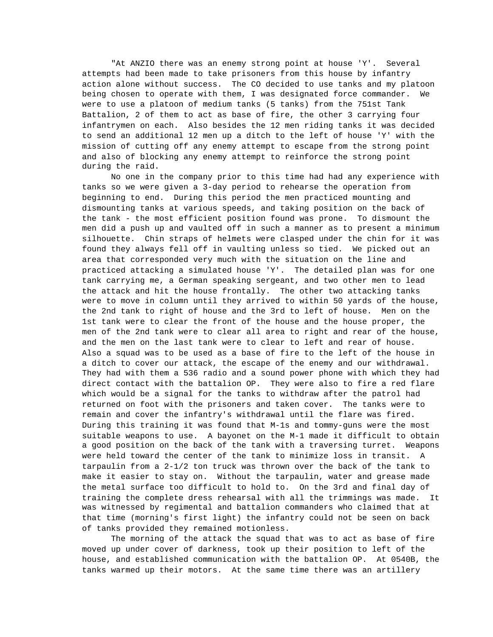"At ANZIO there was an enemy strong point at house 'Y'. Several attempts had been made to take prisoners from this house by infantry action alone without success. The CO decided to use tanks and my platoon being chosen to operate with them, I was designated force commander. We were to use a platoon of medium tanks (5 tanks) from the 751st Tank Battalion, 2 of them to act as base of fire, the other 3 carrying four infantrymen on each. Also besides the 12 men riding tanks it was decided to send an additional 12 men up a ditch to the left of house 'Y' with the mission of cutting off any enemy attempt to escape from the strong point and also of blocking any enemy attempt to reinforce the strong point during the raid.

No one in the company prior to this time had had any experience with tanks so we were given a 3-day period to rehearse the operation from beginning to end. During this period the men practiced mounting and dismounting tanks at various speeds, and taking position on the back of the tank - the most efficient position found was prone. To dismount the men did a push up and vaulted off in such a manner as to present a minimum silhouette. Chin straps of helmets were clasped under the chin for it was found they always fell off in vaulting unless so tied. We picked out an area that corresponded very much with the situation on the line and practiced attacking a simulated house 'Y'. The detailed plan was for one tank carrying me, a German speaking sergeant, and two other men to lead the attack and hit the house frontally. The other two attacking tanks were to move in column until they arrived to within 50 yards of the house, the 2nd tank to right of house and the 3rd to left of house. Men on the 1st tank were to clear the front of the house and the house proper, the men of the 2nd tank were to clear all area to right and rear of the house, and the men on the last tank were to clear to left and rear of house. Also a squad was to be used as a base of fire to the left of the house in a ditch to cover our attack, the escape of the enemy and our withdrawal. They had with them a 536 radio and a sound power phone with which they had direct contact with the battalion OP. They were also to fire a red flare which would be a signal for the tanks to withdraw after the patrol had returned on foot with the prisoners and taken cover. The tanks were to remain and cover the infantry's withdrawal until the flare was fired. During this training it was found that M-1s and tommy-guns were the most suitable weapons to use. A bayonet on the M-1 made it difficult to obtain a good position on the back of the tank with a traversing turret. Weapons were held toward the center of the tank to minimize loss in transit. A tarpaulin from a 2-1/2 ton truck was thrown over the back of the tank to make it easier to stay on. Without the tarpaulin, water and grease made the metal surface too difficult to hold to. On the 3rd and final day of training the complete dress rehearsal with all the trimmings was made. It was witnessed by regimental and battalion commanders who claimed that at that time (morning's first light) the infantry could not be seen on back of tanks provided they remained motionless.

The morning of the attack the squad that was to act as base of fire moved up under cover of darkness, took up their position to left of the house, and established communication with the battalion OP. At 0540B, the tanks warmed up their motors. At the same time there was an artillery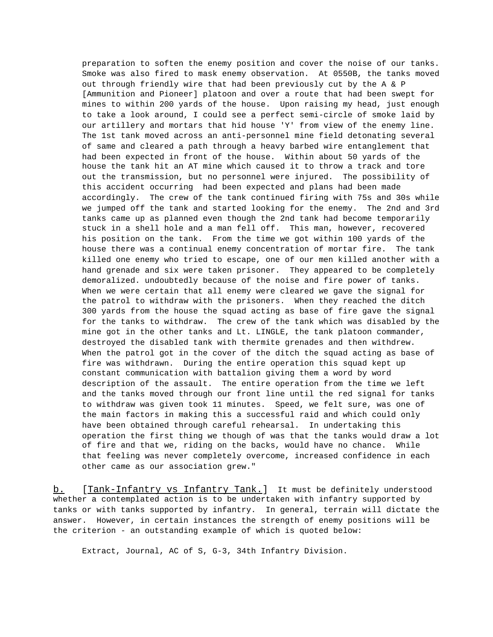preparation to soften the enemy position and cover the noise of our tanks. Smoke was also fired to mask enemy observation. At 0550B, the tanks moved out through friendly wire that had been previously cut by the A & P [Ammunition and Pioneer] platoon and over a route that had been swept for mines to within 200 yards of the house. Upon raising my head, just enough to take a look around, I could see a perfect semi-circle of smoke laid by our artillery and mortars that hid house 'Y' from view of the enemy line. The 1st tank moved across an anti-personnel mine field detonating several of same and cleared a path through a heavy barbed wire entanglement that had been expected in front of the house. Within about 50 yards of the house the tank hit an AT mine which caused it to throw a track and tore out the transmission, but no personnel were injured. The possibility of this accident occurring had been expected and plans had been made accordingly. The crew of the tank continued firing with 75s and 30s while we jumped off the tank and started looking for the enemy. The 2nd and 3rd tanks came up as planned even though the 2nd tank had become temporarily stuck in a shell hole and a man fell off. This man, however, recovered his position on the tank. From the time we got within 100 yards of the house there was a continual enemy concentration of mortar fire. The tank killed one enemy who tried to escape, one of our men killed another with a hand grenade and six were taken prisoner. They appeared to be completely demoralized. undoubtedly because of the noise and fire power of tanks. When we were certain that all enemy were cleared we gave the signal for the patrol to withdraw with the prisoners. When they reached the ditch 300 yards from the house the squad acting as base of fire gave the signal for the tanks to withdraw. The crew of the tank which was disabled by the mine got in the other tanks and Lt. LINGLE, the tank platoon commander, destroyed the disabled tank with thermite grenades and then withdrew. When the patrol got in the cover of the ditch the squad acting as base of fire was withdrawn. During the entire operation this squad kept up constant communication with battalion giving them a word by word description of the assault. The entire operation from the time we left and the tanks moved through our front line until the red signal for tanks to withdraw was given took 11 minutes. Speed, we felt sure, was one of the main factors in making this a successful raid and which could only have been obtained through careful rehearsal. In undertaking this operation the first thing we though of was that the tanks would draw a lot of fire and that we, riding on the backs, would have no chance. While that feeling was never completely overcome, increased confidence in each other came as our association grew."

b. [Tank-Infantry vs Infantry Tank.] It must be definitely understood whether a contemplated action is to be undertaken with infantry supported by tanks or with tanks supported by infantry. In general, terrain will dictate the answer. However, in certain instances the strength of enemy positions will be the criterion - an outstanding example of which is quoted below:

Extract, Journal, AC of S, G-3, 34th Infantry Division.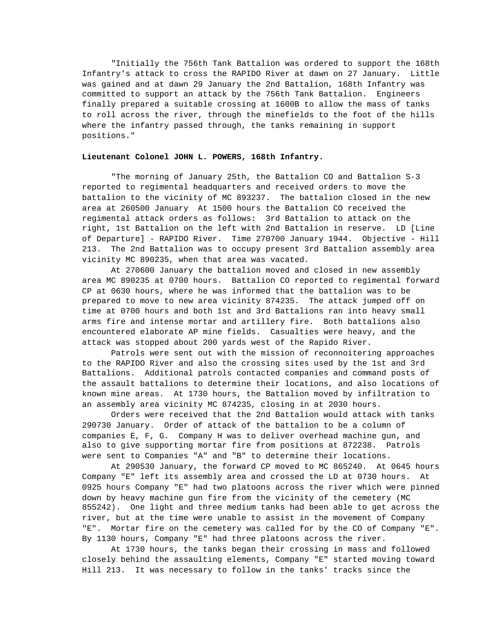"Initially the 756th Tank Battalion was ordered to support the 168th Infantry's attack to cross the RAPIDO River at dawn on 27 January. Little was gained and at dawn 29 January the 2nd Battalion, 168th Infantry was committed to support an attack by the 756th Tank Battalion. Engineers finally prepared a suitable crossing at 1600B to allow the mass of tanks to roll across the river, through the minefields to the foot of the hills where the infantry passed through, the tanks remaining in support positions."

## **Lieutenant Colonel JOHN L. POWERS, 168th Infantry.**

"The morning of January 25th, the Battalion CO and Battalion S-3 reported to regimental headquarters and received orders to move the battalion to the vicinity of MC 893237. The battalion closed in the new area at 260500 January At 1500 hours the Battalion CO received the regimental attack orders as follows: 3rd Battalion to attack on the right, 1st Battalion on the left with 2nd Battalion in reserve. LD [Line of Departure] - RAPIDO River. Time 270700 January 1944. Objective - Hill 213. The 2nd Battalion was to occupy present 3rd Battalion assembly area vicinity MC 890235, when that area was vacated.

At 270600 January the battalion moved and closed in new assembly area MC 890235 at 0700 hours. Battalion CO reported to regimental forward CP at 0630 hours, where he was informed that the battalion was to be prepared to move to new area vicinity 874235. The attack jumped off on time at 0700 hours and both 1st and 3rd Battalions ran into heavy small arms fire and intense mortar and artillery fire. Both battalions also encountered elaborate AP mine fields. Casualties were heavy, and the attack was stopped about 200 yards west of the Rapido River.

Patrols were sent out with the mission of reconnoitering approaches to the RAPIDO River and also the crossing sites used by the 1st and 3rd Battalions. Additional patrols contacted companies and command posts of the assault battalions to determine their locations, and also locations of known mine areas. At 1730 hours, the Battalion moved by infiltration to an assembly area vicinity MC 874235, closing in at 2030 hours.

Orders were received that the 2nd Battalion would attack with tanks 290730 January. Order of attack of the battalion to be a column of companies E, F, G. Company H was to deliver overhead machine gun, and also to give supporting mortar fire from positions at 872238. Patrols were sent to Companies "A" and "B" to determine their locations.

At 290530 January, the forward CP moved to MC 865240. At 0645 hours Company "E" left its assembly area and crossed the LD at 0730 hours. At 0925 hours Company "E" had two platoons across the river which were pinned down by heavy machine gun fire from the vicinity of the cemetery (MC 855242). One light and three medium tanks had been able to get across the river, but at the time were unable to assist in the movement of Company "E". Mortar fire on the cemetery was called for by the CO of Company "E". By 1130 hours, Company "E" had three platoons across the river.

At 1730 hours, the tanks began their crossing in mass and followed closely behind the assaulting elements, Company "E" started moving toward Hill 213. It was necessary to follow in the tanks' tracks since the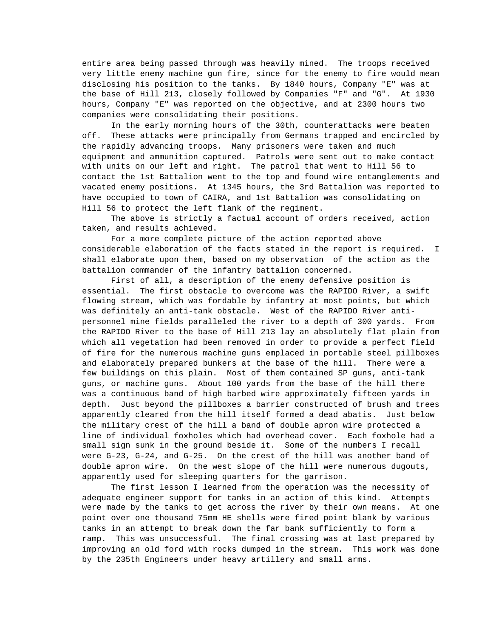entire area being passed through was heavily mined. The troops received very little enemy machine gun fire, since for the enemy to fire would mean disclosing his position to the tanks. By 1840 hours, Company "E" was at the base of Hill 213, closely followed by Companies "F" and "G". At 1930 hours, Company "E" was reported on the objective, and at 2300 hours two companies were consolidating their positions.

In the early morning hours of the 30th, counterattacks were beaten off. These attacks were principally from Germans trapped and encircled by the rapidly advancing troops. Many prisoners were taken and much equipment and ammunition captured. Patrols were sent out to make contact with units on our left and right. The patrol that went to Hill 56 to contact the 1st Battalion went to the top and found wire entanglements and vacated enemy positions. At 1345 hours, the 3rd Battalion was reported to have occupied to town of CAIRA, and 1st Battalion was consolidating on Hill 56 to protect the left flank of the regiment.

The above is strictly a factual account of orders received, action taken, and results achieved.

For a more complete picture of the action reported above considerable elaboration of the facts stated in the report is required. I shall elaborate upon them, based on my observation of the action as the battalion commander of the infantry battalion concerned.

First of all, a description of the enemy defensive position is essential. The first obstacle to overcome was the RAPIDO River, a swift flowing stream, which was fordable by infantry at most points, but which was definitely an anti-tank obstacle. West of the RAPIDO River antipersonnel mine fields paralleled the river to a depth of 300 yards. From the RAPIDO River to the base of Hill 213 lay an absolutely flat plain from which all vegetation had been removed in order to provide a perfect field of fire for the numerous machine guns emplaced in portable steel pillboxes and elaborately prepared bunkers at the base of the hill. There were a few buildings on this plain. Most of them contained SP guns, anti-tank guns, or machine guns. About 100 yards from the base of the hill there was a continuous band of high barbed wire approximately fifteen yards in depth. Just beyond the pillboxes a barrier constructed of brush and trees apparently cleared from the hill itself formed a dead abatis. Just below the military crest of the hill a band of double apron wire protected a line of individual foxholes which had overhead cover. Each foxhole had a small sign sunk in the ground beside it. Some of the numbers I recall were G-23, G-24, and G-25. On the crest of the hill was another band of double apron wire. On the west slope of the hill were numerous dugouts, apparently used for sleeping quarters for the garrison.

The first lesson I learned from the operation was the necessity of adequate engineer support for tanks in an action of this kind. Attempts were made by the tanks to get across the river by their own means. At one point over one thousand 75mm HE shells were fired point blank by various tanks in an attempt to break down the far bank sufficiently to form a ramp. This was unsuccessful. The final crossing was at last prepared by improving an old ford with rocks dumped in the stream. This work was done by the 235th Engineers under heavy artillery and small arms.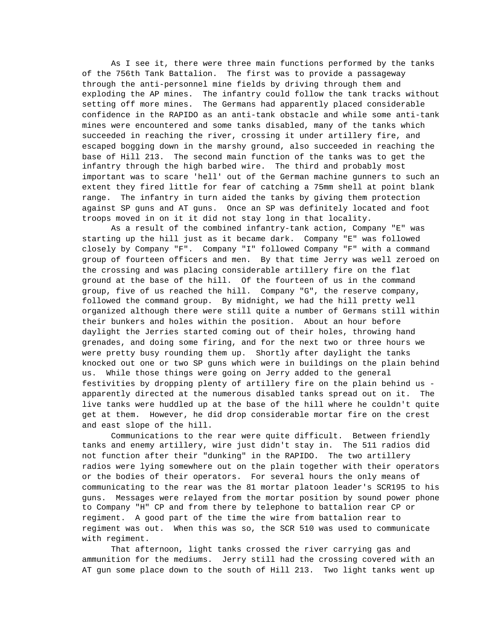As I see it, there were three main functions performed by the tanks of the 756th Tank Battalion. The first was to provide a passageway through the anti-personnel mine fields by driving through them and exploding the AP mines. The infantry could follow the tank tracks without setting off more mines. The Germans had apparently placed considerable confidence in the RAPIDO as an anti-tank obstacle and while some anti-tank mines were encountered and some tanks disabled, many of the tanks which succeeded in reaching the river, crossing it under artillery fire, and escaped bogging down in the marshy ground, also succeeded in reaching the base of Hill 213. The second main function of the tanks was to get the infantry through the high barbed wire. The third and probably most important was to scare 'hell' out of the German machine gunners to such an extent they fired little for fear of catching a 75mm shell at point blank range. The infantry in turn aided the tanks by giving them protection against SP guns and AT guns. Once an SP was definitely located and foot troops moved in on it it did not stay long in that locality.

As a result of the combined infantry-tank action, Company "E" was starting up the hill just as it became dark. Company "E" was followed closely by Company "F". Company "I" followed Company "F" with a command group of fourteen officers and men. By that time Jerry was well zeroed on the crossing and was placing considerable artillery fire on the flat ground at the base of the hill. Of the fourteen of us in the command group, five of us reached the hill. Company "G", the reserve company, followed the command group. By midnight, we had the hill pretty well organized although there were still quite a number of Germans still within their bunkers and holes within the position. About an hour before daylight the Jerries started coming out of their holes, throwing hand grenades, and doing some firing, and for the next two or three hours we were pretty busy rounding them up. Shortly after daylight the tanks knocked out one or two SP guns which were in buildings on the plain behind us. While those things were going on Jerry added to the general festivities by dropping plenty of artillery fire on the plain behind us apparently directed at the numerous disabled tanks spread out on it. The live tanks were huddled up at the base of the hill where he couldn't quite get at them. However, he did drop considerable mortar fire on the crest and east slope of the hill.

Communications to the rear were quite difficult. Between friendly tanks and enemy artillery, wire just didn't stay in. The 511 radios did not function after their "dunking" in the RAPIDO. The two artillery radios were lying somewhere out on the plain together with their operators or the bodies of their operators. For several hours the only means of communicating to the rear was the 81 mortar platoon leader's SCR195 to his guns. Messages were relayed from the mortar position by sound power phone to Company "H" CP and from there by telephone to battalion rear CP or regiment. A good part of the time the wire from battalion rear to regiment was out. When this was so, the SCR 510 was used to communicate with regiment.

That afternoon, light tanks crossed the river carrying gas and ammunition for the mediums. Jerry still had the crossing covered with an AT gun some place down to the south of Hill 213. Two light tanks went up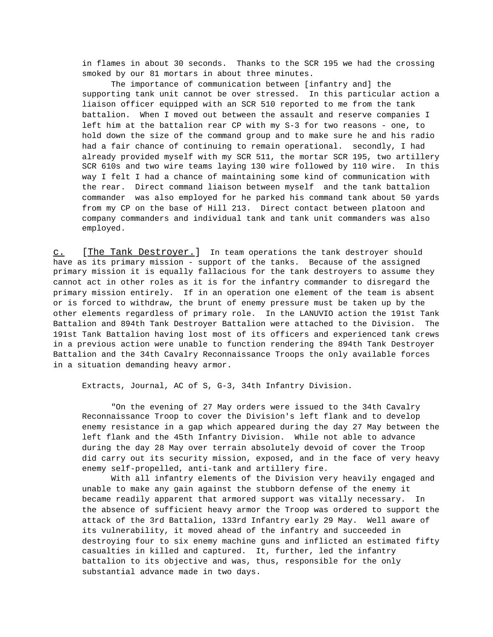in flames in about 30 seconds. Thanks to the SCR 195 we had the crossing smoked by our 81 mortars in about three minutes.

The importance of communication between [infantry and] the supporting tank unit cannot be over stressed. In this particular action a liaison officer equipped with an SCR 510 reported to me from the tank battalion. When I moved out between the assault and reserve companies I left him at the battalion rear CP with my S-3 for two reasons - one, to hold down the size of the command group and to make sure he and his radio had a fair chance of continuing to remain operational. secondly, I had already provided myself with my SCR 511, the mortar SCR 195, two artillery SCR 610s and two wire teams laying 130 wire followed by 110 wire. In this way I felt I had a chance of maintaining some kind of communication with the rear. Direct command liaison between myself and the tank battalion commander was also employed for he parked his command tank about 50 yards from my CP on the base of Hill 213. Direct contact between platoon and company commanders and individual tank and tank unit commanders was also employed.

c. [The Tank Destroyer.] In team operations the tank destroyer should have as its primary mission - support of the tanks. Because of the assigned primary mission it is equally fallacious for the tank destroyers to assume they cannot act in other roles as it is for the infantry commander to disregard the primary mission entirely. If in an operation one element of the team is absent or is forced to withdraw, the brunt of enemy pressure must be taken up by the other elements regardless of primary role. In the LANUVIO action the 191st Tank Battalion and 894th Tank Destroyer Battalion were attached to the Division. The 191st Tank Battalion having lost most of its officers and experienced tank crews in a previous action were unable to function rendering the 894th Tank Destroyer Battalion and the 34th Cavalry Reconnaissance Troops the only available forces in a situation demanding heavy armor.

Extracts, Journal, AC of S, G-3, 34th Infantry Division.

"On the evening of 27 May orders were issued to the 34th Cavalry Reconnaissance Troop to cover the Division's left flank and to develop enemy resistance in a gap which appeared during the day 27 May between the left flank and the 45th Infantry Division. While not able to advance during the day 28 May over terrain absolutely devoid of cover the Troop did carry out its security mission, exposed, and in the face of very heavy enemy self-propelled, anti-tank and artillery fire.

With all infantry elements of the Division very heavily engaged and unable to make any gain against the stubborn defense of the enemy it became readily apparent that armored support was vitally necessary. In the absence of sufficient heavy armor the Troop was ordered to support the attack of the 3rd Battalion, 133rd Infantry early 29 May. Well aware of its vulnerability, it moved ahead of the infantry and succeeded in destroying four to six enemy machine guns and inflicted an estimated fifty casualties in killed and captured. It, further, led the infantry battalion to its objective and was, thus, responsible for the only substantial advance made in two days.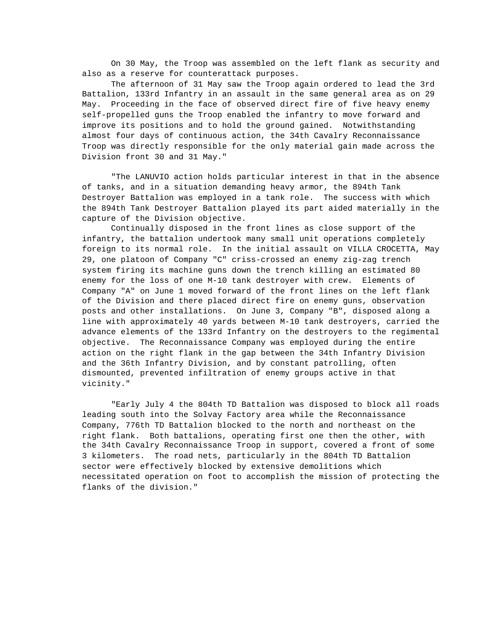On 30 May, the Troop was assembled on the left flank as security and also as a reserve for counterattack purposes.

The afternoon of 31 May saw the Troop again ordered to lead the 3rd Battalion, 133rd Infantry in an assault in the same general area as on 29 May. Proceeding in the face of observed direct fire of five heavy enemy self-propelled guns the Troop enabled the infantry to move forward and improve its positions and to hold the ground gained. Notwithstanding almost four days of continuous action, the 34th Cavalry Reconnaissance Troop was directly responsible for the only material gain made across the Division front 30 and 31 May."

"The LANUVIO action holds particular interest in that in the absence of tanks, and in a situation demanding heavy armor, the 894th Tank Destroyer Battalion was employed in a tank role. The success with which the 894th Tank Destroyer Battalion played its part aided materially in the capture of the Division objective.

Continually disposed in the front lines as close support of the infantry, the battalion undertook many small unit operations completely foreign to its normal role. In the initial assault on VILLA CROCETTA, May 29, one platoon of Company "C" criss-crossed an enemy zig-zag trench system firing its machine guns down the trench killing an estimated 80 enemy for the loss of one M-10 tank destroyer with crew. Elements of Company "A" on June 1 moved forward of the front lines on the left flank of the Division and there placed direct fire on enemy guns, observation posts and other installations. On June 3, Company "B", disposed along a line with approximately 40 yards between M-10 tank destroyers, carried the advance elements of the 133rd Infantry on the destroyers to the regimental objective. The Reconnaissance Company was employed during the entire action on the right flank in the gap between the 34th Infantry Division and the 36th Infantry Division, and by constant patrolling, often dismounted, prevented infiltration of enemy groups active in that vicinity."

"Early July 4 the 804th TD Battalion was disposed to block all roads leading south into the Solvay Factory area while the Reconnaissance Company, 776th TD Battalion blocked to the north and northeast on the right flank. Both battalions, operating first one then the other, with the 34th Cavalry Reconnaissance Troop in support, covered a front of some 3 kilometers. The road nets, particularly in the 804th TD Battalion sector were effectively blocked by extensive demolitions which necessitated operation on foot to accomplish the mission of protecting the flanks of the division."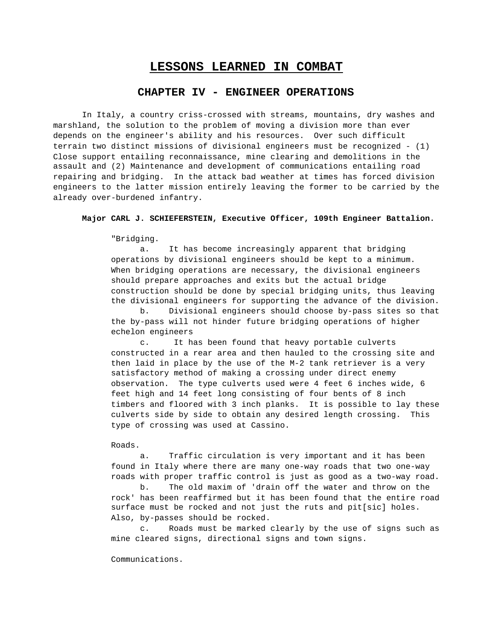# **LESSONS LEARNED IN COMBAT**

# **CHAPTER IV - ENGINEER OPERATIONS**

In Italy, a country criss-crossed with streams, mountains, dry washes and marshland, the solution to the problem of moving a division more than ever depends on the engineer's ability and his resources. Over such difficult terrain two distinct missions of divisional engineers must be recognized - (1) Close support entailing reconnaissance, mine clearing and demolitions in the assault and (2) Maintenance and development of communications entailing road repairing and bridging. In the attack bad weather at times has forced division engineers to the latter mission entirely leaving the former to be carried by the already over-burdened infantry.

## **Major CARL J. SCHIEFERSTEIN, Executive Officer, 109th Engineer Battalion.**

"Bridging.

a. It has become increasingly apparent that bridging operations by divisional engineers should be kept to a minimum. When bridging operations are necessary, the divisional engineers should prepare approaches and exits but the actual bridge construction should be done by special bridging units, thus leaving the divisional engineers for supporting the advance of the division.

b. Divisional engineers should choose by-pass sites so that the by-pass will not hinder future bridging operations of higher echelon engineers

c. It has been found that heavy portable culverts constructed in a rear area and then hauled to the crossing site and then laid in place by the use of the M-2 tank retriever is a very satisfactory method of making a crossing under direct enemy observation. The type culverts used were 4 feet 6 inches wide, 6 feet high and 14 feet long consisting of four bents of 8 inch timbers and floored with 3 inch planks. It is possible to lay these culverts side by side to obtain any desired length crossing. This type of crossing was used at Cassino.

### Roads.

a. Traffic circulation is very important and it has been found in Italy where there are many one-way roads that two one-way roads with proper traffic control is just as good as a two-way road.

b. The old maxim of 'drain off the water and throw on the rock' has been reaffirmed but it has been found that the entire road surface must be rocked and not just the ruts and pit[sic] holes. Also, by-passes should be rocked.

c. Roads must be marked clearly by the use of signs such as mine cleared signs, directional signs and town signs.

Communications.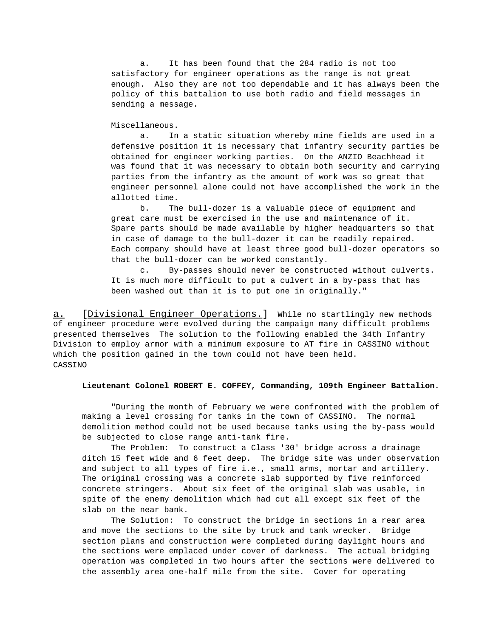a. It has been found that the 284 radio is not too satisfactory for engineer operations as the range is not great enough. Also they are not too dependable and it has always been the policy of this battalion to use both radio and field messages in sending a message.

Miscellaneous.

a. In a static situation whereby mine fields are used in a defensive position it is necessary that infantry security parties be obtained for engineer working parties. On the ANZIO Beachhead it was found that it was necessary to obtain both security and carrying parties from the infantry as the amount of work was so great that engineer personnel alone could not have accomplished the work in the allotted time.

b. The bull-dozer is a valuable piece of equipment and great care must be exercised in the use and maintenance of it. Spare parts should be made available by higher headquarters so that in case of damage to the bull-dozer it can be readily repaired. Each company should have at least three good bull-dozer operators so that the bull-dozer can be worked constantly.

c. By-passes should never be constructed without culverts. It is much more difficult to put a culvert in a by-pass that has been washed out than it is to put one in originally."

a. [Divisional Engineer Operations.] While no startlingly new methods of engineer procedure were evolved during the campaign many difficult problems presented themselves The solution to the following enabled the 34th Infantry Division to employ armor with a minimum exposure to AT fire in CASSINO without which the position gained in the town could not have been held. CASSINO

## **Lieutenant Colonel ROBERT E. COFFEY, Commanding, 109th Engineer Battalion.**

"During the month of February we were confronted with the problem of making a level crossing for tanks in the town of CASSINO. The normal demolition method could not be used because tanks using the by-pass would be subjected to close range anti-tank fire.

The Problem: To construct a Class '30' bridge across a drainage ditch 15 feet wide and 6 feet deep. The bridge site was under observation and subject to all types of fire i.e., small arms, mortar and artillery. The original crossing was a concrete slab supported by five reinforced concrete stringers. About six feet of the original slab was usable, in spite of the enemy demolition which had cut all except six feet of the slab on the near bank.

The Solution: To construct the bridge in sections in a rear area and move the sections to the site by truck and tank wrecker. Bridge section plans and construction were completed during daylight hours and the sections were emplaced under cover of darkness. The actual bridging operation was completed in two hours after the sections were delivered to the assembly area one-half mile from the site. Cover for operating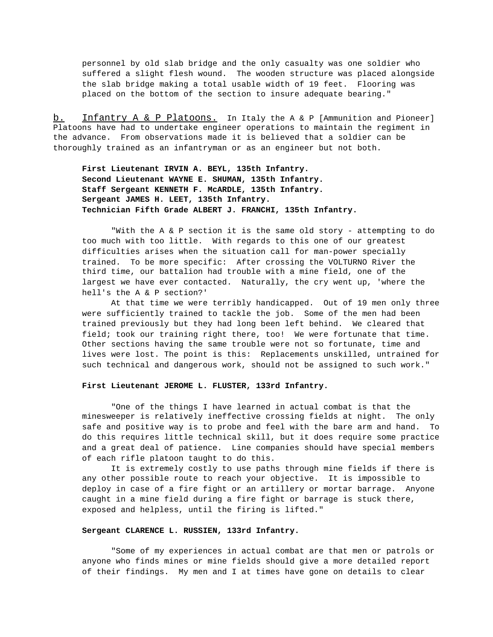personnel by old slab bridge and the only casualty was one soldier who suffered a slight flesh wound. The wooden structure was placed alongside the slab bridge making a total usable width of 19 feet. Flooring was placed on the bottom of the section to insure adequate bearing."

b. Infantry A & P Platoons. In Italy the A & P [Ammunition and Pioneer] Platoons have had to undertake engineer operations to maintain the regiment in the advance. From observations made it is believed that a soldier can be thoroughly trained as an infantryman or as an engineer but not both.

**First Lieutenant IRVIN A. BEYL, 135th Infantry. Second Lieutenant WAYNE E. SHUMAN, 135th Infantry. Staff Sergeant KENNETH F. McARDLE, 135th Infantry. Sergeant JAMES H. LEET, 135th Infantry. Technician Fifth Grade ALBERT J. FRANCHI, 135th Infantry.**

"With the A & P section it is the same old story - attempting to do too much with too little. With regards to this one of our greatest difficulties arises when the situation call for man-power specially trained. To be more specific: After crossing the VOLTURNO River the third time, our battalion had trouble with a mine field, one of the largest we have ever contacted. Naturally, the cry went up, 'where the hell's the A & P section?'

At that time we were terribly handicapped. Out of 19 men only three were sufficiently trained to tackle the job. Some of the men had been trained previously but they had long been left behind. We cleared that field; took our training right there, too! We were fortunate that time. Other sections having the same trouble were not so fortunate, time and lives were lost. The point is this: Replacements unskilled, untrained for such technical and dangerous work, should not be assigned to such work."

#### **First Lieutenant JEROME L. FLUSTER, 133rd Infantry.**

"One of the things I have learned in actual combat is that the minesweeper is relatively ineffective crossing fields at night. The only safe and positive way is to probe and feel with the bare arm and hand. To do this requires little technical skill, but it does require some practice and a great deal of patience. Line companies should have special members of each rifle platoon taught to do this.

It is extremely costly to use paths through mine fields if there is any other possible route to reach your objective. It is impossible to deploy in case of a fire fight or an artillery or mortar barrage. Anyone caught in a mine field during a fire fight or barrage is stuck there, exposed and helpless, until the firing is lifted."

## **Sergeant CLARENCE L. RUSSIEN, 133rd Infantry.**

"Some of my experiences in actual combat are that men or patrols or anyone who finds mines or mine fields should give a more detailed report of their findings. My men and I at times have gone on details to clear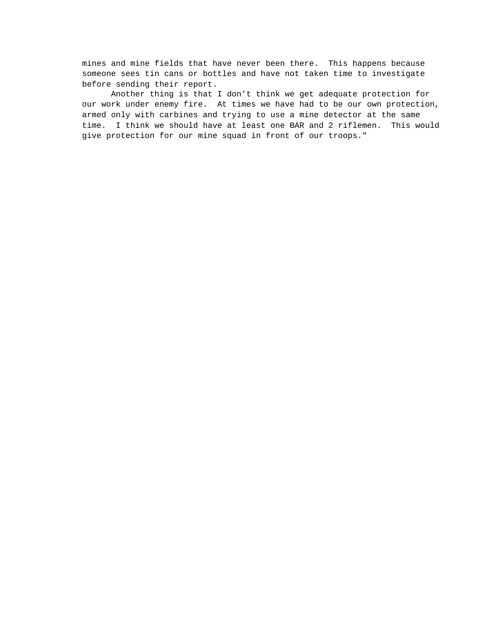mines and mine fields that have never been there. This happens because someone sees tin cans or bottles and have not taken time to investigate before sending their report.

Another thing is that I don't think we get adequate protection for our work under enemy fire. At times we have had to be our own protection, armed only with carbines and trying to use a mine detector at the same time. I think we should have at least one BAR and 2 riflemen. This would give protection for our mine squad in front of our troops."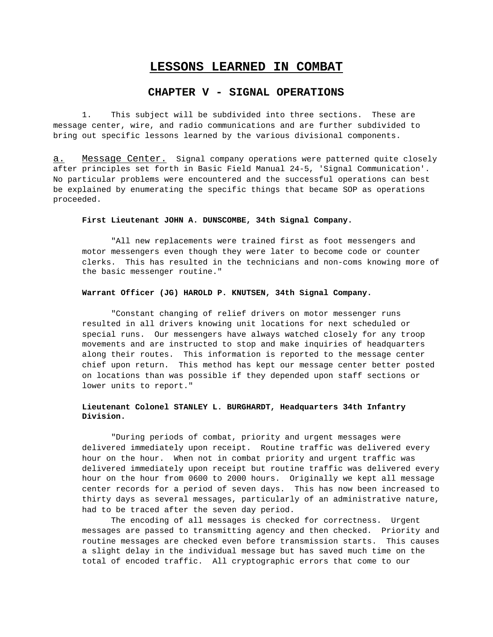# **LESSONS LEARNED IN COMBAT**

# **CHAPTER V - SIGNAL OPERATIONS**

1. This subject will be subdivided into three sections. These are message center, wire, and radio communications and are further subdivided to bring out specific lessons learned by the various divisional components.

a. Message Center. Signal company operations were patterned quite closely after principles set forth in Basic Field Manual 24-5, 'Signal Communication'. No particular problems were encountered and the successful operations can best be explained by enumerating the specific things that became SOP as operations proceeded.

## **First Lieutenant JOHN A. DUNSCOMBE, 34th Signal Company.**

"All new replacements were trained first as foot messengers and motor messengers even though they were later to become code or counter clerks. This has resulted in the technicians and non-coms knowing more of the basic messenger routine."

### **Warrant Officer (JG) HAROLD P. KNUTSEN, 34th Signal Company.**

"Constant changing of relief drivers on motor messenger runs resulted in all drivers knowing unit locations for next scheduled or special runs. Our messengers have always watched closely for any troop movements and are instructed to stop and make inquiries of headquarters along their routes. This information is reported to the message center chief upon return. This method has kept our message center better posted on locations than was possible if they depended upon staff sections or lower units to report."

# **Lieutenant Colonel STANLEY L. BURGHARDT, Headquarters 34th Infantry Division.**

"During periods of combat, priority and urgent messages were delivered immediately upon receipt. Routine traffic was delivered every hour on the hour. When not in combat priority and urgent traffic was delivered immediately upon receipt but routine traffic was delivered every hour on the hour from 0600 to 2000 hours. Originally we kept all message center records for a period of seven days. This has now been increased to thirty days as several messages, particularly of an administrative nature, had to be traced after the seven day period.

The encoding of all messages is checked for correctness. Urgent messages are passed to transmitting agency and then checked. Priority and routine messages are checked even before transmission starts. This causes a slight delay in the individual message but has saved much time on the total of encoded traffic. All cryptographic errors that come to our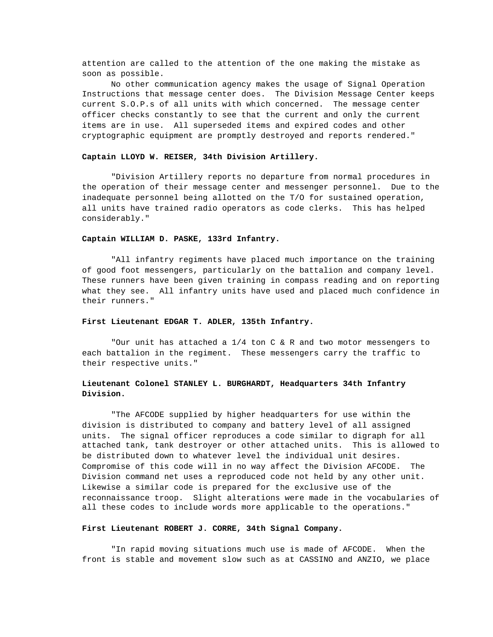attention are called to the attention of the one making the mistake as soon as possible.

No other communication agency makes the usage of Signal Operation Instructions that message center does. The Division Message Center keeps current S.O.P.s of all units with which concerned. The message center officer checks constantly to see that the current and only the current items are in use. All superseded items and expired codes and other cryptographic equipment are promptly destroyed and reports rendered."

#### **Captain LLOYD W. REISER, 34th Division Artillery.**

"Division Artillery reports no departure from normal procedures in the operation of their message center and messenger personnel. Due to the inadequate personnel being allotted on the T/O for sustained operation, all units have trained radio operators as code clerks. This has helped considerably."

## **Captain WILLIAM D. PASKE, 133rd Infantry.**

"All infantry regiments have placed much importance on the training of good foot messengers, particularly on the battalion and company level. These runners have been given training in compass reading and on reporting what they see. All infantry units have used and placed much confidence in their runners."

## **First Lieutenant EDGAR T. ADLER, 135th Infantry.**

"Our unit has attached a 1/4 ton C & R and two motor messengers to each battalion in the regiment. These messengers carry the traffic to their respective units."

# **Lieutenant Colonel STANLEY L. BURGHARDT, Headquarters 34th Infantry Division.**

"The AFCODE supplied by higher headquarters for use within the division is distributed to company and battery level of all assigned units. The signal officer reproduces a code similar to digraph for all attached tank, tank destroyer or other attached units. This is allowed to be distributed down to whatever level the individual unit desires. Compromise of this code will in no way affect the Division AFCODE. The Division command net uses a reproduced code not held by any other unit. Likewise a similar code is prepared for the exclusive use of the reconnaissance troop. Slight alterations were made in the vocabularies of all these codes to include words more applicable to the operations."

#### **First Lieutenant ROBERT J. CORRE, 34th Signal Company.**

"In rapid moving situations much use is made of AFCODE. When the front is stable and movement slow such as at CASSINO and ANZIO, we place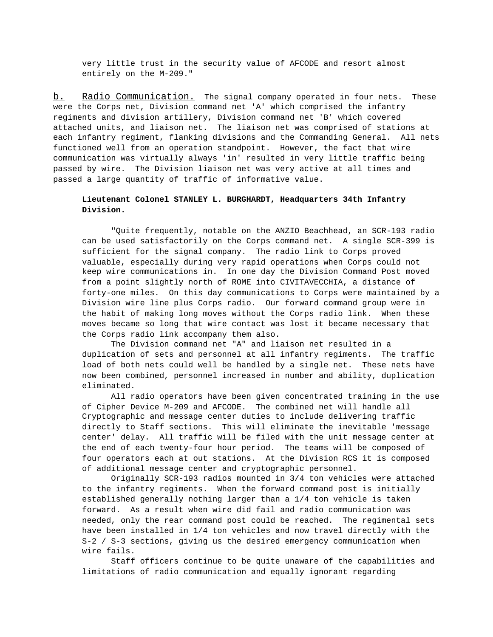very little trust in the security value of AFCODE and resort almost entirely on the M-209."

b. Radio Communication. The signal company operated in four nets. These were the Corps net, Division command net 'A' which comprised the infantry regiments and division artillery, Division command net 'B' which covered attached units, and liaison net. The liaison net was comprised of stations at each infantry regiment, flanking divisions and the Commanding General. All nets functioned well from an operation standpoint. However, the fact that wire communication was virtually always 'in' resulted in very little traffic being passed by wire. The Division liaison net was very active at all times and passed a large quantity of traffic of informative value.

# **Lieutenant Colonel STANLEY L. BURGHARDT, Headquarters 34th Infantry Division.**

"Quite frequently, notable on the ANZIO Beachhead, an SCR-193 radio can be used satisfactorily on the Corps command net. A single SCR-399 is sufficient for the signal company. The radio link to Corps proved valuable, especially during very rapid operations when Corps could not keep wire communications in. In one day the Division Command Post moved from a point slightly north of ROME into CIVITAVECCHIA, a distance of forty-one miles. On this day communications to Corps were maintained by a Division wire line plus Corps radio. Our forward command group were in the habit of making long moves without the Corps radio link. When these moves became so long that wire contact was lost it became necessary that the Corps radio link accompany them also.

The Division command net "A" and liaison net resulted in a duplication of sets and personnel at all infantry regiments. The traffic load of both nets could well be handled by a single net. These nets have now been combined, personnel increased in number and ability, duplication eliminated.

All radio operators have been given concentrated training in the use of Cipher Device M-209 and AFCODE. The combined net will handle all Cryptographic and message center duties to include delivering traffic directly to Staff sections. This will eliminate the inevitable 'message center' delay. All traffic will be filed with the unit message center at the end of each twenty-four hour period. The teams will be composed of four operators each at out stations. At the Division RCS it is composed of additional message center and cryptographic personnel.

Originally SCR-193 radios mounted in 3/4 ton vehicles were attached to the infantry regiments. When the forward command post is initially established generally nothing larger than a 1/4 ton vehicle is taken forward. As a result when wire did fail and radio communication was needed, only the rear command post could be reached. The regimental sets have been installed in 1/4 ton vehicles and now travel directly with the S-2 / S-3 sections, giving us the desired emergency communication when wire fails.

Staff officers continue to be quite unaware of the capabilities and limitations of radio communication and equally ignorant regarding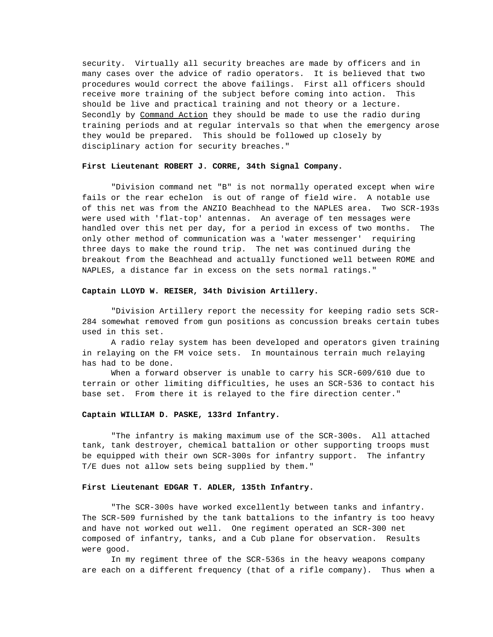security. Virtually all security breaches are made by officers and in many cases over the advice of radio operators. It is believed that two procedures would correct the above failings. First all officers should receive more training of the subject before coming into action. This should be live and practical training and not theory or a lecture. Secondly by Command Action they should be made to use the radio during training periods and at regular intervals so that when the emergency arose they would be prepared. This should be followed up closely by disciplinary action for security breaches."

## **First Lieutenant ROBERT J. CORRE, 34th Signal Company.**

"Division command net "B" is not normally operated except when wire fails or the rear echelon is out of range of field wire. A notable use of this net was from the ANZIO Beachhead to the NAPLES area. Two SCR-193s were used with 'flat-top' antennas. An average of ten messages were handled over this net per day, for a period in excess of two months. The only other method of communication was a 'water messenger' requiring three days to make the round trip. The net was continued during the breakout from the Beachhead and actually functioned well between ROME and NAPLES, a distance far in excess on the sets normal ratings."

## **Captain LLOYD W. REISER, 34th Division Artillery.**

"Division Artillery report the necessity for keeping radio sets SCR-284 somewhat removed from gun positions as concussion breaks certain tubes used in this set.

A radio relay system has been developed and operators given training in relaying on the FM voice sets. In mountainous terrain much relaying has had to be done.

When a forward observer is unable to carry his SCR-609/610 due to terrain or other limiting difficulties, he uses an SCR-536 to contact his base set. From there it is relayed to the fire direction center."

### **Captain WILLIAM D. PASKE, 133rd Infantry.**

"The infantry is making maximum use of the SCR-300s. All attached tank, tank destroyer, chemical battalion or other supporting troops must be equipped with their own SCR-300s for infantry support. The infantry T/E dues not allow sets being supplied by them."

## **First Lieutenant EDGAR T. ADLER, 135th Infantry.**

"The SCR-300s have worked excellently between tanks and infantry. The SCR-509 furnished by the tank battalions to the infantry is too heavy and have not worked out well. One regiment operated an SCR-300 net composed of infantry, tanks, and a Cub plane for observation. Results were good.

In my regiment three of the SCR-536s in the heavy weapons company are each on a different frequency (that of a rifle company). Thus when a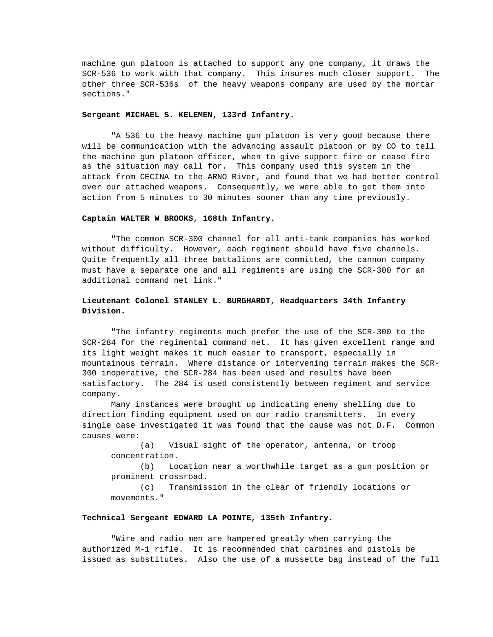machine gun platoon is attached to support any one company, it draws the SCR-536 to work with that company. This insures much closer support. The other three SCR-536s of the heavy weapons company are used by the mortar sections."

## **Sergeant MICHAEL S. KELEMEN, 133rd Infantry.**

"A 536 to the heavy machine gun platoon is very good because there will be communication with the advancing assault platoon or by CO to tell the machine gun platoon officer, when to give support fire or cease fire as the situation may call for. This company used this system in the attack from CECINA to the ARNO River, and found that we had better control over our attached weapons. Consequently, we were able to get them into action from 5 minutes to 30 minutes sooner than any time previously.

### **Captain WALTER W BROOKS, 168th Infantry.**

"The common SCR-300 channel for all anti-tank companies has worked without difficulty. However, each regiment should have five channels. Quite frequently all three battalions are committed, the cannon company must have a separate one and all regiments are using the SCR-300 for an additional command net link."

# **Lieutenant Colonel STANLEY L. BURGHARDT, Headquarters 34th Infantry Division.**

"The infantry regiments much prefer the use of the SCR-300 to the SCR-284 for the regimental command net. It has given excellent range and its light weight makes it much easier to transport, especially in mountainous terrain. Where distance or intervening terrain makes the SCR-300 inoperative, the SCR-284 has been used and results have been satisfactory. The 284 is used consistently between regiment and service company.

Many instances were brought up indicating enemy shelling due to direction finding equipment used on our radio transmitters. In every single case investigated it was found that the cause was not D.F. Common causes were:

(a) Visual sight of the operator, antenna, or troop concentration.

(b) Location near a worthwhile target as a gun position or prominent crossroad.

(c) Transmission in the clear of friendly locations or movements."

## **Technical Sergeant EDWARD LA POINTE, 135th Infantry.**

"Wire and radio men are hampered greatly when carrying the authorized M-1 rifle. It is recommended that carbines and pistols be issued as substitutes. Also the use of a mussette bag instead of the full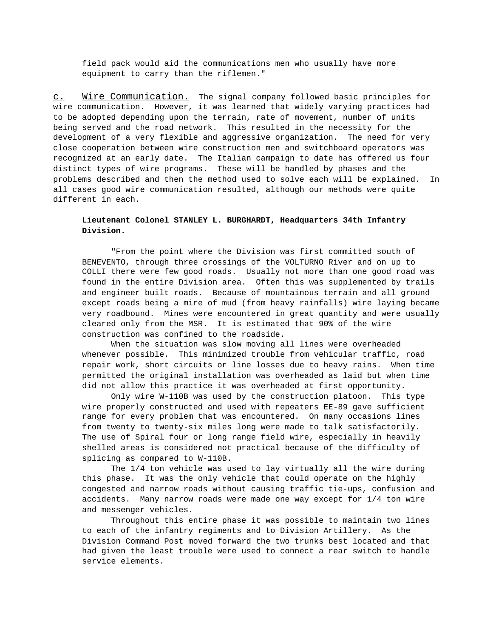field pack would aid the communications men who usually have more equipment to carry than the riflemen."

c. Mire Communication. The signal company followed basic principles for wire communication. However, it was learned that widely varying practices had to be adopted depending upon the terrain, rate of movement, number of units being served and the road network. This resulted in the necessity for the development of a very flexible and aggressive organization. The need for very close cooperation between wire construction men and switchboard operators was recognized at an early date. The Italian campaign to date has offered us four distinct types of wire programs. These will be handled by phases and the problems described and then the method used to solve each will be explained. In all cases good wire communication resulted, although our methods were quite different in each.

# **Lieutenant Colonel STANLEY L. BURGHARDT, Headquarters 34th Infantry Division.**

"From the point where the Division was first committed south of BENEVENTO, through three crossings of the VOLTURNO River and on up to COLLI there were few good roads. Usually not more than one good road was found in the entire Division area. Often this was supplemented by trails and engineer built roads. Because of mountainous terrain and all ground except roads being a mire of mud (from heavy rainfalls) wire laying became very roadbound. Mines were encountered in great quantity and were usually cleared only from the MSR. It is estimated that 90% of the wire construction was confined to the roadside.

When the situation was slow moving all lines were overheaded whenever possible. This minimized trouble from vehicular traffic, road repair work, short circuits or line losses due to heavy rains. When time permitted the original installation was overheaded as laid but when time did not allow this practice it was overheaded at first opportunity.

Only wire W-110B was used by the construction platoon. This type wire properly constructed and used with repeaters EE-89 gave sufficient range for every problem that was encountered. On many occasions lines from twenty to twenty-six miles long were made to talk satisfactorily. The use of Spiral four or long range field wire, especially in heavily shelled areas is considered not practical because of the difficulty of splicing as compared to W-110B.

The 1/4 ton vehicle was used to lay virtually all the wire during this phase. It was the only vehicle that could operate on the highly congested and narrow roads without causing traffic tie-ups, confusion and accidents. Many narrow roads were made one way except for 1/4 ton wire and messenger vehicles.

Throughout this entire phase it was possible to maintain two lines to each of the infantry regiments and to Division Artillery. As the Division Command Post moved forward the two trunks best located and that had given the least trouble were used to connect a rear switch to handle service elements.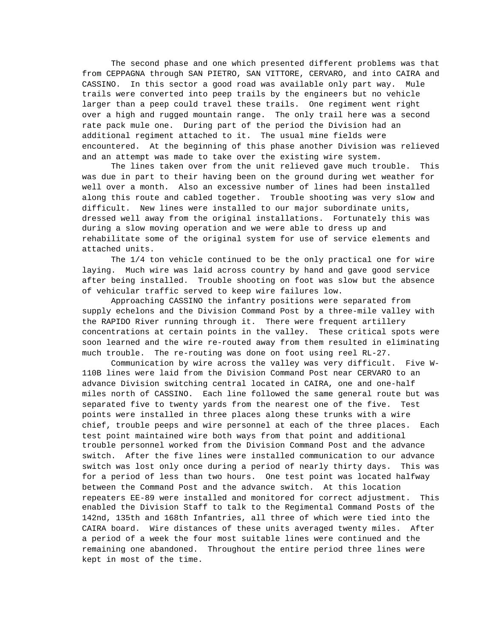The second phase and one which presented different problems was that from CEPPAGNA through SAN PIETRO, SAN VITTORE, CERVARO, and into CAIRA and CASSINO. In this sector a good road was available only part way. Mule trails were converted into peep trails by the engineers but no vehicle larger than a peep could travel these trails. One regiment went right over a high and rugged mountain range. The only trail here was a second rate pack mule one. During part of the period the Division had an additional regiment attached to it. The usual mine fields were encountered. At the beginning of this phase another Division was relieved and an attempt was made to take over the existing wire system.

The lines taken over from the unit relieved gave much trouble. This was due in part to their having been on the ground during wet weather for well over a month. Also an excessive number of lines had been installed along this route and cabled together. Trouble shooting was very slow and difficult. New lines were installed to our major subordinate units, dressed well away from the original installations. Fortunately this was during a slow moving operation and we were able to dress up and rehabilitate some of the original system for use of service elements and attached units.

The 1/4 ton vehicle continued to be the only practical one for wire laying. Much wire was laid across country by hand and gave good service after being installed. Trouble shooting on foot was slow but the absence of vehicular traffic served to keep wire failures low.

Approaching CASSINO the infantry positions were separated from supply echelons and the Division Command Post by a three-mile valley with the RAPIDO River running through it. There were frequent artillery concentrations at certain points in the valley. These critical spots were soon learned and the wire re-routed away from them resulted in eliminating much trouble. The re-routing was done on foot using reel RL-27.

Communication by wire across the valley was very difficult. Five W-110B lines were laid from the Division Command Post near CERVARO to an advance Division switching central located in CAIRA, one and one-half miles north of CASSINO. Each line followed the same general route but was separated five to twenty yards from the nearest one of the five. Test points were installed in three places along these trunks with a wire chief, trouble peeps and wire personnel at each of the three places. Each test point maintained wire both ways from that point and additional trouble personnel worked from the Division Command Post and the advance switch. After the five lines were installed communication to our advance switch was lost only once during a period of nearly thirty days. This was for a period of less than two hours. One test point was located halfway between the Command Post and the advance switch. At this location repeaters EE-89 were installed and monitored for correct adjustment. This enabled the Division Staff to talk to the Regimental Command Posts of the 142nd, 135th and 168th Infantries, all three of which were tied into the CAIRA board. Wire distances of these units averaged twenty miles. After a period of a week the four most suitable lines were continued and the remaining one abandoned. Throughout the entire period three lines were kept in most of the time.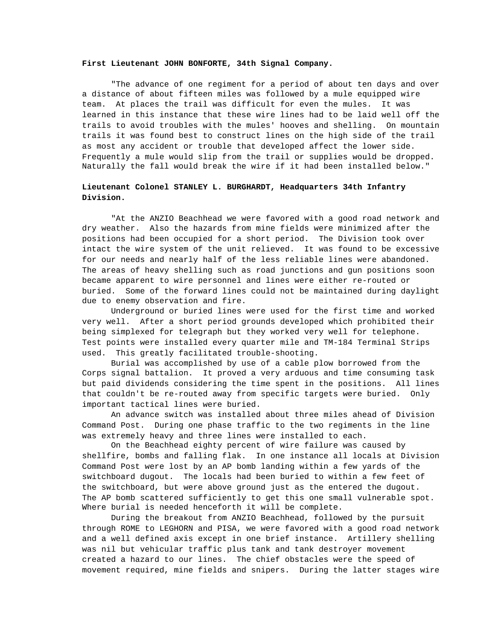### **First Lieutenant JOHN BONFORTE, 34th Signal Company.**

"The advance of one regiment for a period of about ten days and over a distance of about fifteen miles was followed by a mule equipped wire team. At places the trail was difficult for even the mules. It was learned in this instance that these wire lines had to be laid well off the trails to avoid troubles with the mules' hooves and shelling. On mountain trails it was found best to construct lines on the high side of the trail as most any accident or trouble that developed affect the lower side. Frequently a mule would slip from the trail or supplies would be dropped. Naturally the fall would break the wire if it had been installed below."

# **Lieutenant Colonel STANLEY L. BURGHARDT, Headquarters 34th Infantry Division.**

"At the ANZIO Beachhead we were favored with a good road network and dry weather. Also the hazards from mine fields were minimized after the positions had been occupied for a short period. The Division took over intact the wire system of the unit relieved. It was found to be excessive for our needs and nearly half of the less reliable lines were abandoned. The areas of heavy shelling such as road junctions and gun positions soon became apparent to wire personnel and lines were either re-routed or buried. Some of the forward lines could not be maintained during daylight due to enemy observation and fire.

Underground or buried lines were used for the first time and worked very well. After a short period grounds developed which prohibited their being simplexed for telegraph but they worked very well for telephone. Test points were installed every quarter mile and TM-184 Terminal Strips used. This greatly facilitated trouble-shooting.

Burial was accomplished by use of a cable plow borrowed from the Corps signal battalion. It proved a very arduous and time consuming task but paid dividends considering the time spent in the positions. All lines that couldn't be re-routed away from specific targets were buried. Only important tactical lines were buried.

An advance switch was installed about three miles ahead of Division Command Post. During one phase traffic to the two regiments in the line was extremely heavy and three lines were installed to each.

On the Beachhead eighty percent of wire failure was caused by shellfire, bombs and falling flak. In one instance all locals at Division Command Post were lost by an AP bomb landing within a few yards of the switchboard dugout. The locals had been buried to within a few feet of the switchboard, but were above ground just as the entered the dugout. The AP bomb scattered sufficiently to get this one small vulnerable spot. Where burial is needed henceforth it will be complete.

During the breakout from ANZIO Beachhead, followed by the pursuit through ROME to LEGHORN and PISA, we were favored with a good road network and a well defined axis except in one brief instance. Artillery shelling was nil but vehicular traffic plus tank and tank destroyer movement created a hazard to our lines. The chief obstacles were the speed of movement required, mine fields and snipers. During the latter stages wire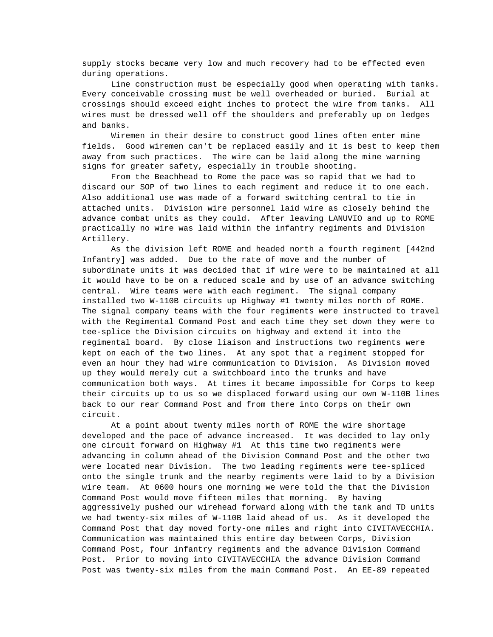supply stocks became very low and much recovery had to be effected even during operations.

Line construction must be especially good when operating with tanks. Every conceivable crossing must be well overheaded or buried. Burial at crossings should exceed eight inches to protect the wire from tanks. All wires must be dressed well off the shoulders and preferably up on ledges and banks.

Wiremen in their desire to construct good lines often enter mine fields. Good wiremen can't be replaced easily and it is best to keep them away from such practices. The wire can be laid along the mine warning signs for greater safety, especially in trouble shooting.

From the Beachhead to Rome the pace was so rapid that we had to discard our SOP of two lines to each regiment and reduce it to one each. Also additional use was made of a forward switching central to tie in attached units. Division wire personnel laid wire as closely behind the advance combat units as they could. After leaving LANUVIO and up to ROME practically no wire was laid within the infantry regiments and Division Artillery.

As the division left ROME and headed north a fourth regiment [442nd Infantry] was added. Due to the rate of move and the number of subordinate units it was decided that if wire were to be maintained at all it would have to be on a reduced scale and by use of an advance switching central. Wire teams were with each regiment. The signal company installed two W-110B circuits up Highway #1 twenty miles north of ROME. The signal company teams with the four regiments were instructed to travel with the Regimental Command Post and each time they set down they were to tee-splice the Division circuits on highway and extend it into the regimental board. By close liaison and instructions two regiments were kept on each of the two lines. At any spot that a regiment stopped for even an hour they had wire communication to Division. As Division moved up they would merely cut a switchboard into the trunks and have communication both ways. At times it became impossible for Corps to keep their circuits up to us so we displaced forward using our own W-110B lines back to our rear Command Post and from there into Corps on their own circuit.

At a point about twenty miles north of ROME the wire shortage developed and the pace of advance increased. It was decided to lay only one circuit forward on Highway #1 At this time two regiments were advancing in column ahead of the Division Command Post and the other two were located near Division. The two leading regiments were tee-spliced onto the single trunk and the nearby regiments were laid to by a Division wire team. At 0600 hours one morning we were told the that the Division Command Post would move fifteen miles that morning. By having aggressively pushed our wirehead forward along with the tank and TD units we had twenty-six miles of W-110B laid ahead of us. As it developed the Command Post that day moved forty-one miles and right into CIVITAVECCHIA. Communication was maintained this entire day between Corps, Division Command Post, four infantry regiments and the advance Division Command Post. Prior to moving into CIVITAVECCHIA the advance Division Command Post was twenty-six miles from the main Command Post. An EE-89 repeated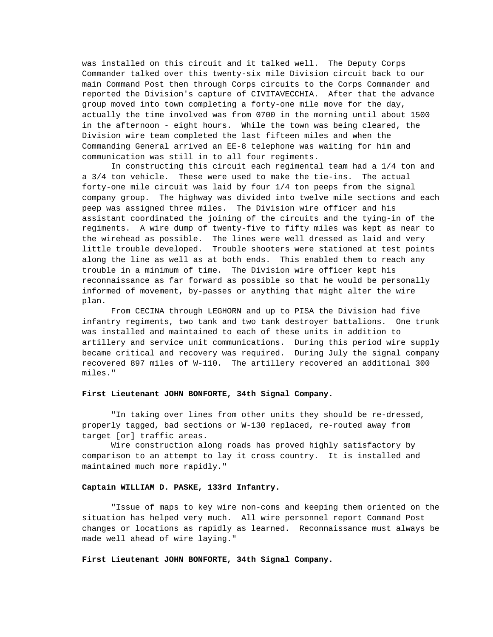was installed on this circuit and it talked well. The Deputy Corps Commander talked over this twenty-six mile Division circuit back to our main Command Post then through Corps circuits to the Corps Commander and reported the Division's capture of CIVITAVECCHIA. After that the advance group moved into town completing a forty-one mile move for the day, actually the time involved was from 0700 in the morning until about 1500 in the afternoon - eight hours. While the town was being cleared, the Division wire team completed the last fifteen miles and when the Commanding General arrived an EE-8 telephone was waiting for him and communication was still in to all four regiments.

In constructing this circuit each regimental team had a 1/4 ton and a 3/4 ton vehicle. These were used to make the tie-ins. The actual forty-one mile circuit was laid by four 1/4 ton peeps from the signal company group. The highway was divided into twelve mile sections and each peep was assigned three miles. The Division wire officer and his assistant coordinated the joining of the circuits and the tying-in of the regiments. A wire dump of twenty-five to fifty miles was kept as near to the wirehead as possible. The lines were well dressed as laid and very little trouble developed. Trouble shooters were stationed at test points along the line as well as at both ends. This enabled them to reach any trouble in a minimum of time. The Division wire officer kept his reconnaissance as far forward as possible so that he would be personally informed of movement, by-passes or anything that might alter the wire plan.

From CECINA through LEGHORN and up to PISA the Division had five infantry regiments, two tank and two tank destroyer battalions. One trunk was installed and maintained to each of these units in addition to artillery and service unit communications. During this period wire supply became critical and recovery was required. During July the signal company recovered 897 miles of W-110. The artillery recovered an additional 300 miles."

### **First Lieutenant JOHN BONFORTE, 34th Signal Company.**

"In taking over lines from other units they should be re-dressed, properly tagged, bad sections or W-130 replaced, re-routed away from target [or] traffic areas.

Wire construction along roads has proved highly satisfactory by comparison to an attempt to lay it cross country. It is installed and maintained much more rapidly."

## **Captain WILLIAM D. PASKE, 133rd Infantry.**

"Issue of maps to key wire non-coms and keeping them oriented on the situation has helped very much. All wire personnel report Command Post changes or locations as rapidly as learned. Reconnaissance must always be made well ahead of wire laying."

### **First Lieutenant JOHN BONFORTE, 34th Signal Company.**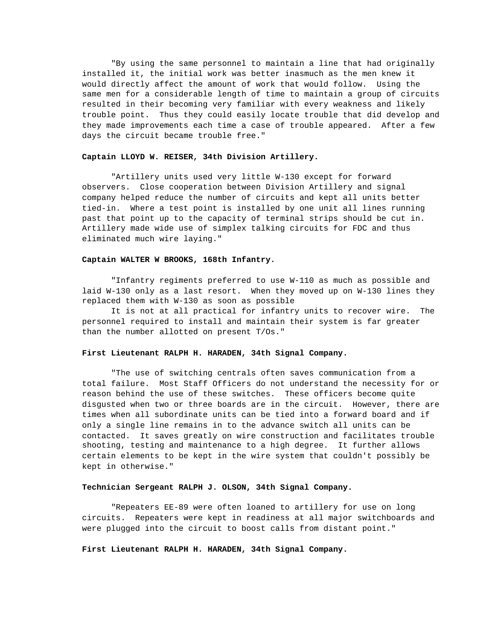"By using the same personnel to maintain a line that had originally installed it, the initial work was better inasmuch as the men knew it would directly affect the amount of work that would follow. Using the same men for a considerable length of time to maintain a group of circuits resulted in their becoming very familiar with every weakness and likely trouble point. Thus they could easily locate trouble that did develop and they made improvements each time a case of trouble appeared. After a few days the circuit became trouble free."

#### **Captain LLOYD W. REISER, 34th Division Artillery.**

"Artillery units used very little W-130 except for forward observers. Close cooperation between Division Artillery and signal company helped reduce the number of circuits and kept all units better tied-in. Where a test point is installed by one unit all lines running past that point up to the capacity of terminal strips should be cut in. Artillery made wide use of simplex talking circuits for FDC and thus eliminated much wire laying."

## **Captain WALTER W BROOKS, 168th Infantry.**

"Infantry regiments preferred to use W-110 as much as possible and laid W-130 only as a last resort. When they moved up on W-130 lines they replaced them with W-130 as soon as possible

It is not at all practical for infantry units to recover wire. The personnel required to install and maintain their system is far greater than the number allotted on present T/Os."

## **First Lieutenant RALPH H. HARADEN, 34th Signal Company.**

"The use of switching centrals often saves communication from a total failure. Most Staff Officers do not understand the necessity for or reason behind the use of these switches. These officers become quite disgusted when two or three boards are in the circuit. However, there are times when all subordinate units can be tied into a forward board and if only a single line remains in to the advance switch all units can be contacted. It saves greatly on wire construction and facilitates trouble shooting, testing and maintenance to a high degree. It further allows certain elements to be kept in the wire system that couldn't possibly be kept in otherwise."

### **Technician Sergeant RALPH J. OLSON, 34th Signal Company.**

"Repeaters EE-89 were often loaned to artillery for use on long circuits. Repeaters were kept in readiness at all major switchboards and were plugged into the circuit to boost calls from distant point."

#### **First Lieutenant RALPH H. HARADEN, 34th Signal Company.**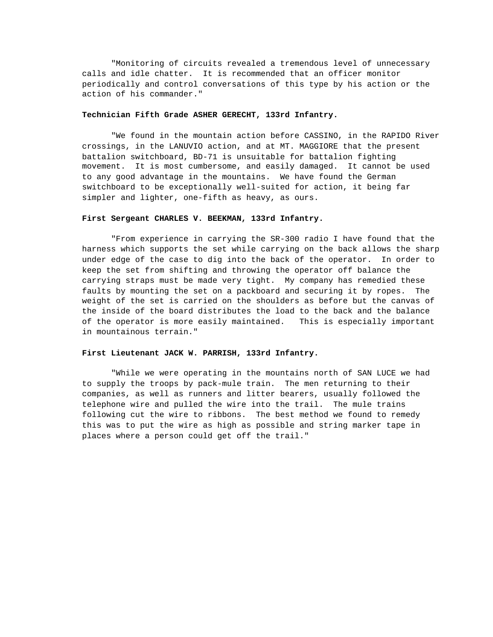"Monitoring of circuits revealed a tremendous level of unnecessary calls and idle chatter. It is recommended that an officer monitor periodically and control conversations of this type by his action or the action of his commander."

## **Technician Fifth Grade ASHER GERECHT, 133rd Infantry.**

"We found in the mountain action before CASSINO, in the RAPIDO River crossings, in the LANUVIO action, and at MT. MAGGIORE that the present battalion switchboard, BD-71 is unsuitable for battalion fighting movement. It is most cumbersome, and easily damaged. It cannot be used to any good advantage in the mountains. We have found the German switchboard to be exceptionally well-suited for action, it being far simpler and lighter, one-fifth as heavy, as ours.

### **First Sergeant CHARLES V. BEEKMAN, 133rd Infantry.**

"From experience in carrying the SR-300 radio I have found that the harness which supports the set while carrying on the back allows the sharp under edge of the case to dig into the back of the operator. In order to keep the set from shifting and throwing the operator off balance the carrying straps must be made very tight. My company has remedied these faults by mounting the set on a packboard and securing it by ropes. The weight of the set is carried on the shoulders as before but the canvas of the inside of the board distributes the load to the back and the balance of the operator is more easily maintained. This is especially important in mountainous terrain."

### **First Lieutenant JACK W. PARRISH, 133rd Infantry.**

"While we were operating in the mountains north of SAN LUCE we had to supply the troops by pack-mule train. The men returning to their companies, as well as runners and litter bearers, usually followed the telephone wire and pulled the wire into the trail. The mule trains following cut the wire to ribbons. The best method we found to remedy this was to put the wire as high as possible and string marker tape in places where a person could get off the trail."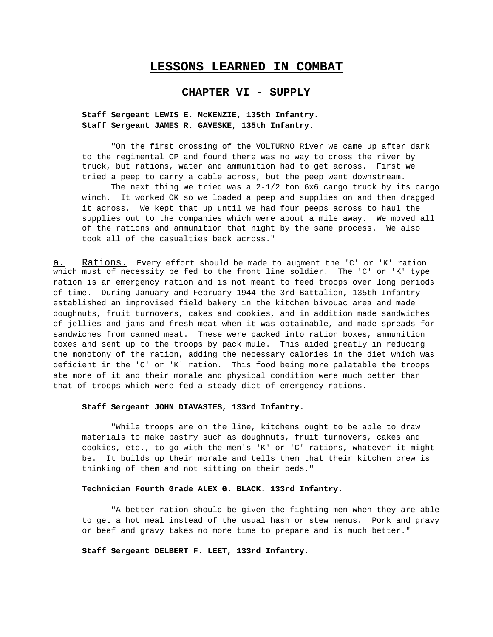# **LESSONS LEARNED IN COMBAT**

# **CHAPTER VI - SUPPLY**

## **Staff Sergeant LEWIS E. McKENZIE, 135th Infantry. Staff Sergeant JAMES R. GAVESKE, 135th Infantry.**

"On the first crossing of the VOLTURNO River we came up after dark to the regimental CP and found there was no way to cross the river by truck, but rations, water and ammunition had to get across. First we tried a peep to carry a cable across, but the peep went downstream.

The next thing we tried was a  $2-1/2$  ton 6x6 cargo truck by its cargo winch. It worked OK so we loaded a peep and supplies on and then dragged it across. We kept that up until we had four peeps across to haul the supplies out to the companies which were about a mile away. We moved all of the rations and ammunition that night by the same process. We also took all of the casualties back across."

a. Rations. Every effort should be made to augment the 'C' or 'K' ration which must of necessity be fed to the front line soldier. The 'C' or 'K' type ration is an emergency ration and is not meant to feed troops over long periods of time. During January and February 1944 the 3rd Battalion, 135th Infantry established an improvised field bakery in the kitchen bivouac area and made doughnuts, fruit turnovers, cakes and cookies, and in addition made sandwiches of jellies and jams and fresh meat when it was obtainable, and made spreads for sandwiches from canned meat. These were packed into ration boxes, ammunition boxes and sent up to the troops by pack mule. This aided greatly in reducing the monotony of the ration, adding the necessary calories in the diet which was deficient in the 'C' or 'K' ration. This food being more palatable the troops ate more of it and their morale and physical condition were much better than that of troops which were fed a steady diet of emergency rations.

### **Staff Sergeant JOHN DIAVASTES, 133rd Infantry.**

"While troops are on the line, kitchens ought to be able to draw materials to make pastry such as doughnuts, fruit turnovers, cakes and cookies, etc., to go with the men's 'K' or 'C' rations, whatever it might be. It builds up their morale and tells them that their kitchen crew is thinking of them and not sitting on their beds."

#### **Technician Fourth Grade ALEX G. BLACK. 133rd Infantry.**

"A better ration should be given the fighting men when they are able to get a hot meal instead of the usual hash or stew menus. Pork and gravy or beef and gravy takes no more time to prepare and is much better."

## **Staff Sergeant DELBERT F. LEET, 133rd Infantry.**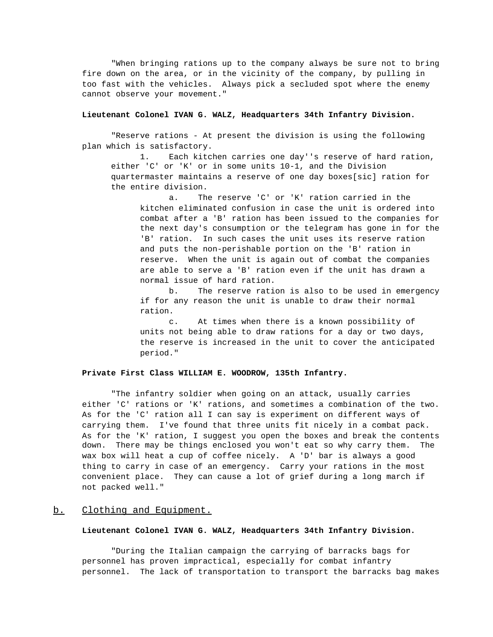"When bringing rations up to the company always be sure not to bring fire down on the area, or in the vicinity of the company, by pulling in too fast with the vehicles. Always pick a secluded spot where the enemy cannot observe your movement."

## **Lieutenant Colonel IVAN G. WALZ, Headquarters 34th Infantry Division.**

"Reserve rations - At present the division is using the following plan which is satisfactory.

1. Each kitchen carries one day''s reserve of hard ration, either 'C' or 'K' or in some units 10-1, and the Division quartermaster maintains a reserve of one day boxes[sic] ration for the entire division.

a. The reserve 'C' or 'K' ration carried in the kitchen eliminated confusion in case the unit is ordered into combat after a 'B' ration has been issued to the companies for the next day's consumption or the telegram has gone in for the 'B' ration. In such cases the unit uses its reserve ration and puts the non-perishable portion on the 'B' ration in reserve. When the unit is again out of combat the companies are able to serve a 'B' ration even if the unit has drawn a normal issue of hard ration.

b. The reserve ration is also to be used in emergency if for any reason the unit is unable to draw their normal ration.

c. At times when there is a known possibility of units not being able to draw rations for a day or two days, the reserve is increased in the unit to cover the anticipated period."

### **Private First Class WILLIAM E. WOODROW, 135th Infantry.**

"The infantry soldier when going on an attack, usually carries either 'C' rations or 'K' rations, and sometimes a combination of the two. As for the 'C' ration all I can say is experiment on different ways of carrying them. I've found that three units fit nicely in a combat pack. As for the 'K' ration, I suggest you open the boxes and break the contents down. There may be things enclosed you won't eat so why carry them. The wax box will heat a cup of coffee nicely. A 'D' bar is always a good thing to carry in case of an emergency. Carry your rations in the most convenient place. They can cause a lot of grief during a long march if not packed well."

## b. Clothing and Equipment.

## **Lieutenant Colonel IVAN G. WALZ, Headquarters 34th Infantry Division.**

"During the Italian campaign the carrying of barracks bags for personnel has proven impractical, especially for combat infantry personnel. The lack of transportation to transport the barracks bag makes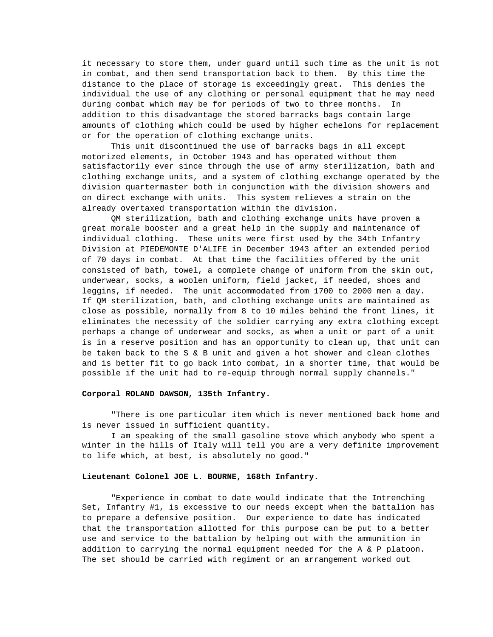it necessary to store them, under guard until such time as the unit is not in combat, and then send transportation back to them. By this time the distance to the place of storage is exceedingly great. This denies the individual the use of any clothing or personal equipment that he may need during combat which may be for periods of two to three months. In addition to this disadvantage the stored barracks bags contain large amounts of clothing which could be used by higher echelons for replacement or for the operation of clothing exchange units.

This unit discontinued the use of barracks bags in all except motorized elements, in October 1943 and has operated without them satisfactorily ever since through the use of army sterilization, bath and clothing exchange units, and a system of clothing exchange operated by the division quartermaster both in conjunction with the division showers and on direct exchange with units. This system relieves a strain on the already overtaxed transportation within the division.

QM sterilization, bath and clothing exchange units have proven a great morale booster and a great help in the supply and maintenance of individual clothing. These units were first used by the 34th Infantry Division at PIEDEMONTE D'ALIFE in December 1943 after an extended period of 70 days in combat. At that time the facilities offered by the unit consisted of bath, towel, a complete change of uniform from the skin out, underwear, socks, a woolen uniform, field jacket, if needed, shoes and leggins, if needed. The unit accommodated from 1700 to 2000 men a day. If QM sterilization, bath, and clothing exchange units are maintained as close as possible, normally from 8 to 10 miles behind the front lines, it eliminates the necessity of the soldier carrying any extra clothing except perhaps a change of underwear and socks, as when a unit or part of a unit is in a reserve position and has an opportunity to clean up, that unit can be taken back to the S & B unit and given a hot shower and clean clothes and is better fit to go back into combat, in a shorter time, that would be possible if the unit had to re-equip through normal supply channels."

## **Corporal ROLAND DAWSON, 135th Infantry.**

"There is one particular item which is never mentioned back home and is never issued in sufficient quantity.

I am speaking of the small gasoline stove which anybody who spent a winter in the hills of Italy will tell you are a very definite improvement to life which, at best, is absolutely no good."

#### **Lieutenant Colonel JOE L. BOURNE, 168th Infantry.**

"Experience in combat to date would indicate that the Intrenching Set, Infantry #1, is excessive to our needs except when the battalion has to prepare a defensive position. Our experience to date has indicated that the transportation allotted for this purpose can be put to a better use and service to the battalion by helping out with the ammunition in addition to carrying the normal equipment needed for the A & P platoon. The set should be carried with regiment or an arrangement worked out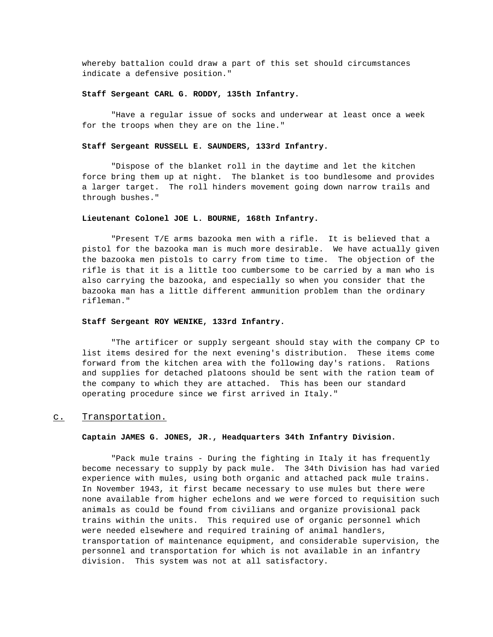whereby battalion could draw a part of this set should circumstances indicate a defensive position."

### **Staff Sergeant CARL G. RODDY, 135th Infantry.**

"Have a regular issue of socks and underwear at least once a week for the troops when they are on the line."

### **Staff Sergeant RUSSELL E. SAUNDERS, 133rd Infantry.**

"Dispose of the blanket roll in the daytime and let the kitchen force bring them up at night. The blanket is too bundlesome and provides a larger target. The roll hinders movement going down narrow trails and through bushes."

### **Lieutenant Colonel JOE L. BOURNE, 168th Infantry.**

"Present T/E arms bazooka men with a rifle. It is believed that a pistol for the bazooka man is much more desirable. We have actually given the bazooka men pistols to carry from time to time. The objection of the rifle is that it is a little too cumbersome to be carried by a man who is also carrying the bazooka, and especially so when you consider that the bazooka man has a little different ammunition problem than the ordinary rifleman."

## **Staff Sergeant ROY WENIKE, 133rd Infantry.**

"The artificer or supply sergeant should stay with the company CP to list items desired for the next evening's distribution. These items come forward from the kitchen area with the following day's rations. Rations and supplies for detached platoons should be sent with the ration team of the company to which they are attached. This has been our standard operating procedure since we first arrived in Italy."

#### c. Transportation.

### **Captain JAMES G. JONES, JR., Headquarters 34th Infantry Division.**

"Pack mule trains - During the fighting in Italy it has frequently become necessary to supply by pack mule. The 34th Division has had varied experience with mules, using both organic and attached pack mule trains. In November 1943, it first became necessary to use mules but there were none available from higher echelons and we were forced to requisition such animals as could be found from civilians and organize provisional pack trains within the units. This required use of organic personnel which were needed elsewhere and required training of animal handlers, transportation of maintenance equipment, and considerable supervision, the personnel and transportation for which is not available in an infantry division. This system was not at all satisfactory.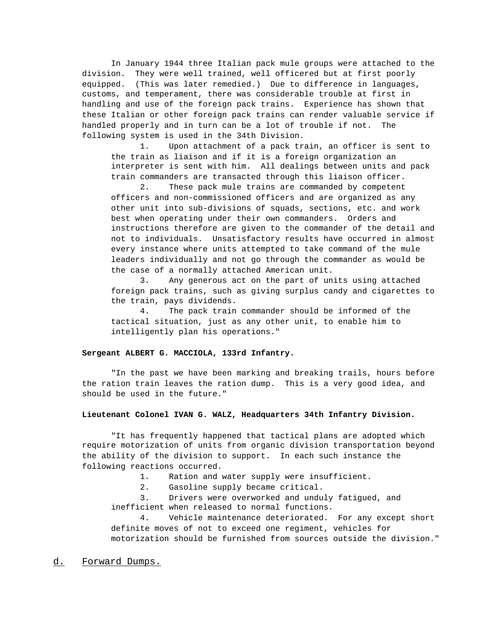In January 1944 three Italian pack mule groups were attached to the division. They were well trained, well officered but at first poorly equipped. (This was later remedied.) Due to difference in languages, customs, and temperament, there was considerable trouble at first in handling and use of the foreign pack trains. Experience has shown that these Italian or other foreign pack trains can render valuable service if handled properly and in turn can be a lot of trouble if not. The following system is used in the 34th Division.

1. Upon attachment of a pack train, an officer is sent to the train as liaison and if it is a foreign organization an interpreter is sent with him. All dealings between units and pack train commanders are transacted through this liaison officer.

2. These pack mule trains are commanded by competent officers and non-commissioned officers and are organized as any other unit into sub-divisions of squads, sections, etc. and work best when operating under their own commanders. Orders and instructions therefore are given to the commander of the detail and not to individuals. Unsatisfactory results have occurred in almost every instance where units attempted to take command of the mule leaders individually and not go through the commander as would be the case of a normally attached American unit.

3. Any generous act on the part of units using attached foreign pack trains, such as giving surplus candy and cigarettes to the train, pays dividends.

4. The pack train commander should be informed of the tactical situation, just as any other unit, to enable him to intelligently plan his operations."

## **Sergeant ALBERT G. MACCIOLA, 133rd Infantry.**

"In the past we have been marking and breaking trails, hours before the ration train leaves the ration dump. This is a very good idea, and should be used in the future."

### **Lieutenant Colonel IVAN G. WALZ, Headquarters 34th Infantry Division.**

"It has frequently happened that tactical plans are adopted which require motorization of units from organic division transportation beyond the ability of the division to support. In each such instance the following reactions occurred.

- 1. Ration and water supply were insufficient.
- 2. Gasoline supply became critical.

3. Drivers were overworked and unduly fatigued, and inefficient when released to normal functions.

4. Vehicle maintenance deteriorated. For any except short definite moves of not to exceed one regiment, vehicles for motorization should be furnished from sources outside the division."

d. Forward Dumps.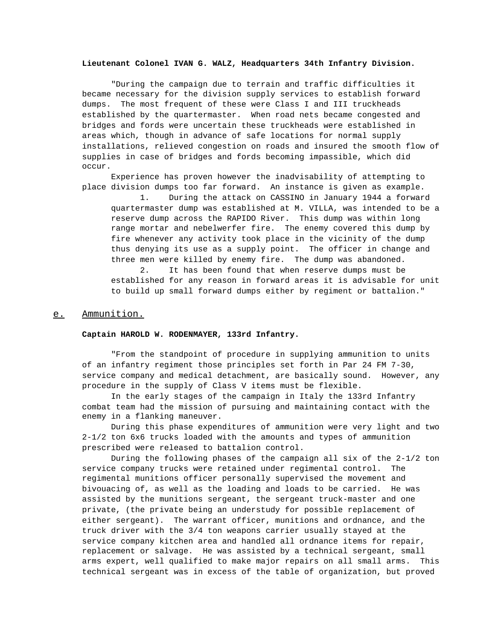#### **Lieutenant Colonel IVAN G. WALZ, Headquarters 34th Infantry Division.**

"During the campaign due to terrain and traffic difficulties it became necessary for the division supply services to establish forward dumps. The most frequent of these were Class I and III truckheads established by the quartermaster. When road nets became congested and bridges and fords were uncertain these truckheads were established in areas which, though in advance of safe locations for normal supply installations, relieved congestion on roads and insured the smooth flow of supplies in case of bridges and fords becoming impassible, which did occur.

Experience has proven however the inadvisability of attempting to place division dumps too far forward. An instance is given as example.

1. During the attack on CASSINO in January 1944 a forward quartermaster dump was established at M. VILLA, was intended to be a reserve dump across the RAPIDO River. This dump was within long range mortar and nebelwerfer fire. The enemy covered this dump by fire whenever any activity took place in the vicinity of the dump thus denying its use as a supply point. The officer in change and three men were killed by enemy fire. The dump was abandoned.

2. It has been found that when reserve dumps must be established for any reason in forward areas it is advisable for unit to build up small forward dumps either by regiment or battalion."

## e. Ammunition.

### **Captain HAROLD W. RODENMAYER, 133rd Infantry.**

"From the standpoint of procedure in supplying ammunition to units of an infantry regiment those principles set forth in Par 24 FM 7-30, service company and medical detachment, are basically sound. However, any procedure in the supply of Class V items must be flexible.

In the early stages of the campaign in Italy the 133rd Infantry combat team had the mission of pursuing and maintaining contact with the enemy in a flanking maneuver.

During this phase expenditures of ammunition were very light and two 2-1/2 ton 6x6 trucks loaded with the amounts and types of ammunition prescribed were released to battalion control.

During the following phases of the campaign all six of the 2-1/2 ton service company trucks were retained under regimental control. The regimental munitions officer personally supervised the movement and bivouacing of, as well as the loading and loads to be carried. He was assisted by the munitions sergeant, the sergeant truck-master and one private, (the private being an understudy for possible replacement of either sergeant). The warrant officer, munitions and ordnance, and the truck driver with the 3/4 ton weapons carrier usually stayed at the service company kitchen area and handled all ordnance items for repair, replacement or salvage. He was assisted by a technical sergeant, small arms expert, well qualified to make major repairs on all small arms. This technical sergeant was in excess of the table of organization, but proved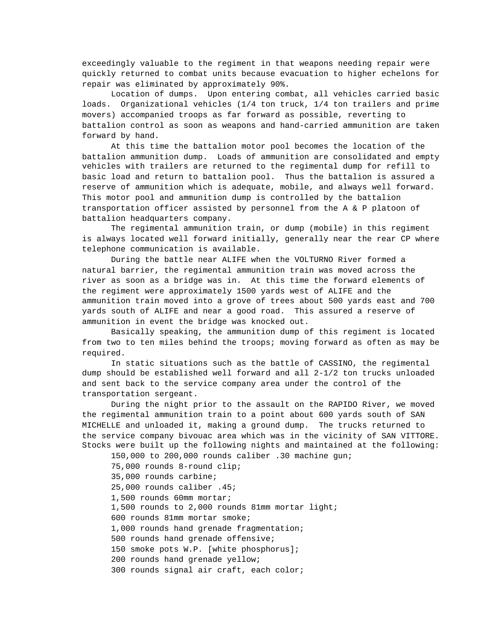exceedingly valuable to the regiment in that weapons needing repair were quickly returned to combat units because evacuation to higher echelons for repair was eliminated by approximately 90%.

Location of dumps. Upon entering combat, all vehicles carried basic loads. Organizational vehicles (1/4 ton truck, 1/4 ton trailers and prime movers) accompanied troops as far forward as possible, reverting to battalion control as soon as weapons and hand-carried ammunition are taken forward by hand.

At this time the battalion motor pool becomes the location of the battalion ammunition dump. Loads of ammunition are consolidated and empty vehicles with trailers are returned to the regimental dump for refill to basic load and return to battalion pool. Thus the battalion is assured a reserve of ammunition which is adequate, mobile, and always well forward. This motor pool and ammunition dump is controlled by the battalion transportation officer assisted by personnel from the A & P platoon of battalion headquarters company.

The regimental ammunition train, or dump (mobile) in this regiment is always located well forward initially, generally near the rear CP where telephone communication is available.

During the battle near ALIFE when the VOLTURNO River formed a natural barrier, the regimental ammunition train was moved across the river as soon as a bridge was in. At this time the forward elements of the regiment were approximately 1500 yards west of ALIFE and the ammunition train moved into a grove of trees about 500 yards east and 700 yards south of ALIFE and near a good road. This assured a reserve of ammunition in event the bridge was knocked out.

Basically speaking, the ammunition dump of this regiment is located from two to ten miles behind the troops; moving forward as often as may be required.

In static situations such as the battle of CASSINO, the regimental dump should be established well forward and all 2-1/2 ton trucks unloaded and sent back to the service company area under the control of the transportation sergeant.

During the night prior to the assault on the RAPIDO River, we moved the regimental ammunition train to a point about 600 yards south of SAN MICHELLE and unloaded it, making a ground dump. The trucks returned to the service company bivouac area which was in the vicinity of SAN VITTORE. Stocks were built up the following nights and maintained at the following:

150,000 to 200,000 rounds caliber .30 machine gun; 75,000 rounds 8-round clip; 35,000 rounds carbine; 25,000 rounds caliber .45; 1,500 rounds 60mm mortar; 1,500 rounds to 2,000 rounds 81mm mortar light; 600 rounds 81mm mortar smoke; 1,000 rounds hand grenade fragmentation; 500 rounds hand grenade offensive; 150 smoke pots W.P. [white phosphorus]; 200 rounds hand grenade yellow; 300 rounds signal air craft, each color;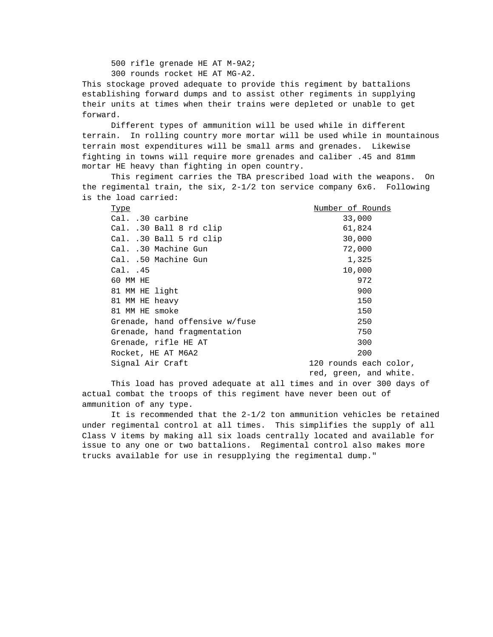500 rifle grenade HE AT M-9A2;

300 rounds rocket HE AT MG-A2.

This stockage proved adequate to provide this regiment by battalions establishing forward dumps and to assist other regiments in supplying their units at times when their trains were depleted or unable to get forward.

Different types of ammunition will be used while in different terrain. In rolling country more mortar will be used while in mountainous terrain most expenditures will be small arms and grenades. Likewise fighting in towns will require more grenades and caliber .45 and 81mm mortar HE heavy than fighting in open country.

This regiment carries the TBA prescribed load with the weapons. On the regimental train, the six, 2-1/2 ton service company 6x6. Following is the load carried:

| Type                           | Number of Rounds       |
|--------------------------------|------------------------|
| Cal. .30 carbine               | 33,000                 |
| Cal. .30 Ball 8 rd clip        | 61,824                 |
| Cal. .30 Ball 5 rd clip        | 30,000                 |
| Cal. .30 Machine Gun           | 72,000                 |
| Cal. .50 Machine Gun           | 1,325                  |
| Cal. .45                       | 10,000                 |
| 60 MM HE                       | 972                    |
| 81 MM HE light                 | 900                    |
| 81 MM HE heavy                 | 150                    |
| 81 MM HE smoke                 | 150                    |
| Grenade, hand offensive w/fuse | 250                    |
| Grenade, hand fragmentation    | 750                    |
| Grenade, rifle HE AT           | 300                    |
| Rocket, HE AT M6A2             | 200                    |
| Signal Air Craft               | 120 rounds each color, |
|                                |                        |

red, green, and white.

This load has proved adequate at all times and in over 300 days of actual combat the troops of this regiment have never been out of ammunition of any type.

It is recommended that the 2-1/2 ton ammunition vehicles be retained under regimental control at all times. This simplifies the supply of all Class V items by making all six loads centrally located and available for issue to any one or two battalions. Regimental control also makes more trucks available for use in resupplying the regimental dump."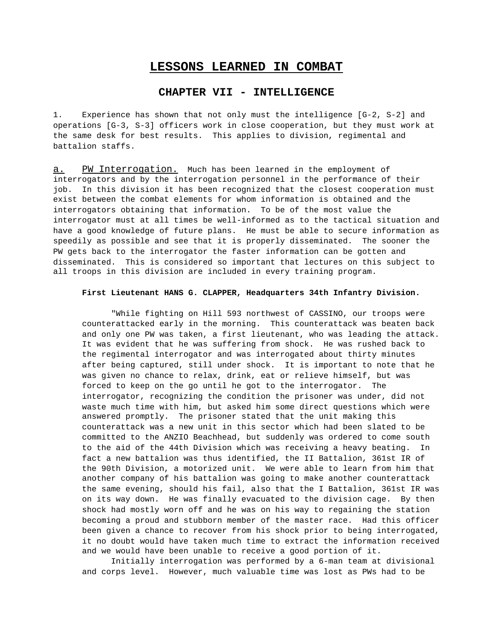# **LESSONS LEARNED IN COMBAT**

# **CHAPTER VII - INTELLIGENCE**

1. Experience has shown that not only must the intelligence [G-2, S-2] and operations [G-3, S-3] officers work in close cooperation, but they must work at the same desk for best results. This applies to division, regimental and battalion staffs.

a. PW Interrogation. Much has been learned in the employment of interrogators and by the interrogation personnel in the performance of their job. In this division it has been recognized that the closest cooperation must exist between the combat elements for whom information is obtained and the interrogators obtaining that information. To be of the most value the interrogator must at all times be well-informed as to the tactical situation and have a good knowledge of future plans. He must be able to secure information as speedily as possible and see that it is properly disseminated. The sooner the PW gets back to the interrogator the faster information can be gotten and disseminated. This is considered so important that lectures on this subject to all troops in this division are included in every training program.

## **First Lieutenant HANS G. CLAPPER, Headquarters 34th Infantry Division.**

"While fighting on Hill 593 northwest of CASSINO, our troops were counterattacked early in the morning. This counterattack was beaten back and only one PW was taken, a first lieutenant, who was leading the attack. It was evident that he was suffering from shock. He was rushed back to the regimental interrogator and was interrogated about thirty minutes after being captured, still under shock. It is important to note that he was given no chance to relax, drink, eat or relieve himself, but was forced to keep on the go until he got to the interrogator. The interrogator, recognizing the condition the prisoner was under, did not waste much time with him, but asked him some direct questions which were answered promptly. The prisoner stated that the unit making this counterattack was a new unit in this sector which had been slated to be committed to the ANZIO Beachhead, but suddenly was ordered to come south to the aid of the 44th Division which was receiving a heavy beating. In fact a new battalion was thus identified, the II Battalion, 361st IR of the 90th Division, a motorized unit. We were able to learn from him that another company of his battalion was going to make another counterattack the same evening, should his fail, also that the I Battalion, 361st IR was on its way down. He was finally evacuated to the division cage. By then shock had mostly worn off and he was on his way to regaining the station becoming a proud and stubborn member of the master race. Had this officer been given a chance to recover from his shock prior to being interrogated, it no doubt would have taken much time to extract the information received and we would have been unable to receive a good portion of it.

Initially interrogation was performed by a 6-man team at divisional and corps level. However, much valuable time was lost as PWs had to be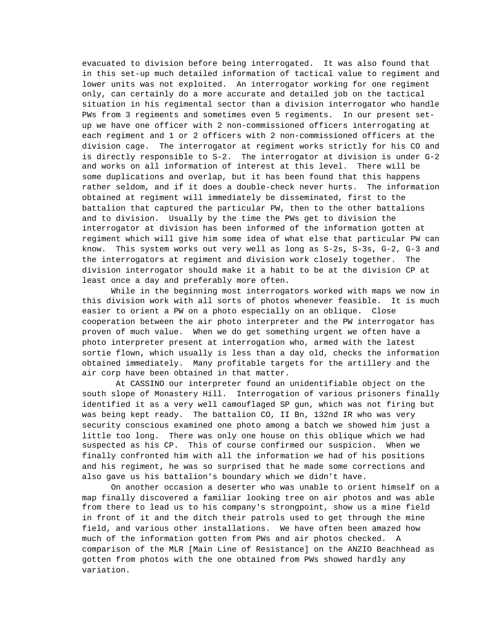evacuated to division before being interrogated. It was also found that in this set-up much detailed information of tactical value to regiment and lower units was not exploited. An interrogator working for one regiment only, can certainly do a more accurate and detailed job on the tactical situation in his regimental sector than a division interrogator who handle PWs from 3 regiments and sometimes even 5 regiments. In our present setup we have one officer with 2 non-commissioned officers interrogating at each regiment and 1 or 2 officers with 2 non-commissioned officers at the division cage. The interrogator at regiment works strictly for his CO and is directly responsible to S-2. The interrogator at division is under G-2 and works on all information of interest at this level. There will be some duplications and overlap, but it has been found that this happens rather seldom, and if it does a double-check never hurts. The information obtained at regiment will immediately be disseminated, first to the battalion that captured the particular PW, then to the other battalions and to division. Usually by the time the PWs get to division the interrogator at division has been informed of the information gotten at regiment which will give him some idea of what else that particular PW can know. This system works out very well as long as S-2s, S-3s, G-2, G-3 and the interrogators at regiment and division work closely together. The division interrogator should make it a habit to be at the division CP at least once a day and preferably more often.

While in the beginning most interrogators worked with maps we now in this division work with all sorts of photos whenever feasible. It is much easier to orient a PW on a photo especially on an oblique. Close cooperation between the air photo interpreter and the PW interrogator has proven of much value. When we do get something urgent we often have a photo interpreter present at interrogation who, armed with the latest sortie flown, which usually is less than a day old, checks the information obtained immediately. Many profitable targets for the artillery and the air corp have been obtained in that matter.

 At CASSINO our interpreter found an unidentifiable object on the south slope of Monastery Hill. Interrogation of various prisoners finally identified it as a very well camouflaged SP gun, which was not firing but was being kept ready. The battalion CO, II Bn, 132nd IR who was very security conscious examined one photo among a batch we showed him just a little too long. There was only one house on this oblique which we had suspected as his CP. This of course confirmed our suspicion. When we finally confronted him with all the information we had of his positions and his regiment, he was so surprised that he made some corrections and also gave us his battalion's boundary which we didn't have.

On another occasion a deserter who was unable to orient himself on a map finally discovered a familiar looking tree on air photos and was able from there to lead us to his company's strongpoint, show us a mine field in front of it and the ditch their patrols used to get through the mine field, and various other installations. We have often been amazed how much of the information gotten from PWs and air photos checked. A comparison of the MLR [Main Line of Resistance] on the ANZIO Beachhead as gotten from photos with the one obtained from PWs showed hardly any variation.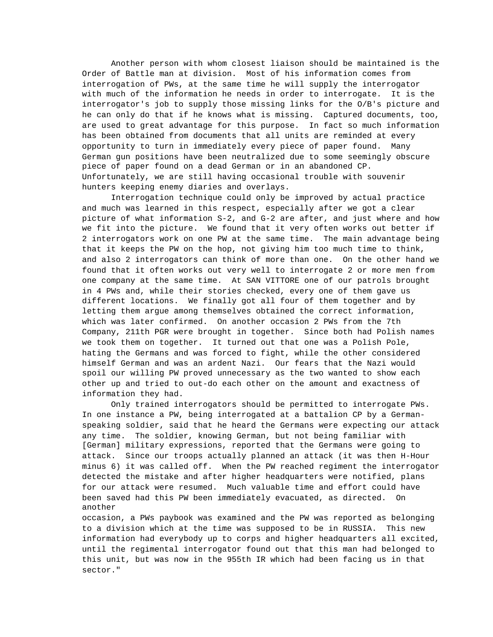Another person with whom closest liaison should be maintained is the Order of Battle man at division. Most of his information comes from interrogation of PWs, at the same time he will supply the interrogator with much of the information he needs in order to interrogate. It is the interrogator's job to supply those missing links for the O/B's picture and he can only do that if he knows what is missing. Captured documents, too, are used to great advantage for this purpose. In fact so much information has been obtained from documents that all units are reminded at every opportunity to turn in immediately every piece of paper found. Many German gun positions have been neutralized due to some seemingly obscure piece of paper found on a dead German or in an abandoned CP. Unfortunately, we are still having occasional trouble with souvenir hunters keeping enemy diaries and overlays.

Interrogation technique could only be improved by actual practice and much was learned in this respect, especially after we got a clear picture of what information S-2, and G-2 are after, and just where and how we fit into the picture. We found that it very often works out better if 2 interrogators work on one PW at the same time. The main advantage being that it keeps the PW on the hop, not giving him too much time to think, and also 2 interrogators can think of more than one. On the other hand we found that it often works out very well to interrogate 2 or more men from one company at the same time. At SAN VITTORE one of our patrols brought in 4 PWs and, while their stories checked, every one of them gave us different locations. We finally got all four of them together and by letting them argue among themselves obtained the correct information, which was later confirmed. On another occasion 2 PWs from the 7th Company, 211th PGR were brought in together. Since both had Polish names we took them on together. It turned out that one was a Polish Pole, hating the Germans and was forced to fight, while the other considered himself German and was an ardent Nazi. Our fears that the Nazi would spoil our willing PW proved unnecessary as the two wanted to show each other up and tried to out-do each other on the amount and exactness of information they had.

Only trained interrogators should be permitted to interrogate PWs. In one instance a PW, being interrogated at a battalion CP by a Germanspeaking soldier, said that he heard the Germans were expecting our attack any time. The soldier, knowing German, but not being familiar with [German] military expressions, reported that the Germans were going to attack. Since our troops actually planned an attack (it was then H-Hour minus 6) it was called off. When the PW reached regiment the interrogator detected the mistake and after higher headquarters were notified, plans for our attack were resumed. Much valuable time and effort could have been saved had this PW been immediately evacuated, as directed. On another

occasion, a PWs paybook was examined and the PW was reported as belonging to a division which at the time was supposed to be in RUSSIA. This new information had everybody up to corps and higher headquarters all excited, until the regimental interrogator found out that this man had belonged to this unit, but was now in the 955th IR which had been facing us in that sector."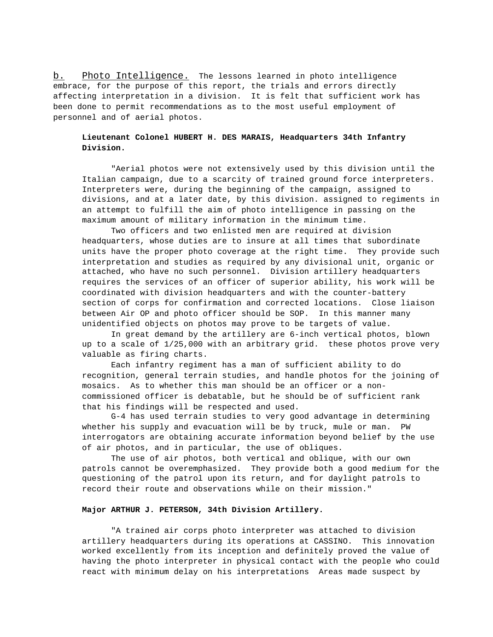b. Photo Intelligence. The lessons learned in photo intelligence embrace, for the purpose of this report, the trials and errors directly affecting interpretation in a division. It is felt that sufficient work has been done to permit recommendations as to the most useful employment of personnel and of aerial photos.

# **Lieutenant Colonel HUBERT H. DES MARAIS, Headquarters 34th Infantry Division.**

"Aerial photos were not extensively used by this division until the Italian campaign, due to a scarcity of trained ground force interpreters. Interpreters were, during the beginning of the campaign, assigned to divisions, and at a later date, by this division. assigned to regiments in an attempt to fulfill the aim of photo intelligence in passing on the maximum amount of military information in the minimum time.

Two officers and two enlisted men are required at division headquarters, whose duties are to insure at all times that subordinate units have the proper photo coverage at the right time. They provide such interpretation and studies as required by any divisional unit, organic or attached, who have no such personnel. Division artillery headquarters requires the services of an officer of superior ability, his work will be coordinated with division headquarters and with the counter-battery section of corps for confirmation and corrected locations. Close liaison between Air OP and photo officer should be SOP. In this manner many unidentified objects on photos may prove to be targets of value.

In great demand by the artillery are 6-inch vertical photos, blown up to a scale of 1/25,000 with an arbitrary grid. these photos prove very valuable as firing charts.

Each infantry regiment has a man of sufficient ability to do recognition, general terrain studies, and handle photos for the joining of mosaics. As to whether this man should be an officer or a noncommissioned officer is debatable, but he should be of sufficient rank that his findings will be respected and used.

G-4 has used terrain studies to very good advantage in determining whether his supply and evacuation will be by truck, mule or man. PW interrogators are obtaining accurate information beyond belief by the use of air photos, and in particular, the use of obliques.

The use of air photos, both vertical and oblique, with our own patrols cannot be overemphasized. They provide both a good medium for the questioning of the patrol upon its return, and for daylight patrols to record their route and observations while on their mission."

## **Major ARTHUR J. PETERSON, 34th Division Artillery.**

"A trained air corps photo interpreter was attached to division artillery headquarters during its operations at CASSINO. This innovation worked excellently from its inception and definitely proved the value of having the photo interpreter in physical contact with the people who could react with minimum delay on his interpretations Areas made suspect by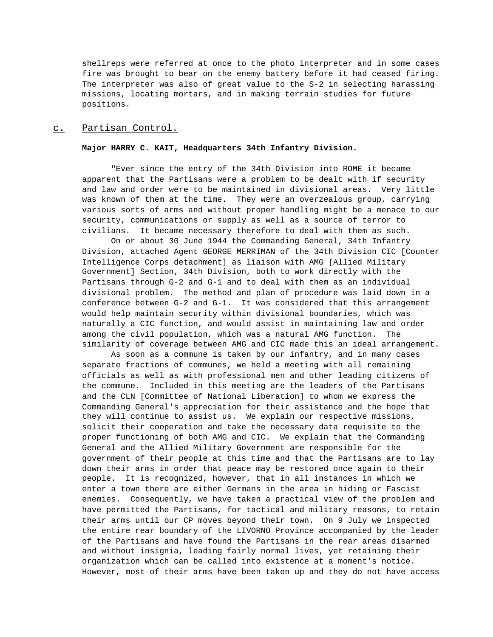shellreps were referred at once to the photo interpreter and in some cases fire was brought to bear on the enemy battery before it had ceased firing. The interpreter was also of great value to the S-2 in selecting harassing missions, locating mortars, and in making terrain studies for future positions.

## c. Partisan Control.

### **Major HARRY C. KAIT, Headquarters 34th Infantry Division.**

"Ever since the entry of the 34th Division into ROME it became apparent that the Partisans were a problem to be dealt with if security and law and order were to be maintained in divisional areas. Very little was known of them at the time. They were an overzealous group, carrying various sorts of arms and without proper handling might be a menace to our security, communications or supply as well as a source of terror to civilians. It became necessary therefore to deal with them as such.

On or about 30 June 1944 the Commanding General, 34th Infantry Division, attached Agent GEORGE MERRIMAN of the 34th Division CIC [Counter Intelligence Corps detachment] as liaison with AMG [Allied Military Government] Section, 34th Division, both to work directly with the Partisans through G-2 and G-1 and to deal with them as an individual divisional problem. The method and plan of procedure was laid down in a conference between G-2 and G-1. It was considered that this arrangement would help maintain security within divisional boundaries, which was naturally a CIC function, and would assist in maintaining law and order among the civil population, which was a natural AMG function. The similarity of coverage between AMG and CIC made this an ideal arrangement.

As soon as a commune is taken by our infantry, and in many cases separate fractions of communes, we held a meeting with all remaining officials as well as with professional men and other leading citizens of the commune. Included in this meeting are the leaders of the Partisans and the CLN [Committee of National Liberation] to whom we express the Commanding General's appreciation for their assistance and the hope that they will continue to assist us. We explain our respective missions, solicit their cooperation and take the necessary data requisite to the proper functioning of both AMG and CIC. We explain that the Commanding General and the Allied Military Government are responsible for the government of their people at this time and that the Partisans are to lay down their arms in order that peace may be restored once again to their people. It is recognized, however, that in all instances in which we enter a town there are either Germans in the area in hiding or Fascist enemies. Consequently, we have taken a practical view of the problem and have permitted the Partisans, for tactical and military reasons, to retain their arms until our CP moves beyond their town. On 9 July we inspected the entire rear boundary of the LIVORNO Province accompanied by the leader of the Partisans and have found the Partisans in the rear areas disarmed and without insignia, leading fairly normal lives, yet retaining their organization which can be called into existence at a moment's notice. However, most of their arms have been taken up and they do not have access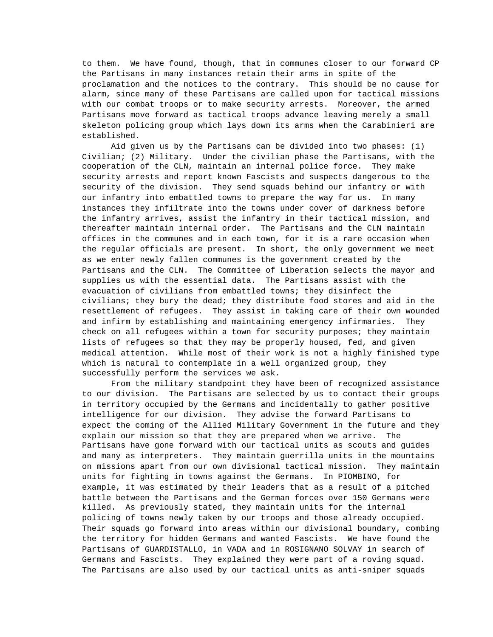to them. We have found, though, that in communes closer to our forward CP the Partisans in many instances retain their arms in spite of the proclamation and the notices to the contrary. This should be no cause for alarm, since many of these Partisans are called upon for tactical missions with our combat troops or to make security arrests. Moreover, the armed Partisans move forward as tactical troops advance leaving merely a small skeleton policing group which lays down its arms when the Carabinieri are established.

Aid given us by the Partisans can be divided into two phases: (1) Civilian; (2) Military. Under the civilian phase the Partisans, with the cooperation of the CLN, maintain an internal police force. They make security arrests and report known Fascists and suspects dangerous to the security of the division. They send squads behind our infantry or with our infantry into embattled towns to prepare the way for us. In many instances they infiltrate into the towns under cover of darkness before the infantry arrives, assist the infantry in their tactical mission, and thereafter maintain internal order. The Partisans and the CLN maintain offices in the communes and in each town, for it is a rare occasion when the regular officials are present. In short, the only government we meet as we enter newly fallen communes is the government created by the Partisans and the CLN. The Committee of Liberation selects the mayor and supplies us with the essential data. The Partisans assist with the evacuation of civilians from embattled towns; they disinfect the civilians; they bury the dead; they distribute food stores and aid in the resettlement of refugees. They assist in taking care of their own wounded and infirm by establishing and maintaining emergency infirmaries. They check on all refugees within a town for security purposes; they maintain lists of refugees so that they may be properly housed, fed, and given medical attention. While most of their work is not a highly finished type which is natural to contemplate in a well organized group, they successfully perform the services we ask.

From the military standpoint they have been of recognized assistance to our division. The Partisans are selected by us to contact their groups in territory occupied by the Germans and incidentally to gather positive intelligence for our division. They advise the forward Partisans to expect the coming of the Allied Military Government in the future and they explain our mission so that they are prepared when we arrive. The Partisans have gone forward with our tactical units as scouts and guides and many as interpreters. They maintain guerrilla units in the mountains on missions apart from our own divisional tactical mission. They maintain units for fighting in towns against the Germans. In PIOMBINO, for example, it was estimated by their leaders that as a result of a pitched battle between the Partisans and the German forces over 150 Germans were killed. As previously stated, they maintain units for the internal policing of towns newly taken by our troops and those already occupied. Their squads go forward into areas within our divisional boundary, combing the territory for hidden Germans and wanted Fascists. We have found the Partisans of GUARDISTALLO, in VADA and in ROSIGNANO SOLVAY in search of Germans and Fascists. They explained they were part of a roving squad. The Partisans are also used by our tactical units as anti-sniper squads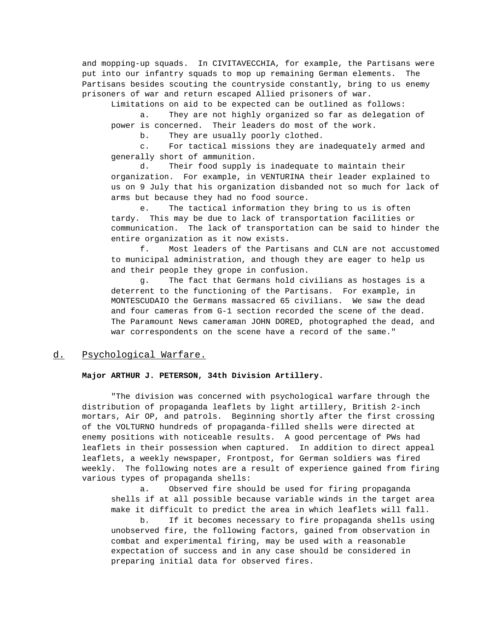and mopping-up squads. In CIVITAVECCHIA, for example, the Partisans were put into our infantry squads to mop up remaining German elements. The Partisans besides scouting the countryside constantly, bring to us enemy prisoners of war and return escaped Allied prisoners of war.

Limitations on aid to be expected can be outlined as follows: a. They are not highly organized so far as delegation of power is concerned. Their leaders do most of the work.

b. They are usually poorly clothed.

c. For tactical missions they are inadequately armed and generally short of ammunition.

d. Their food supply is inadequate to maintain their organization. For example, in VENTURINA their leader explained to us on 9 July that his organization disbanded not so much for lack of arms but because they had no food source.

e. The tactical information they bring to us is often tardy. This may be due to lack of transportation facilities or communication. The lack of transportation can be said to hinder the entire organization as it now exists.

f. Most leaders of the Partisans and CLN are not accustomed to municipal administration, and though they are eager to help us and their people they grope in confusion.

g. The fact that Germans hold civilians as hostages is a deterrent to the functioning of the Partisans. For example, in MONTESCUDAIO the Germans massacred 65 civilians. We saw the dead and four cameras from G-1 section recorded the scene of the dead. The Paramount News cameraman JOHN DORED, photographed the dead, and war correspondents on the scene have a record of the same."

# d. Psychological Warfare.

## **Major ARTHUR J. PETERSON, 34th Division Artillery.**

"The division was concerned with psychological warfare through the distribution of propaganda leaflets by light artillery, British 2-inch mortars, Air OP, and patrols. Beginning shortly after the first crossing of the VOLTURNO hundreds of propaganda-filled shells were directed at enemy positions with noticeable results. A good percentage of PWs had leaflets in their possession when captured. In addition to direct appeal leaflets, a weekly newspaper, Frontpost, for German soldiers was fired weekly. The following notes are a result of experience gained from firing various types of propaganda shells:

a. Observed fire should be used for firing propaganda shells if at all possible because variable winds in the target area make it difficult to predict the area in which leaflets will fall.

b. If it becomes necessary to fire propaganda shells using unobserved fire, the following factors, gained from observation in combat and experimental firing, may be used with a reasonable expectation of success and in any case should be considered in preparing initial data for observed fires.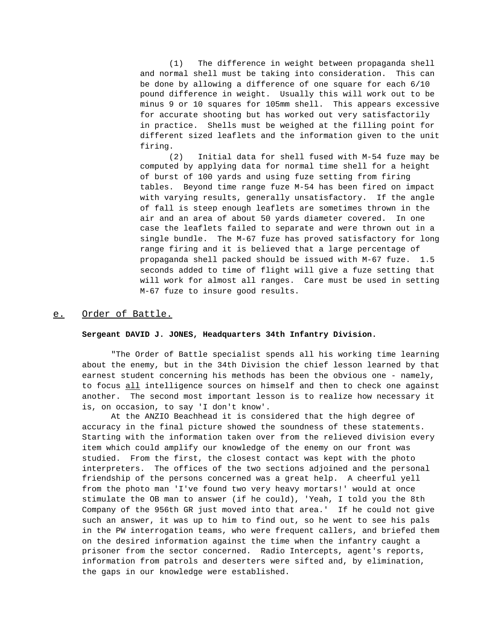(1) The difference in weight between propaganda shell and normal shell must be taking into consideration. This can be done by allowing a difference of one square for each 6/10 pound difference in weight. Usually this will work out to be minus 9 or 10 squares for 105mm shell. This appears excessive for accurate shooting but has worked out very satisfactorily in practice. Shells must be weighed at the filling point for different sized leaflets and the information given to the unit firing.

(2) Initial data for shell fused with M-54 fuze may be computed by applying data for normal time shell for a height of burst of 100 yards and using fuze setting from firing tables. Beyond time range fuze M-54 has been fired on impact with varying results, generally unsatisfactory. If the angle of fall is steep enough leaflets are sometimes thrown in the air and an area of about 50 yards diameter covered. In one case the leaflets failed to separate and were thrown out in a single bundle. The M-67 fuze has proved satisfactory for long range firing and it is believed that a large percentage of propaganda shell packed should be issued with M-67 fuze. 1.5 seconds added to time of flight will give a fuze setting that will work for almost all ranges. Care must be used in setting M-67 fuze to insure good results.

# e. Order of Battle.

#### **Sergeant DAVID J. JONES, Headquarters 34th Infantry Division.**

"The Order of Battle specialist spends all his working time learning about the enemy, but in the 34th Division the chief lesson learned by that earnest student concerning his methods has been the obvious one - namely, to focus all intelligence sources on himself and then to check one against another. The second most important lesson is to realize how necessary it is, on occasion, to say 'I don't know'.

At the ANZIO Beachhead it is considered that the high degree of accuracy in the final picture showed the soundness of these statements. Starting with the information taken over from the relieved division every item which could amplify our knowledge of the enemy on our front was studied. From the first, the closest contact was kept with the photo interpreters. The offices of the two sections adjoined and the personal friendship of the persons concerned was a great help. A cheerful yell from the photo man 'I've found two very heavy mortars!' would at once stimulate the OB man to answer (if he could), 'Yeah, I told you the 8th Company of the 956th GR just moved into that area.' If he could not give such an answer, it was up to him to find out, so he went to see his pals in the PW interrogation teams, who were frequent callers, and briefed them on the desired information against the time when the infantry caught a prisoner from the sector concerned. Radio Intercepts, agent's reports, information from patrols and deserters were sifted and, by elimination, the gaps in our knowledge were established.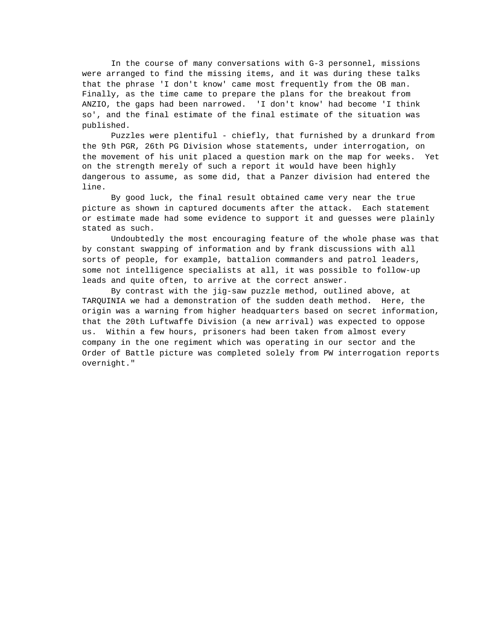In the course of many conversations with G-3 personnel, missions were arranged to find the missing items, and it was during these talks that the phrase 'I don't know' came most frequently from the OB man. Finally, as the time came to prepare the plans for the breakout from ANZIO, the gaps had been narrowed. 'I don't know' had become 'I think so', and the final estimate of the final estimate of the situation was published.

Puzzles were plentiful - chiefly, that furnished by a drunkard from the 9th PGR, 26th PG Division whose statements, under interrogation, on the movement of his unit placed a question mark on the map for weeks. Yet on the strength merely of such a report it would have been highly dangerous to assume, as some did, that a Panzer division had entered the line.

By good luck, the final result obtained came very near the true picture as shown in captured documents after the attack. Each statement or estimate made had some evidence to support it and guesses were plainly stated as such.

Undoubtedly the most encouraging feature of the whole phase was that by constant swapping of information and by frank discussions with all sorts of people, for example, battalion commanders and patrol leaders, some not intelligence specialists at all, it was possible to follow-up leads and quite often, to arrive at the correct answer.

By contrast with the jig-saw puzzle method, outlined above, at TARQUINIA we had a demonstration of the sudden death method. Here, the origin was a warning from higher headquarters based on secret information, that the 20th Luftwaffe Division (a new arrival) was expected to oppose us. Within a few hours, prisoners had been taken from almost every company in the one regiment which was operating in our sector and the Order of Battle picture was completed solely from PW interrogation reports overnight."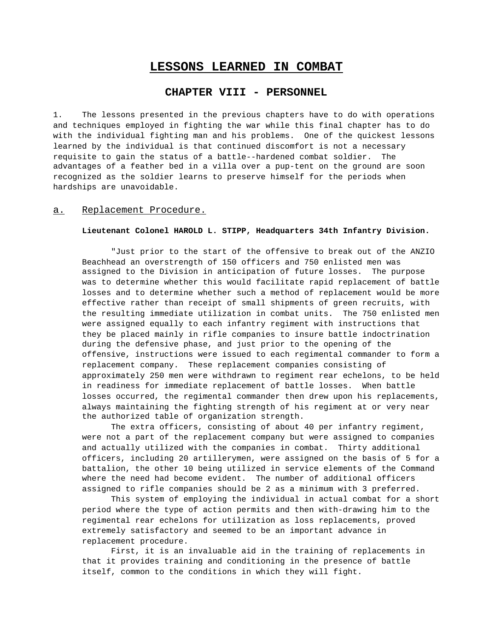# **LESSONS LEARNED IN COMBAT**

# **CHAPTER VIII - PERSONNEL**

1. The lessons presented in the previous chapters have to do with operations and techniques employed in fighting the war while this final chapter has to do with the individual fighting man and his problems. One of the quickest lessons learned by the individual is that continued discomfort is not a necessary requisite to gain the status of a battle--hardened combat soldier. The advantages of a feather bed in a villa over a pup-tent on the ground are soon recognized as the soldier learns to preserve himself for the periods when hardships are unavoidable.

## a. Replacement Procedure.

#### **Lieutenant Colonel HAROLD L. STIPP, Headquarters 34th Infantry Division.**

"Just prior to the start of the offensive to break out of the ANZIO Beachhead an overstrength of 150 officers and 750 enlisted men was assigned to the Division in anticipation of future losses. The purpose was to determine whether this would facilitate rapid replacement of battle losses and to determine whether such a method of replacement would be more effective rather than receipt of small shipments of green recruits, with the resulting immediate utilization in combat units. The 750 enlisted men were assigned equally to each infantry regiment with instructions that they be placed mainly in rifle companies to insure battle indoctrination during the defensive phase, and just prior to the opening of the offensive, instructions were issued to each regimental commander to form a replacement company. These replacement companies consisting of approximately 250 men were withdrawn to regiment rear echelons, to be held in readiness for immediate replacement of battle losses. When battle losses occurred, the regimental commander then drew upon his replacements, always maintaining the fighting strength of his regiment at or very near the authorized table of organization strength.

The extra officers, consisting of about 40 per infantry regiment, were not a part of the replacement company but were assigned to companies and actually utilized with the companies in combat. Thirty additional officers, including 20 artillerymen, were assigned on the basis of 5 for a battalion, the other 10 being utilized in service elements of the Command where the need had become evident. The number of additional officers assigned to rifle companies should be 2 as a minimum with 3 preferred.

This system of employing the individual in actual combat for a short period where the type of action permits and then with-drawing him to the regimental rear echelons for utilization as loss replacements, proved extremely satisfactory and seemed to be an important advance in replacement procedure.

First, it is an invaluable aid in the training of replacements in that it provides training and conditioning in the presence of battle itself, common to the conditions in which they will fight.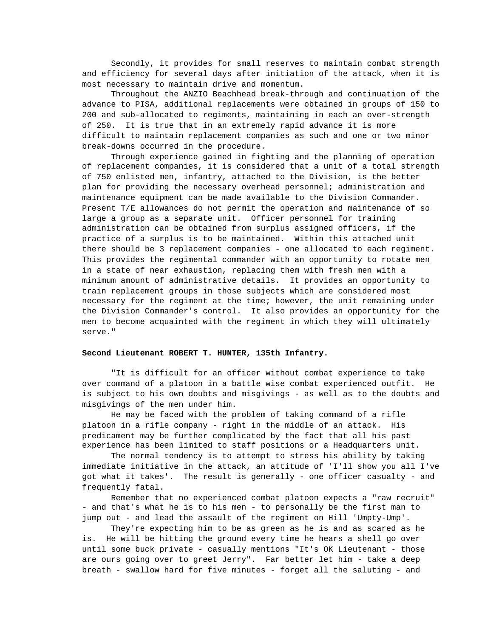Secondly, it provides for small reserves to maintain combat strength and efficiency for several days after initiation of the attack, when it is most necessary to maintain drive and momentum.

Throughout the ANZIO Beachhead break-through and continuation of the advance to PISA, additional replacements were obtained in groups of 150 to 200 and sub-allocated to regiments, maintaining in each an over-strength of 250. It is true that in an extremely rapid advance it is more difficult to maintain replacement companies as such and one or two minor break-downs occurred in the procedure.

Through experience gained in fighting and the planning of operation of replacement companies, it is considered that a unit of a total strength of 750 enlisted men, infantry, attached to the Division, is the better plan for providing the necessary overhead personnel; administration and maintenance equipment can be made available to the Division Commander. Present T/E allowances do not permit the operation and maintenance of so large a group as a separate unit. Officer personnel for training administration can be obtained from surplus assigned officers, if the practice of a surplus is to be maintained. Within this attached unit there should be 3 replacement companies - one allocated to each regiment. This provides the regimental commander with an opportunity to rotate men in a state of near exhaustion, replacing them with fresh men with a minimum amount of administrative details. It provides an opportunity to train replacement groups in those subjects which are considered most necessary for the regiment at the time; however, the unit remaining under the Division Commander's control. It also provides an opportunity for the men to become acquainted with the regiment in which they will ultimately serve."

## **Second Lieutenant ROBERT T. HUNTER, 135th Infantry.**

"It is difficult for an officer without combat experience to take over command of a platoon in a battle wise combat experienced outfit. He is subject to his own doubts and misgivings - as well as to the doubts and misgivings of the men under him.

He may be faced with the problem of taking command of a rifle platoon in a rifle company - right in the middle of an attack. His predicament may be further complicated by the fact that all his past experience has been limited to staff positions or a Headquarters unit.

The normal tendency is to attempt to stress his ability by taking immediate initiative in the attack, an attitude of 'I'll show you all I've got what it takes'. The result is generally - one officer casualty - and frequently fatal.

Remember that no experienced combat platoon expects a "raw recruit" - and that's what he is to his men - to personally be the first man to jump out - and lead the assault of the regiment on Hill 'Umpty-Ump'.

They're expecting him to be as green as he is and as scared as he is. He will be hitting the ground every time he hears a shell go over until some buck private - casually mentions "It's OK Lieutenant - those are ours going over to greet Jerry". Far better let him - take a deep breath - swallow hard for five minutes - forget all the saluting - and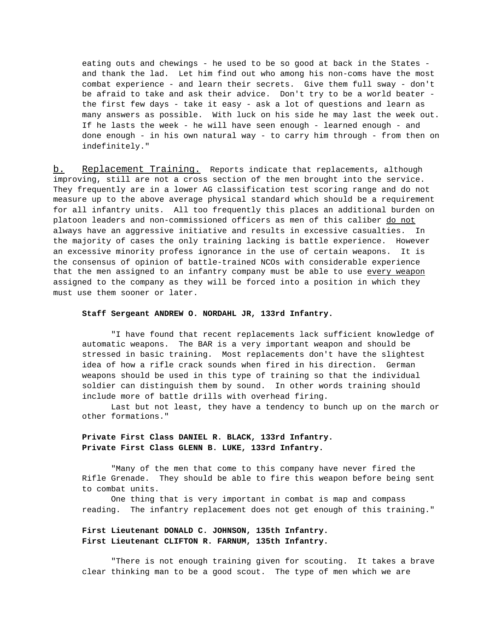eating outs and chewings - he used to be so good at back in the States and thank the lad. Let him find out who among his non-coms have the most combat experience - and learn their secrets. Give them full sway - don't be afraid to take and ask their advice. Don't try to be a world beater the first few days - take it easy - ask a lot of questions and learn as many answers as possible. With luck on his side he may last the week out. If he lasts the week - he will have seen enough - learned enough - and done enough - in his own natural way - to carry him through - from then on indefinitely."

b. Replacement Training. Reports indicate that replacements, although improving, still are not a cross section of the men brought into the service. They frequently are in a lower AG classification test scoring range and do not measure up to the above average physical standard which should be a requirement for all infantry units. All too frequently this places an additional burden on platoon leaders and non-commissioned officers as men of this caliber do not always have an aggressive initiative and results in excessive casualties. In the majority of cases the only training lacking is battle experience. However an excessive minority profess ignorance in the use of certain weapons. It is the consensus of opinion of battle-trained NCOs with considerable experience that the men assigned to an infantry company must be able to use every weapon assigned to the company as they will be forced into a position in which they must use them sooner or later.

### **Staff Sergeant ANDREW O. NORDAHL JR, 133rd Infantry.**

"I have found that recent replacements lack sufficient knowledge of automatic weapons. The BAR is a very important weapon and should be stressed in basic training. Most replacements don't have the slightest idea of how a rifle crack sounds when fired in his direction. German weapons should be used in this type of training so that the individual soldier can distinguish them by sound. In other words training should include more of battle drills with overhead firing.

Last but not least, they have a tendency to bunch up on the march or other formations."

# **Private First Class DANIEL R. BLACK, 133rd Infantry. Private First Class GLENN B. LUKE, 133rd Infantry.**

"Many of the men that come to this company have never fired the Rifle Grenade. They should be able to fire this weapon before being sent to combat units.

One thing that is very important in combat is map and compass reading. The infantry replacement does not get enough of this training."

# **First Lieutenant DONALD C. JOHNSON, 135th Infantry. First Lieutenant CLIFTON R. FARNUM, 135th Infantry.**

"There is not enough training given for scouting. It takes a brave clear thinking man to be a good scout. The type of men which we are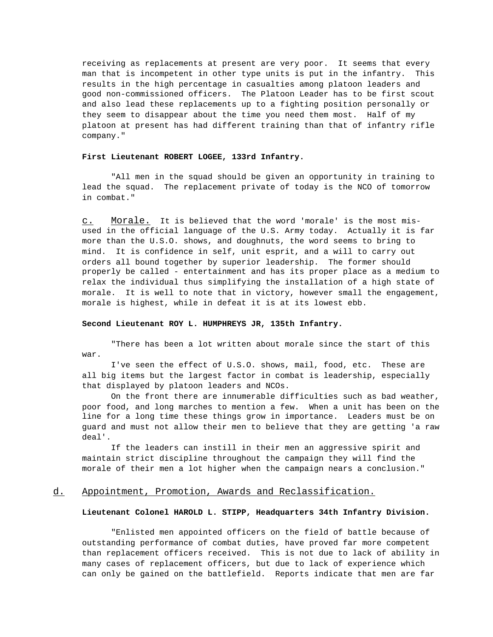receiving as replacements at present are very poor. It seems that every man that is incompetent in other type units is put in the infantry. This results in the high percentage in casualties among platoon leaders and good non-commissioned officers. The Platoon Leader has to be first scout and also lead these replacements up to a fighting position personally or they seem to disappear about the time you need them most. Half of my platoon at present has had different training than that of infantry rifle company."

#### **First Lieutenant ROBERT LOGEE, 133rd Infantry.**

"All men in the squad should be given an opportunity in training to lead the squad. The replacement private of today is the NCO of tomorrow in combat."

c. Morale. It is believed that the word 'morale' is the most misused in the official language of the U.S. Army today. Actually it is far more than the U.S.O. shows, and doughnuts, the word seems to bring to mind. It is confidence in self, unit esprit, and a will to carry out orders all bound together by superior leadership. The former should properly be called - entertainment and has its proper place as a medium to relax the individual thus simplifying the installation of a high state of morale. It is well to note that in victory, however small the engagement, morale is highest, while in defeat it is at its lowest ebb.

#### **Second Lieutenant ROY L. HUMPHREYS JR, 135th Infantry.**

"There has been a lot written about morale since the start of this war.

I've seen the effect of U.S.O. shows, mail, food, etc. These are all big items but the largest factor in combat is leadership, especially that displayed by platoon leaders and NCOs.

On the front there are innumerable difficulties such as bad weather, poor food, and long marches to mention a few. When a unit has been on the line for a long time these things grow in importance. Leaders must be on guard and must not allow their men to believe that they are getting 'a raw deal'.

If the leaders can instill in their men an aggressive spirit and maintain strict discipline throughout the campaign they will find the morale of their men a lot higher when the campaign nears a conclusion."

## d. Appointment, Promotion, Awards and Reclassification.

### **Lieutenant Colonel HAROLD L. STIPP, Headquarters 34th Infantry Division.**

"Enlisted men appointed officers on the field of battle because of outstanding performance of combat duties, have proved far more competent than replacement officers received. This is not due to lack of ability in many cases of replacement officers, but due to lack of experience which can only be gained on the battlefield. Reports indicate that men are far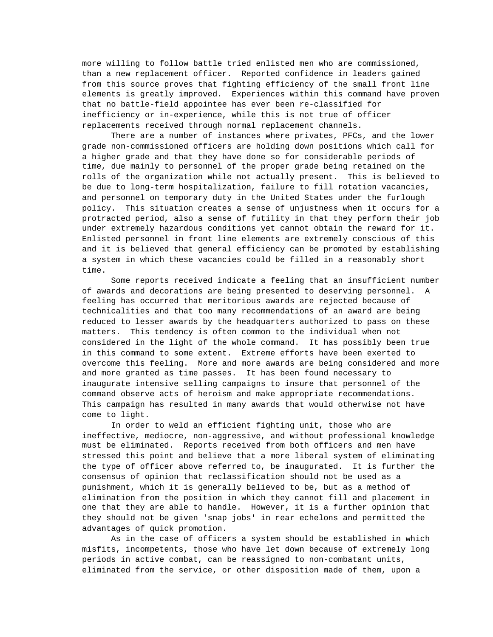more willing to follow battle tried enlisted men who are commissioned, than a new replacement officer. Reported confidence in leaders gained from this source proves that fighting efficiency of the small front line elements is greatly improved. Experiences within this command have proven that no battle-field appointee has ever been re-classified for inefficiency or in-experience, while this is not true of officer replacements received through normal replacement channels.

There are a number of instances where privates, PFCs, and the lower grade non-commissioned officers are holding down positions which call for a higher grade and that they have done so for considerable periods of time, due mainly to personnel of the proper grade being retained on the rolls of the organization while not actually present. This is believed to be due to long-term hospitalization, failure to fill rotation vacancies, and personnel on temporary duty in the United States under the furlough policy. This situation creates a sense of unjustness when it occurs for a protracted period, also a sense of futility in that they perform their job under extremely hazardous conditions yet cannot obtain the reward for it. Enlisted personnel in front line elements are extremely conscious of this and it is believed that general efficiency can be promoted by establishing a system in which these vacancies could be filled in a reasonably short time.

Some reports received indicate a feeling that an insufficient number of awards and decorations are being presented to deserving personnel. A feeling has occurred that meritorious awards are rejected because of technicalities and that too many recommendations of an award are being reduced to lesser awards by the headquarters authorized to pass on these matters. This tendency is often common to the individual when not considered in the light of the whole command. It has possibly been true in this command to some extent. Extreme efforts have been exerted to overcome this feeling. More and more awards are being considered and more and more granted as time passes. It has been found necessary to inaugurate intensive selling campaigns to insure that personnel of the command observe acts of heroism and make appropriate recommendations. This campaign has resulted in many awards that would otherwise not have come to light.

In order to weld an efficient fighting unit, those who are ineffective, mediocre, non-aggressive, and without professional knowledge must be eliminated. Reports received from both officers and men have stressed this point and believe that a more liberal system of eliminating the type of officer above referred to, be inaugurated. It is further the consensus of opinion that reclassification should not be used as a punishment, which it is generally believed to be, but as a method of elimination from the position in which they cannot fill and placement in one that they are able to handle. However, it is a further opinion that they should not be given 'snap jobs' in rear echelons and permitted the advantages of quick promotion.

As in the case of officers a system should be established in which misfits, incompetents, those who have let down because of extremely long periods in active combat, can be reassigned to non-combatant units, eliminated from the service, or other disposition made of them, upon a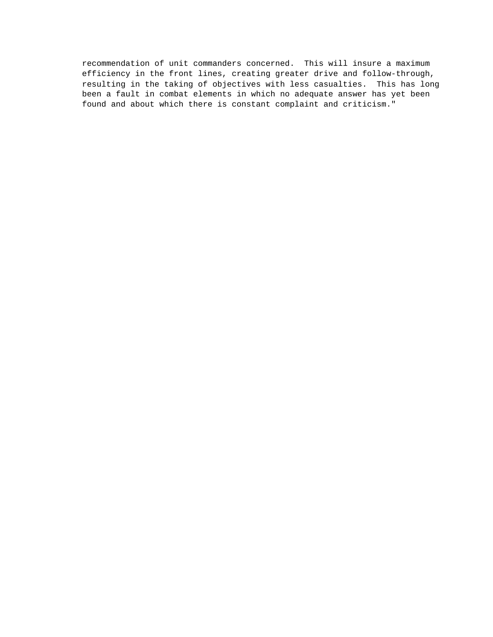recommendation of unit commanders concerned. This will insure a maximum efficiency in the front lines, creating greater drive and follow-through, resulting in the taking of objectives with less casualties. This has long been a fault in combat elements in which no adequate answer has yet been found and about which there is constant complaint and criticism."